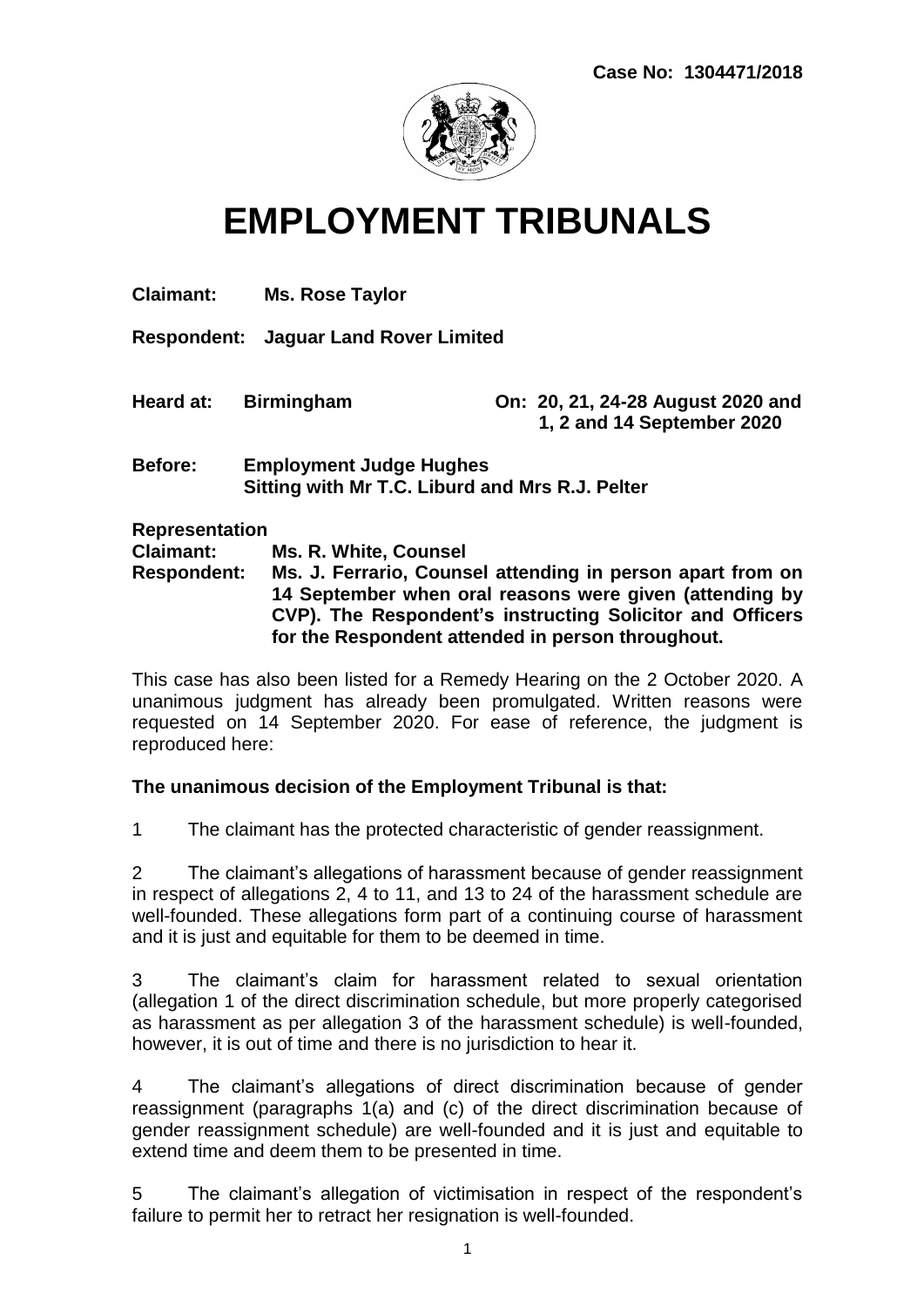

# **EMPLOYMENT TRIBUNALS**

**Claimant: Ms. Rose Taylor**

**Respondent: Jaguar Land Rover Limited**

- **Heard at: Birmingham On: 20, 21, 24-28 August 2020 and 1, 2 and 14 September 2020**
- **Before: Employment Judge Hughes Sitting with Mr T.C. Liburd and Mrs R.J. Pelter**

**Representation**

**Claimant: Ms. R. White, Counsel Respondent: Ms. J. Ferrario, Counsel attending in person apart from on 14 September when oral reasons were given (attending by CVP). The Respondent's instructing Solicitor and Officers for the Respondent attended in person throughout.**

This case has also been listed for a Remedy Hearing on the 2 October 2020. A unanimous judgment has already been promulgated. Written reasons were requested on 14 September 2020. For ease of reference, the judgment is reproduced here:

#### **The unanimous decision of the Employment Tribunal is that:**

1 The claimant has the protected characteristic of gender reassignment.

2 The claimant's allegations of harassment because of gender reassignment in respect of allegations 2, 4 to 11, and 13 to 24 of the harassment schedule are well-founded. These allegations form part of a continuing course of harassment and it is just and equitable for them to be deemed in time.

3 The claimant's claim for harassment related to sexual orientation (allegation 1 of the direct discrimination schedule, but more properly categorised as harassment as per allegation 3 of the harassment schedule) is well-founded, however, it is out of time and there is no jurisdiction to hear it.

4 The claimant's allegations of direct discrimination because of gender reassignment (paragraphs 1(a) and (c) of the direct discrimination because of gender reassignment schedule) are well-founded and it is just and equitable to extend time and deem them to be presented in time.

5 The claimant's allegation of victimisation in respect of the respondent's failure to permit her to retract her resignation is well-founded.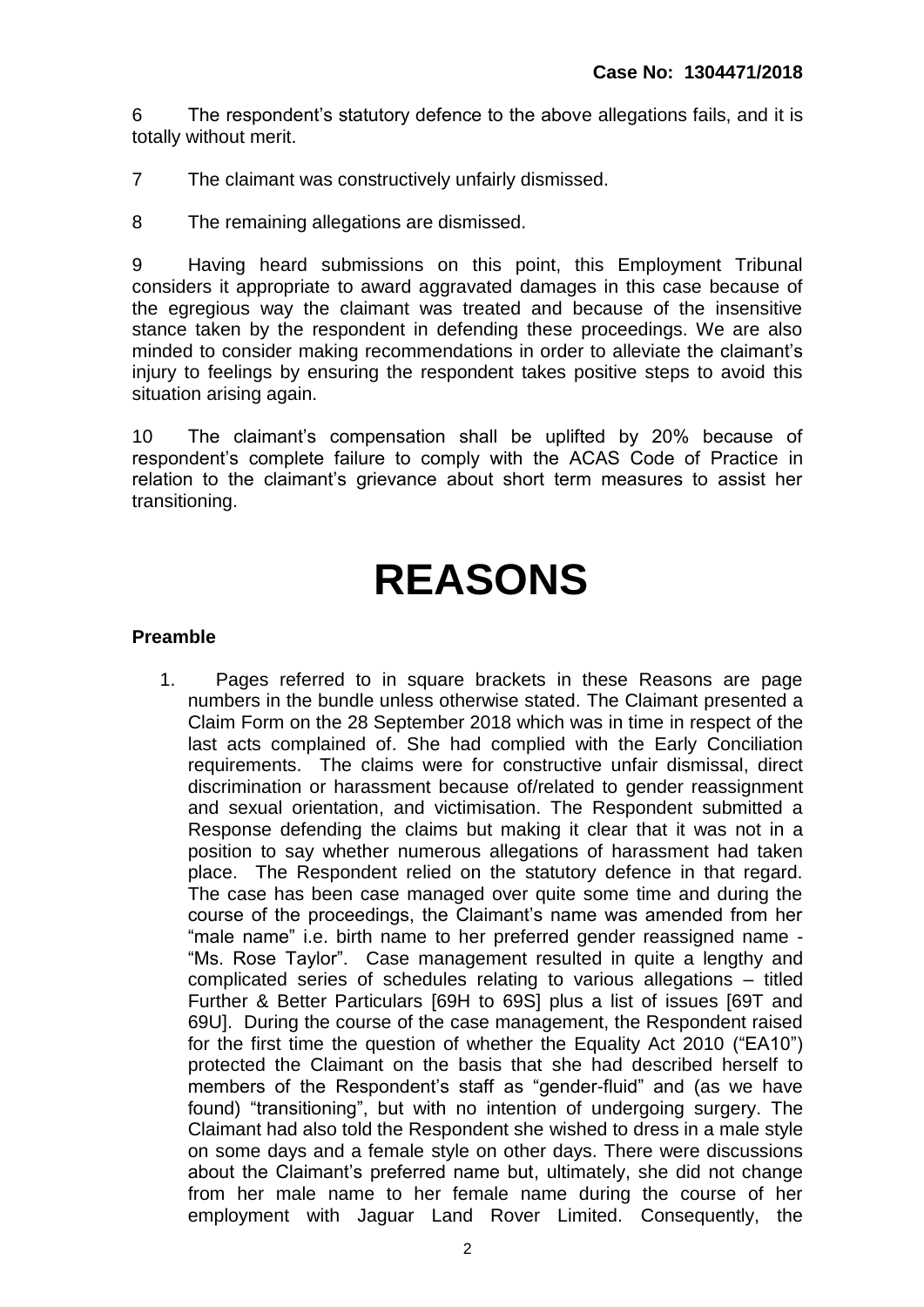6 The respondent's statutory defence to the above allegations fails, and it is totally without merit.

7 The claimant was constructively unfairly dismissed.

8 The remaining allegations are dismissed.

9 Having heard submissions on this point, this Employment Tribunal considers it appropriate to award aggravated damages in this case because of the egregious way the claimant was treated and because of the insensitive stance taken by the respondent in defending these proceedings. We are also minded to consider making recommendations in order to alleviate the claimant's injury to feelings by ensuring the respondent takes positive steps to avoid this situation arising again.

10 The claimant's compensation shall be uplifted by 20% because of respondent's complete failure to comply with the ACAS Code of Practice in relation to the claimant's grievance about short term measures to assist her transitioning.

# **REASONS**

# **Preamble**

1. Pages referred to in square brackets in these Reasons are page numbers in the bundle unless otherwise stated. The Claimant presented a Claim Form on the 28 September 2018 which was in time in respect of the last acts complained of. She had complied with the Early Conciliation requirements. The claims were for constructive unfair dismissal, direct discrimination or harassment because of/related to gender reassignment and sexual orientation, and victimisation. The Respondent submitted a Response defending the claims but making it clear that it was not in a position to say whether numerous allegations of harassment had taken place. The Respondent relied on the statutory defence in that regard. The case has been case managed over quite some time and during the course of the proceedings, the Claimant's name was amended from her "male name" i.e. birth name to her preferred gender reassigned name - "Ms. Rose Taylor". Case management resulted in quite a lengthy and complicated series of schedules relating to various allegations – titled Further & Better Particulars [69H to 69S] plus a list of issues [69T and 69U]. During the course of the case management, the Respondent raised for the first time the question of whether the Equality Act 2010 ("EA10") protected the Claimant on the basis that she had described herself to members of the Respondent's staff as "gender-fluid" and (as we have found) "transitioning", but with no intention of undergoing surgery. The Claimant had also told the Respondent she wished to dress in a male style on some days and a female style on other days. There were discussions about the Claimant's preferred name but, ultimately, she did not change from her male name to her female name during the course of her employment with Jaguar Land Rover Limited. Consequently, the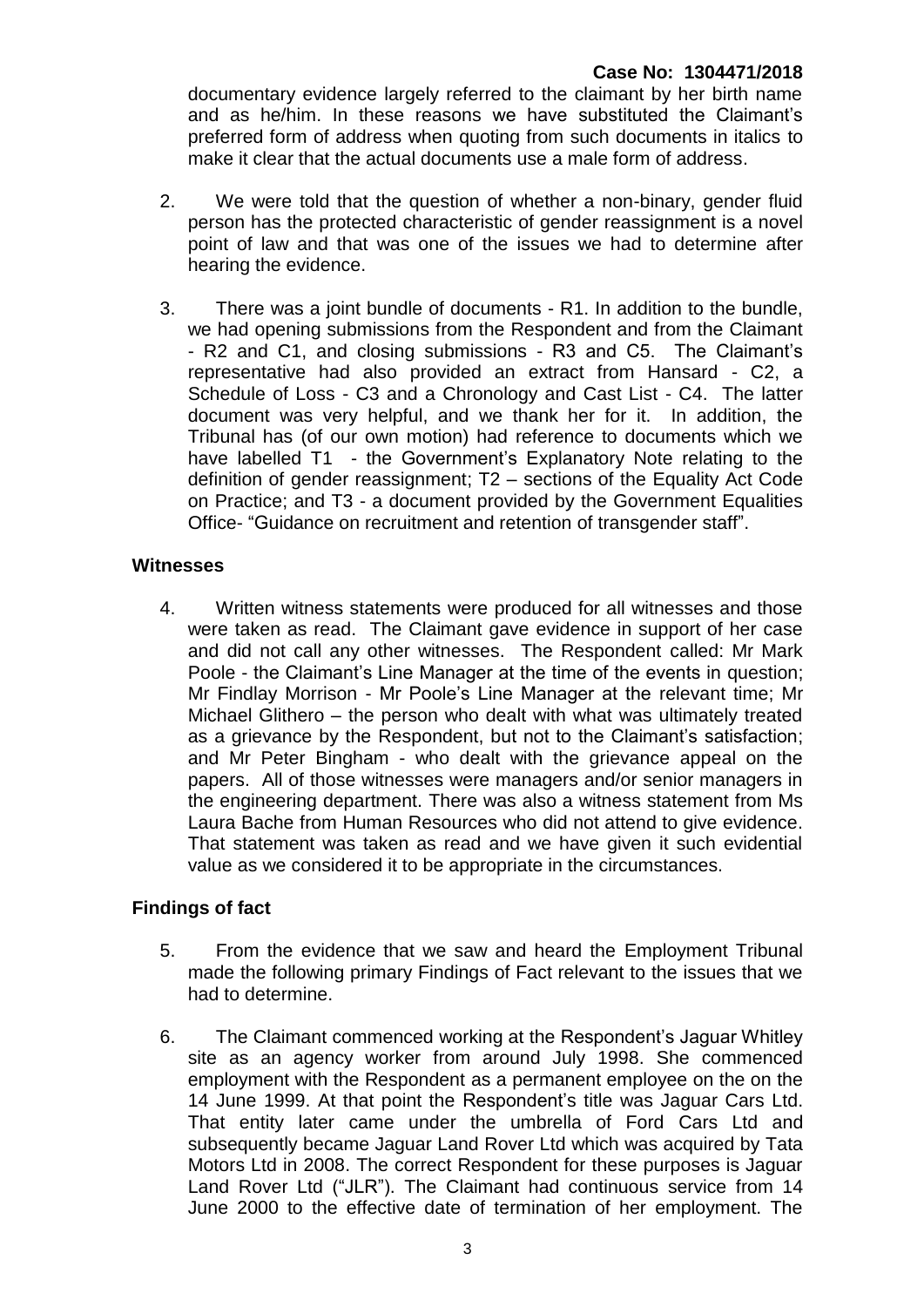documentary evidence largely referred to the claimant by her birth name and as he/him. In these reasons we have substituted the Claimant's preferred form of address when quoting from such documents in italics to make it clear that the actual documents use a male form of address.

- 2. We were told that the question of whether a non-binary, gender fluid person has the protected characteristic of gender reassignment is a novel point of law and that was one of the issues we had to determine after hearing the evidence.
- 3. There was a joint bundle of documents R1. In addition to the bundle, we had opening submissions from the Respondent and from the Claimant - R2 and C1, and closing submissions - R3 and C5. The Claimant's representative had also provided an extract from Hansard - C2, a Schedule of Loss - C3 and a Chronology and Cast List - C4. The latter document was very helpful, and we thank her for it. In addition, the Tribunal has (of our own motion) had reference to documents which we have labelled T1 - the Government's Explanatory Note relating to the definition of gender reassignment; T2 – sections of the Equality Act Code on Practice; and T3 - a document provided by the Government Equalities Office- "Guidance on recruitment and retention of transgender staff".

# **Witnesses**

4. Written witness statements were produced for all witnesses and those were taken as read. The Claimant gave evidence in support of her case and did not call any other witnesses. The Respondent called: Mr Mark Poole - the Claimant's Line Manager at the time of the events in question; Mr Findlay Morrison - Mr Poole's Line Manager at the relevant time; Mr Michael Glithero – the person who dealt with what was ultimately treated as a grievance by the Respondent, but not to the Claimant's satisfaction; and Mr Peter Bingham - who dealt with the grievance appeal on the papers. All of those witnesses were managers and/or senior managers in the engineering department. There was also a witness statement from Ms Laura Bache from Human Resources who did not attend to give evidence. That statement was taken as read and we have given it such evidential value as we considered it to be appropriate in the circumstances.

# **Findings of fact**

- 5. From the evidence that we saw and heard the Employment Tribunal made the following primary Findings of Fact relevant to the issues that we had to determine.
- 6. The Claimant commenced working at the Respondent's Jaguar Whitley site as an agency worker from around July 1998. She commenced employment with the Respondent as a permanent employee on the on the 14 June 1999. At that point the Respondent's title was Jaguar Cars Ltd. That entity later came under the umbrella of Ford Cars Ltd and subsequently became Jaguar Land Rover Ltd which was acquired by Tata Motors Ltd in 2008. The correct Respondent for these purposes is Jaguar Land Rover Ltd ("JLR"). The Claimant had continuous service from 14 June 2000 to the effective date of termination of her employment. The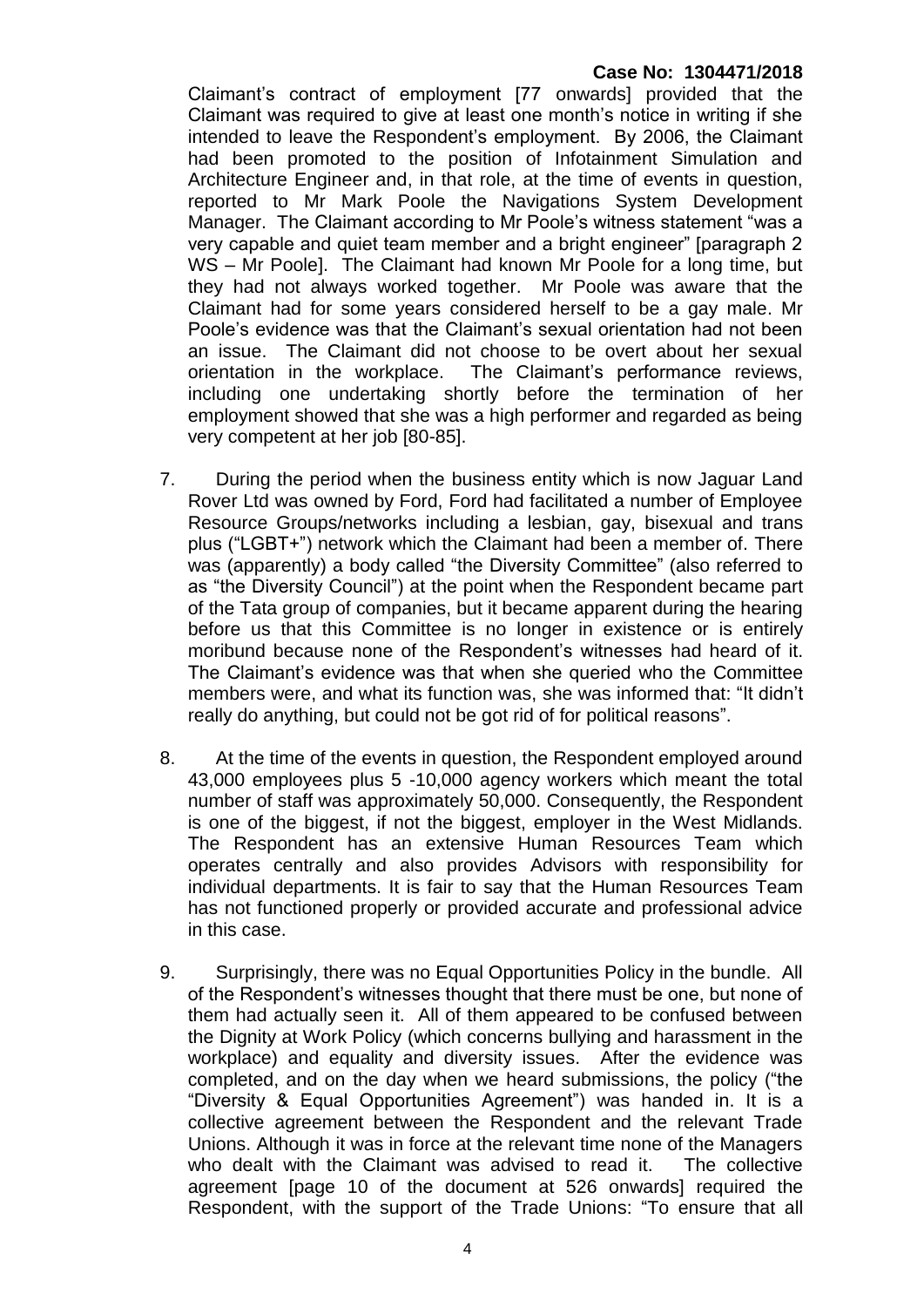Claimant's contract of employment [77 onwards] provided that the Claimant was required to give at least one month's notice in writing if she intended to leave the Respondent's employment. By 2006, the Claimant had been promoted to the position of Infotainment Simulation and Architecture Engineer and, in that role, at the time of events in question, reported to Mr Mark Poole the Navigations System Development Manager. The Claimant according to Mr Poole's witness statement "was a very capable and quiet team member and a bright engineer" [paragraph 2 WS – Mr Poole]. The Claimant had known Mr Poole for a long time, but they had not always worked together. Mr Poole was aware that the Claimant had for some years considered herself to be a gay male. Mr Poole's evidence was that the Claimant's sexual orientation had not been an issue. The Claimant did not choose to be overt about her sexual orientation in the workplace. The Claimant's performance reviews, including one undertaking shortly before the termination of her employment showed that she was a high performer and regarded as being very competent at her job [80-85].

- 7. During the period when the business entity which is now Jaguar Land Rover Ltd was owned by Ford, Ford had facilitated a number of Employee Resource Groups/networks including a lesbian, gay, bisexual and trans plus ("LGBT+") network which the Claimant had been a member of. There was (apparently) a body called "the Diversity Committee" (also referred to as "the Diversity Council") at the point when the Respondent became part of the Tata group of companies, but it became apparent during the hearing before us that this Committee is no longer in existence or is entirely moribund because none of the Respondent's witnesses had heard of it. The Claimant's evidence was that when she queried who the Committee members were, and what its function was, she was informed that: "It didn't really do anything, but could not be got rid of for political reasons".
- 8. At the time of the events in question, the Respondent employed around 43,000 employees plus 5 -10,000 agency workers which meant the total number of staff was approximately 50,000. Consequently, the Respondent is one of the biggest, if not the biggest, employer in the West Midlands. The Respondent has an extensive Human Resources Team which operates centrally and also provides Advisors with responsibility for individual departments. It is fair to say that the Human Resources Team has not functioned properly or provided accurate and professional advice in this case.
- 9. Surprisingly, there was no Equal Opportunities Policy in the bundle. All of the Respondent's witnesses thought that there must be one, but none of them had actually seen it. All of them appeared to be confused between the Dignity at Work Policy (which concerns bullying and harassment in the workplace) and equality and diversity issues. After the evidence was completed, and on the day when we heard submissions, the policy ("the "Diversity & Equal Opportunities Agreement") was handed in. It is a collective agreement between the Respondent and the relevant Trade Unions. Although it was in force at the relevant time none of the Managers who dealt with the Claimant was advised to read it. The collective agreement [page 10 of the document at 526 onwards] required the Respondent, with the support of the Trade Unions: "To ensure that all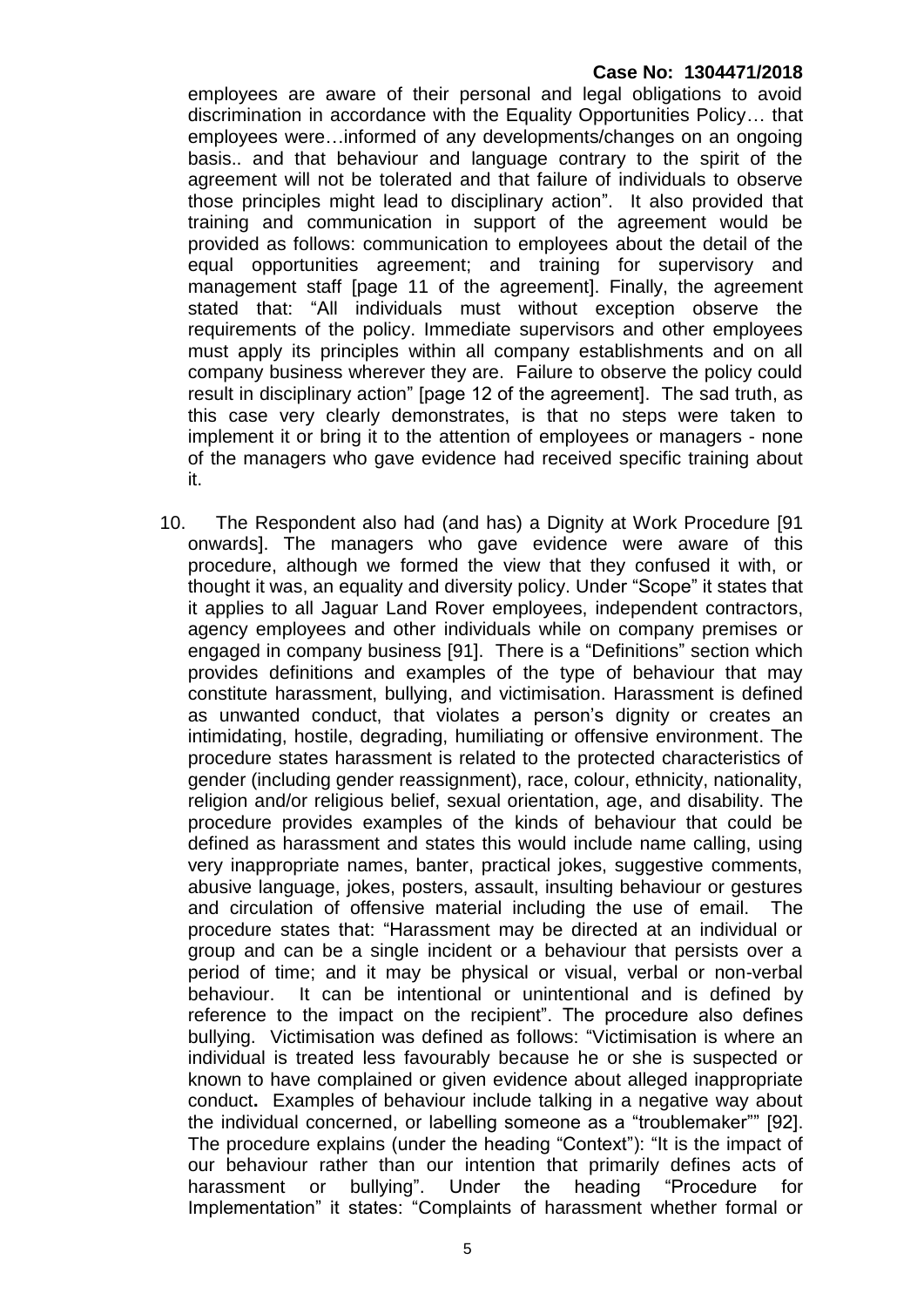employees are aware of their personal and legal obligations to avoid discrimination in accordance with the Equality Opportunities Policy… that employees were…informed of any developments/changes on an ongoing basis.. and that behaviour and language contrary to the spirit of the agreement will not be tolerated and that failure of individuals to observe those principles might lead to disciplinary action". It also provided that training and communication in support of the agreement would be provided as follows: communication to employees about the detail of the equal opportunities agreement; and training for supervisory and management staff [page 11 of the agreement]. Finally, the agreement stated that: "All individuals must without exception observe the requirements of the policy. Immediate supervisors and other employees must apply its principles within all company establishments and on all company business wherever they are. Failure to observe the policy could result in disciplinary action" [page 12 of the agreement]. The sad truth, as this case very clearly demonstrates, is that no steps were taken to implement it or bring it to the attention of employees or managers - none of the managers who gave evidence had received specific training about it.

10. The Respondent also had (and has) a Dignity at Work Procedure [91 onwards]. The managers who gave evidence were aware of this procedure, although we formed the view that they confused it with, or thought it was, an equality and diversity policy. Under "Scope" it states that it applies to all Jaguar Land Rover employees, independent contractors, agency employees and other individuals while on company premises or engaged in company business [91]. There is a "Definitions" section which provides definitions and examples of the type of behaviour that may constitute harassment, bullying, and victimisation. Harassment is defined as unwanted conduct, that violates a person's dignity or creates an intimidating, hostile, degrading, humiliating or offensive environment. The procedure states harassment is related to the protected characteristics of gender (including gender reassignment), race, colour, ethnicity, nationality, religion and/or religious belief, sexual orientation, age, and disability. The procedure provides examples of the kinds of behaviour that could be defined as harassment and states this would include name calling, using very inappropriate names, banter, practical jokes, suggestive comments, abusive language, jokes, posters, assault, insulting behaviour or gestures and circulation of offensive material including the use of email. The procedure states that: "Harassment may be directed at an individual or group and can be a single incident or a behaviour that persists over a period of time; and it may be physical or visual, verbal or non-verbal behaviour. It can be intentional or unintentional and is defined by reference to the impact on the recipient". The procedure also defines bullying. Victimisation was defined as follows: "Victimisation is where an individual is treated less favourably because he or she is suspected or known to have complained or given evidence about alleged inappropriate conduct**.** Examples of behaviour include talking in a negative way about the individual concerned, or labelling someone as a "troublemaker"" [92]. The procedure explains (under the heading "Context"): "It is the impact of our behaviour rather than our intention that primarily defines acts of harassment or bullying". Under the heading "Procedure for Implementation" it states: "Complaints of harassment whether formal or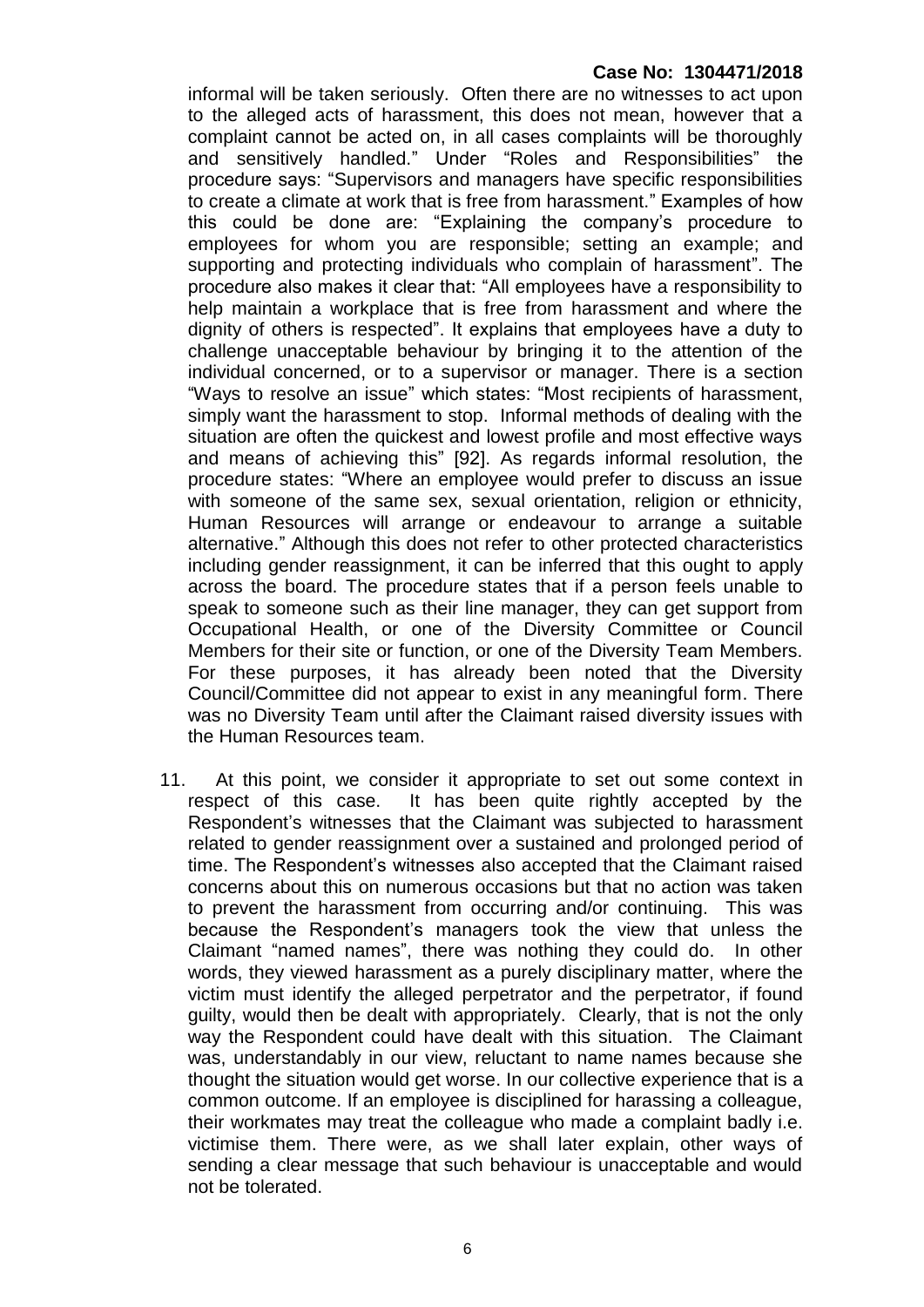informal will be taken seriously. Often there are no witnesses to act upon to the alleged acts of harassment, this does not mean, however that a complaint cannot be acted on, in all cases complaints will be thoroughly and sensitively handled." Under "Roles and Responsibilities" the procedure says: "Supervisors and managers have specific responsibilities to create a climate at work that is free from harassment." Examples of how this could be done are: "Explaining the company's procedure to employees for whom you are responsible; setting an example; and supporting and protecting individuals who complain of harassment". The procedure also makes it clear that: "All employees have a responsibility to help maintain a workplace that is free from harassment and where the dignity of others is respected". It explains that employees have a duty to challenge unacceptable behaviour by bringing it to the attention of the individual concerned, or to a supervisor or manager. There is a section "Ways to resolve an issue" which states: "Most recipients of harassment, simply want the harassment to stop. Informal methods of dealing with the situation are often the quickest and lowest profile and most effective ways and means of achieving this" [92]. As regards informal resolution, the procedure states: "Where an employee would prefer to discuss an issue with someone of the same sex, sexual orientation, religion or ethnicity, Human Resources will arrange or endeavour to arrange a suitable alternative." Although this does not refer to other protected characteristics including gender reassignment, it can be inferred that this ought to apply across the board. The procedure states that if a person feels unable to speak to someone such as their line manager, they can get support from Occupational Health, or one of the Diversity Committee or Council Members for their site or function, or one of the Diversity Team Members. For these purposes, it has already been noted that the Diversity Council/Committee did not appear to exist in any meaningful form. There was no Diversity Team until after the Claimant raised diversity issues with the Human Resources team.

11. At this point, we consider it appropriate to set out some context in respect of this case. It has been quite rightly accepted by the Respondent's witnesses that the Claimant was subjected to harassment related to gender reassignment over a sustained and prolonged period of time. The Respondent's witnesses also accepted that the Claimant raised concerns about this on numerous occasions but that no action was taken to prevent the harassment from occurring and/or continuing. This was because the Respondent's managers took the view that unless the Claimant "named names", there was nothing they could do. In other words, they viewed harassment as a purely disciplinary matter, where the victim must identify the alleged perpetrator and the perpetrator, if found guilty, would then be dealt with appropriately. Clearly, that is not the only way the Respondent could have dealt with this situation. The Claimant was, understandably in our view, reluctant to name names because she thought the situation would get worse. In our collective experience that is a common outcome. If an employee is disciplined for harassing a colleague, their workmates may treat the colleague who made a complaint badly i.e. victimise them. There were, as we shall later explain, other ways of sending a clear message that such behaviour is unacceptable and would not be tolerated.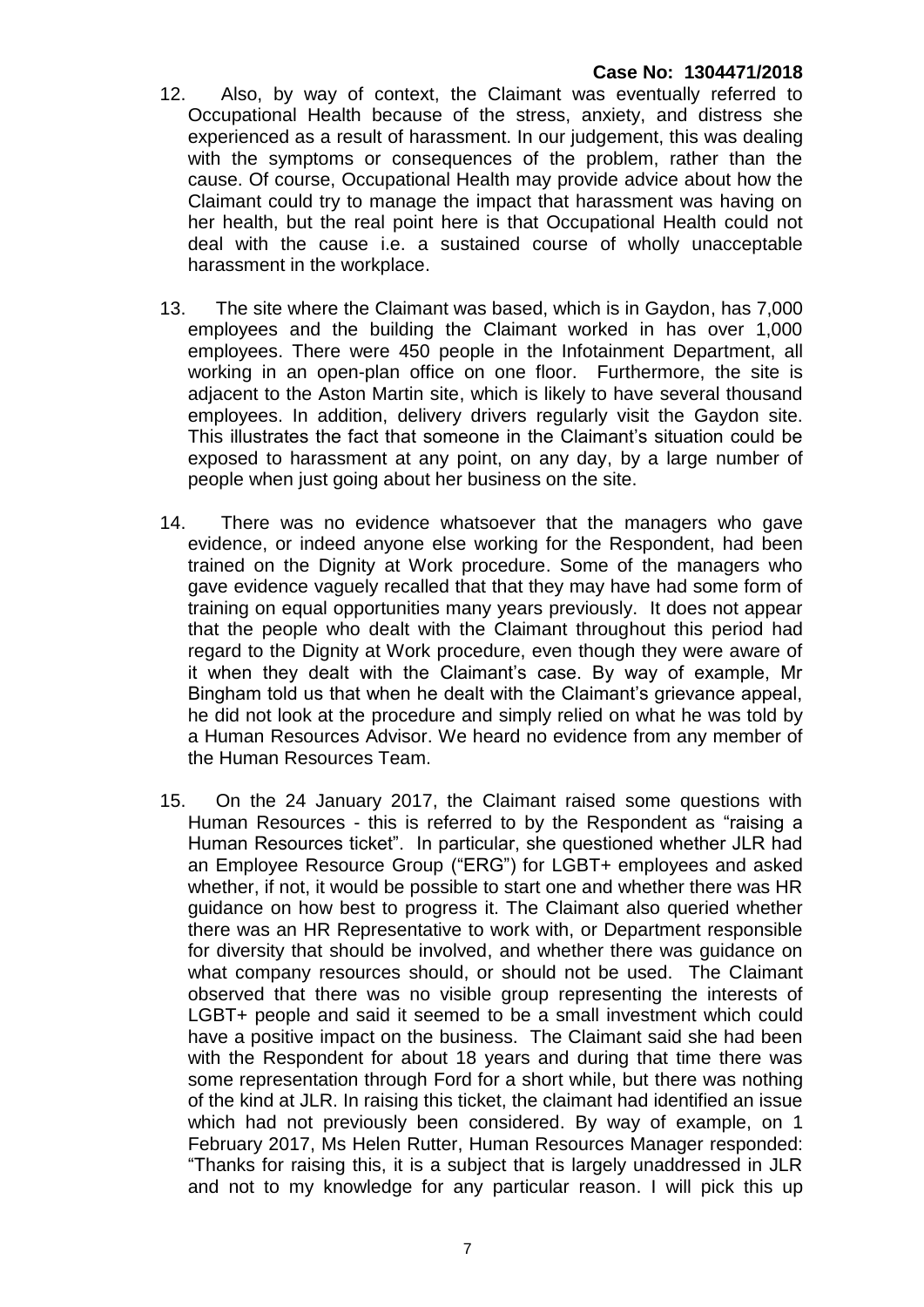- 12. Also, by way of context, the Claimant was eventually referred to Occupational Health because of the stress, anxiety, and distress she experienced as a result of harassment. In our judgement, this was dealing with the symptoms or consequences of the problem, rather than the cause. Of course, Occupational Health may provide advice about how the Claimant could try to manage the impact that harassment was having on her health, but the real point here is that Occupational Health could not deal with the cause i.e. a sustained course of wholly unacceptable harassment in the workplace.
- 13. The site where the Claimant was based, which is in Gaydon, has 7,000 employees and the building the Claimant worked in has over 1,000 employees. There were 450 people in the Infotainment Department, all working in an open-plan office on one floor. Furthermore, the site is adjacent to the Aston Martin site, which is likely to have several thousand employees. In addition, delivery drivers regularly visit the Gaydon site. This illustrates the fact that someone in the Claimant's situation could be exposed to harassment at any point, on any day, by a large number of people when just going about her business on the site.
- 14. There was no evidence whatsoever that the managers who gave evidence, or indeed anyone else working for the Respondent, had been trained on the Dignity at Work procedure. Some of the managers who gave evidence vaguely recalled that that they may have had some form of training on equal opportunities many years previously. It does not appear that the people who dealt with the Claimant throughout this period had regard to the Dignity at Work procedure, even though they were aware of it when they dealt with the Claimant's case. By way of example, Mr Bingham told us that when he dealt with the Claimant's grievance appeal, he did not look at the procedure and simply relied on what he was told by a Human Resources Advisor. We heard no evidence from any member of the Human Resources Team.
- 15. On the 24 January 2017, the Claimant raised some questions with Human Resources - this is referred to by the Respondent as "raising a Human Resources ticket". In particular, she questioned whether JLR had an Employee Resource Group ("ERG") for LGBT+ employees and asked whether, if not, it would be possible to start one and whether there was HR guidance on how best to progress it. The Claimant also queried whether there was an HR Representative to work with, or Department responsible for diversity that should be involved, and whether there was guidance on what company resources should, or should not be used. The Claimant observed that there was no visible group representing the interests of LGBT+ people and said it seemed to be a small investment which could have a positive impact on the business. The Claimant said she had been with the Respondent for about 18 years and during that time there was some representation through Ford for a short while, but there was nothing of the kind at JLR. In raising this ticket, the claimant had identified an issue which had not previously been considered. By way of example, on 1 February 2017, Ms Helen Rutter, Human Resources Manager responded: "Thanks for raising this, it is a subject that is largely unaddressed in JLR and not to my knowledge for any particular reason. I will pick this up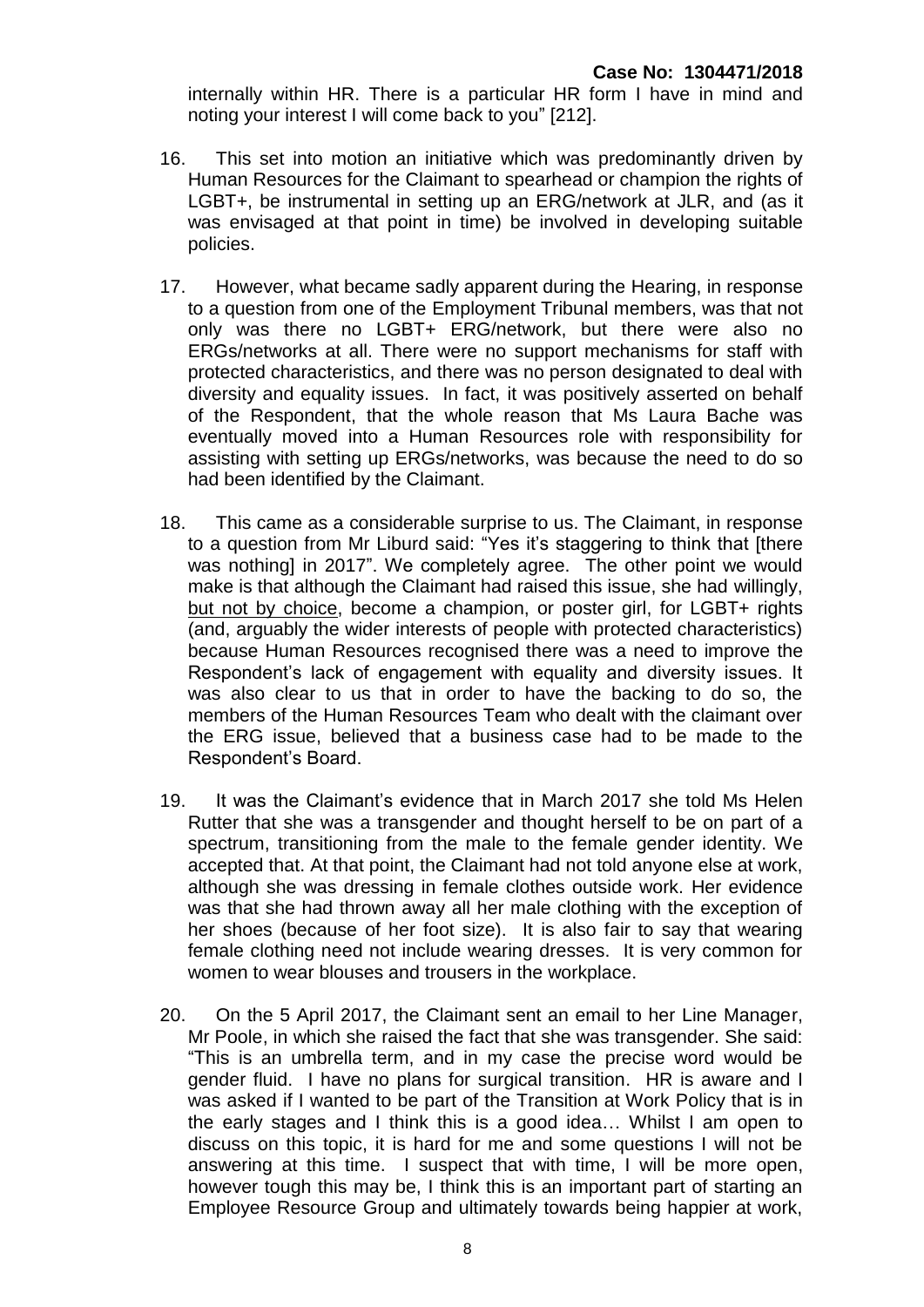internally within HR. There is a particular HR form I have in mind and noting your interest I will come back to you" [212].

- 16. This set into motion an initiative which was predominantly driven by Human Resources for the Claimant to spearhead or champion the rights of LGBT+, be instrumental in setting up an ERG/network at JLR, and (as it was envisaged at that point in time) be involved in developing suitable policies.
- 17. However, what became sadly apparent during the Hearing, in response to a question from one of the Employment Tribunal members, was that not only was there no LGBT+ ERG/network, but there were also no ERGs/networks at all. There were no support mechanisms for staff with protected characteristics, and there was no person designated to deal with diversity and equality issues. In fact, it was positively asserted on behalf of the Respondent, that the whole reason that Ms Laura Bache was eventually moved into a Human Resources role with responsibility for assisting with setting up ERGs/networks, was because the need to do so had been identified by the Claimant.
- 18. This came as a considerable surprise to us. The Claimant, in response to a question from Mr Liburd said: "Yes it's staggering to think that [there was nothing] in 2017". We completely agree. The other point we would make is that although the Claimant had raised this issue, she had willingly, but not by choice, become a champion, or poster girl, for LGBT+ rights (and, arguably the wider interests of people with protected characteristics) because Human Resources recognised there was a need to improve the Respondent's lack of engagement with equality and diversity issues. It was also clear to us that in order to have the backing to do so, the members of the Human Resources Team who dealt with the claimant over the ERG issue, believed that a business case had to be made to the Respondent's Board.
- 19. It was the Claimant's evidence that in March 2017 she told Ms Helen Rutter that she was a transgender and thought herself to be on part of a spectrum, transitioning from the male to the female gender identity. We accepted that. At that point, the Claimant had not told anyone else at work, although she was dressing in female clothes outside work. Her evidence was that she had thrown away all her male clothing with the exception of her shoes (because of her foot size). It is also fair to say that wearing female clothing need not include wearing dresses. It is very common for women to wear blouses and trousers in the workplace.
- 20. On the 5 April 2017, the Claimant sent an email to her Line Manager, Mr Poole, in which she raised the fact that she was transgender. She said: "This is an umbrella term, and in my case the precise word would be gender fluid. I have no plans for surgical transition. HR is aware and I was asked if I wanted to be part of the Transition at Work Policy that is in the early stages and I think this is a good idea… Whilst I am open to discuss on this topic, it is hard for me and some questions I will not be answering at this time. I suspect that with time, I will be more open, however tough this may be, I think this is an important part of starting an Employee Resource Group and ultimately towards being happier at work,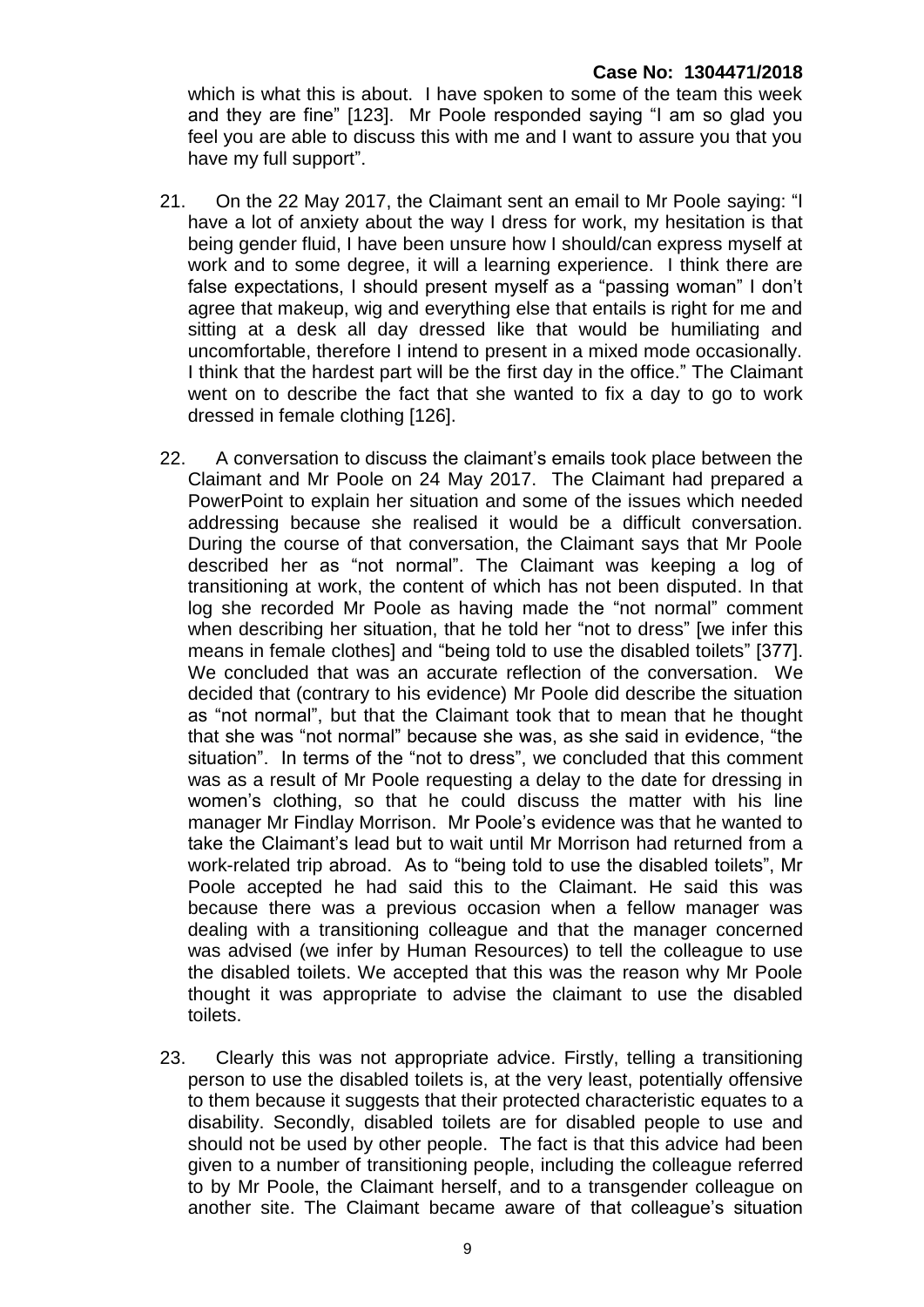which is what this is about. I have spoken to some of the team this week and they are fine" [123]. Mr Poole responded saying "I am so glad you feel you are able to discuss this with me and I want to assure you that you have my full support".

- 21. On the 22 May 2017, the Claimant sent an email to Mr Poole saying: "I have a lot of anxiety about the way I dress for work, my hesitation is that being gender fluid, I have been unsure how I should/can express myself at work and to some degree, it will a learning experience. I think there are false expectations, I should present myself as a "passing woman" I don't agree that makeup, wig and everything else that entails is right for me and sitting at a desk all day dressed like that would be humiliating and uncomfortable, therefore I intend to present in a mixed mode occasionally. I think that the hardest part will be the first day in the office." The Claimant went on to describe the fact that she wanted to fix a day to go to work dressed in female clothing [126].
- 22. A conversation to discuss the claimant's emails took place between the Claimant and Mr Poole on 24 May 2017. The Claimant had prepared a PowerPoint to explain her situation and some of the issues which needed addressing because she realised it would be a difficult conversation. During the course of that conversation, the Claimant says that Mr Poole described her as "not normal". The Claimant was keeping a log of transitioning at work, the content of which has not been disputed. In that log she recorded Mr Poole as having made the "not normal" comment when describing her situation, that he told her "not to dress" [we infer this means in female clothes] and "being told to use the disabled toilets" [377]. We concluded that was an accurate reflection of the conversation. We decided that (contrary to his evidence) Mr Poole did describe the situation as "not normal", but that the Claimant took that to mean that he thought that she was "not normal" because she was, as she said in evidence, "the situation". In terms of the "not to dress", we concluded that this comment was as a result of Mr Poole requesting a delay to the date for dressing in women's clothing, so that he could discuss the matter with his line manager Mr Findlay Morrison. Mr Poole's evidence was that he wanted to take the Claimant's lead but to wait until Mr Morrison had returned from a work-related trip abroad. As to "being told to use the disabled toilets", Mr Poole accepted he had said this to the Claimant. He said this was because there was a previous occasion when a fellow manager was dealing with a transitioning colleague and that the manager concerned was advised (we infer by Human Resources) to tell the colleague to use the disabled toilets. We accepted that this was the reason why Mr Poole thought it was appropriate to advise the claimant to use the disabled toilets.
- 23. Clearly this was not appropriate advice. Firstly, telling a transitioning person to use the disabled toilets is, at the very least, potentially offensive to them because it suggests that their protected characteristic equates to a disability. Secondly, disabled toilets are for disabled people to use and should not be used by other people. The fact is that this advice had been given to a number of transitioning people, including the colleague referred to by Mr Poole, the Claimant herself, and to a transgender colleague on another site. The Claimant became aware of that colleague's situation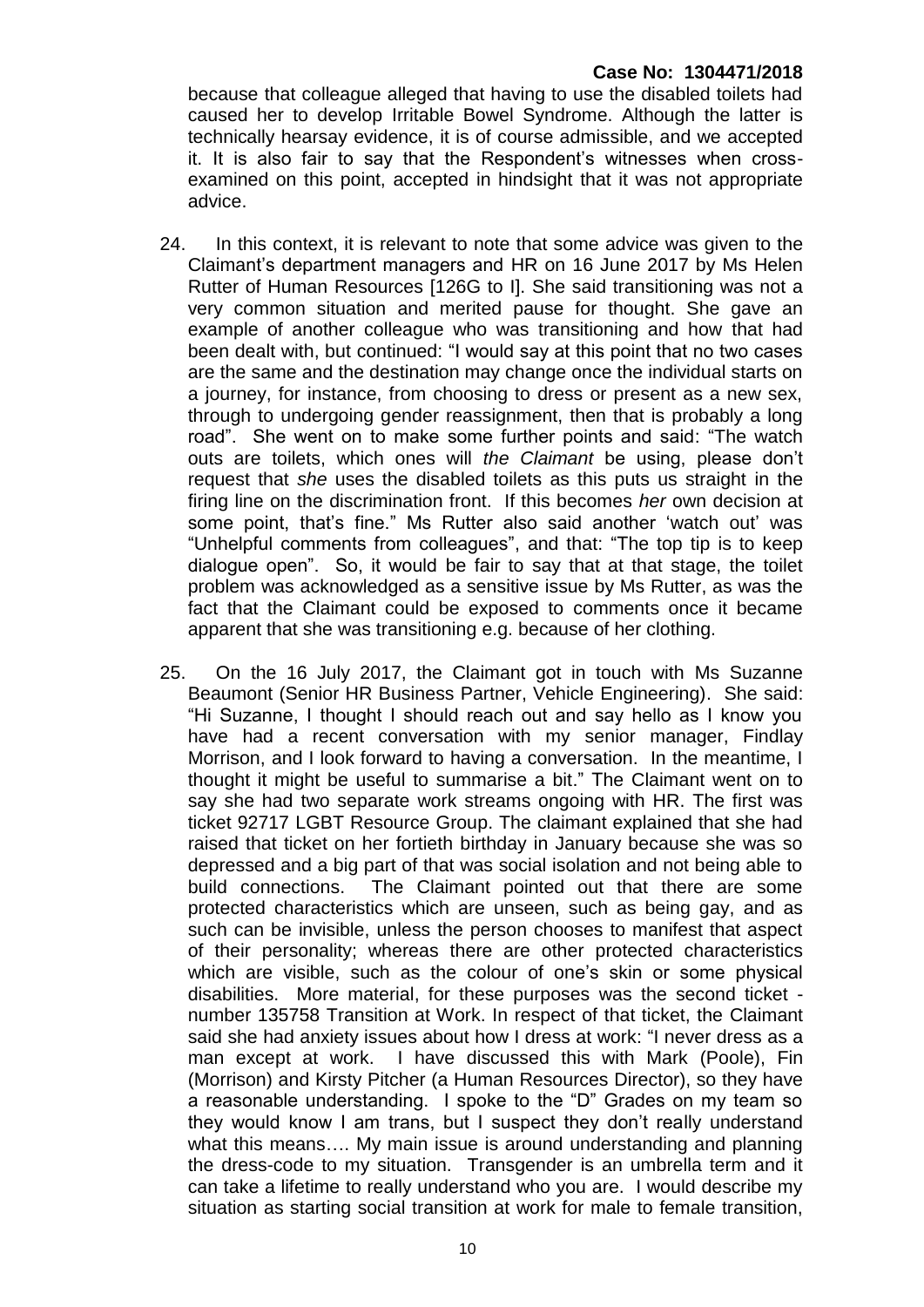because that colleague alleged that having to use the disabled toilets had caused her to develop Irritable Bowel Syndrome. Although the latter is technically hearsay evidence, it is of course admissible, and we accepted it. It is also fair to say that the Respondent's witnesses when crossexamined on this point, accepted in hindsight that it was not appropriate advice.

- 24. In this context, it is relevant to note that some advice was given to the Claimant's department managers and HR on 16 June 2017 by Ms Helen Rutter of Human Resources [126G to I]. She said transitioning was not a very common situation and merited pause for thought. She gave an example of another colleague who was transitioning and how that had been dealt with, but continued: "I would say at this point that no two cases are the same and the destination may change once the individual starts on a journey, for instance, from choosing to dress or present as a new sex, through to undergoing gender reassignment, then that is probably a long road". She went on to make some further points and said: "The watch outs are toilets, which ones will *the Claimant* be using, please don't request that *she* uses the disabled toilets as this puts us straight in the firing line on the discrimination front. If this becomes *her* own decision at some point, that's fine." Ms Rutter also said another 'watch out' was "Unhelpful comments from colleagues", and that: "The top tip is to keep dialogue open". So, it would be fair to say that at that stage, the toilet problem was acknowledged as a sensitive issue by Ms Rutter, as was the fact that the Claimant could be exposed to comments once it became apparent that she was transitioning e.g. because of her clothing.
- 25. On the 16 July 2017, the Claimant got in touch with Ms Suzanne Beaumont (Senior HR Business Partner, Vehicle Engineering). She said: "Hi Suzanne, I thought I should reach out and say hello as I know you have had a recent conversation with my senior manager, Findlay Morrison, and I look forward to having a conversation. In the meantime, I thought it might be useful to summarise a bit." The Claimant went on to say she had two separate work streams ongoing with HR. The first was ticket 92717 LGBT Resource Group. The claimant explained that she had raised that ticket on her fortieth birthday in January because she was so depressed and a big part of that was social isolation and not being able to build connections. The Claimant pointed out that there are some protected characteristics which are unseen, such as being gay, and as such can be invisible, unless the person chooses to manifest that aspect of their personality; whereas there are other protected characteristics which are visible, such as the colour of one's skin or some physical disabilities. More material, for these purposes was the second ticket number 135758 Transition at Work. In respect of that ticket, the Claimant said she had anxiety issues about how I dress at work: "I never dress as a man except at work. I have discussed this with Mark (Poole), Fin (Morrison) and Kirsty Pitcher (a Human Resources Director), so they have a reasonable understanding. I spoke to the "D" Grades on my team so they would know I am trans, but I suspect they don't really understand what this means…. My main issue is around understanding and planning the dress-code to my situation. Transgender is an umbrella term and it can take a lifetime to really understand who you are. I would describe my situation as starting social transition at work for male to female transition,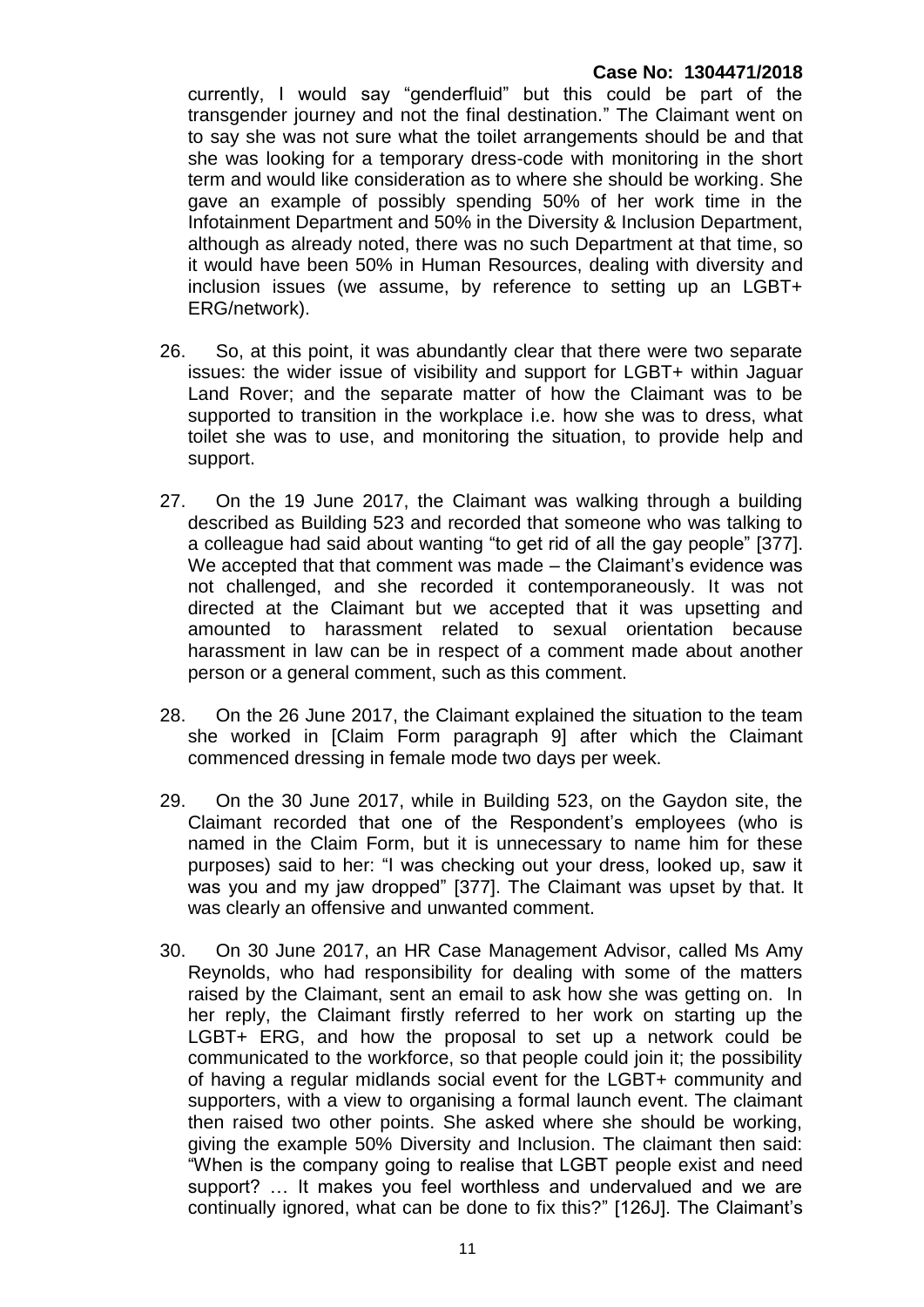currently, I would say "genderfluid" but this could be part of the transgender journey and not the final destination." The Claimant went on to say she was not sure what the toilet arrangements should be and that she was looking for a temporary dress-code with monitoring in the short term and would like consideration as to where she should be working. She gave an example of possibly spending 50% of her work time in the Infotainment Department and 50% in the Diversity & Inclusion Department, although as already noted, there was no such Department at that time, so it would have been 50% in Human Resources, dealing with diversity and inclusion issues (we assume, by reference to setting up an LGBT+ ERG/network).

- 26. So, at this point, it was abundantly clear that there were two separate issues: the wider issue of visibility and support for LGBT+ within Jaguar Land Rover; and the separate matter of how the Claimant was to be supported to transition in the workplace i.e. how she was to dress, what toilet she was to use, and monitoring the situation, to provide help and support.
- 27. On the 19 June 2017, the Claimant was walking through a building described as Building 523 and recorded that someone who was talking to a colleague had said about wanting "to get rid of all the gay people" [377]. We accepted that that comment was made – the Claimant's evidence was not challenged, and she recorded it contemporaneously. It was not directed at the Claimant but we accepted that it was upsetting and amounted to harassment related to sexual orientation because harassment in law can be in respect of a comment made about another person or a general comment, such as this comment.
- 28. On the 26 June 2017, the Claimant explained the situation to the team she worked in [Claim Form paragraph 9] after which the Claimant commenced dressing in female mode two days per week.
- 29. On the 30 June 2017, while in Building 523, on the Gaydon site, the Claimant recorded that one of the Respondent's employees (who is named in the Claim Form, but it is unnecessary to name him for these purposes) said to her: "I was checking out your dress, looked up, saw it was you and my jaw dropped" [377]. The Claimant was upset by that. It was clearly an offensive and unwanted comment.
- 30. On 30 June 2017, an HR Case Management Advisor, called Ms Amy Reynolds, who had responsibility for dealing with some of the matters raised by the Claimant, sent an email to ask how she was getting on. In her reply, the Claimant firstly referred to her work on starting up the LGBT+ ERG, and how the proposal to set up a network could be communicated to the workforce, so that people could join it; the possibility of having a regular midlands social event for the LGBT+ community and supporters, with a view to organising a formal launch event. The claimant then raised two other points. She asked where she should be working, giving the example 50% Diversity and Inclusion. The claimant then said: "When is the company going to realise that LGBT people exist and need support? … It makes you feel worthless and undervalued and we are continually ignored, what can be done to fix this?" [126J]. The Claimant's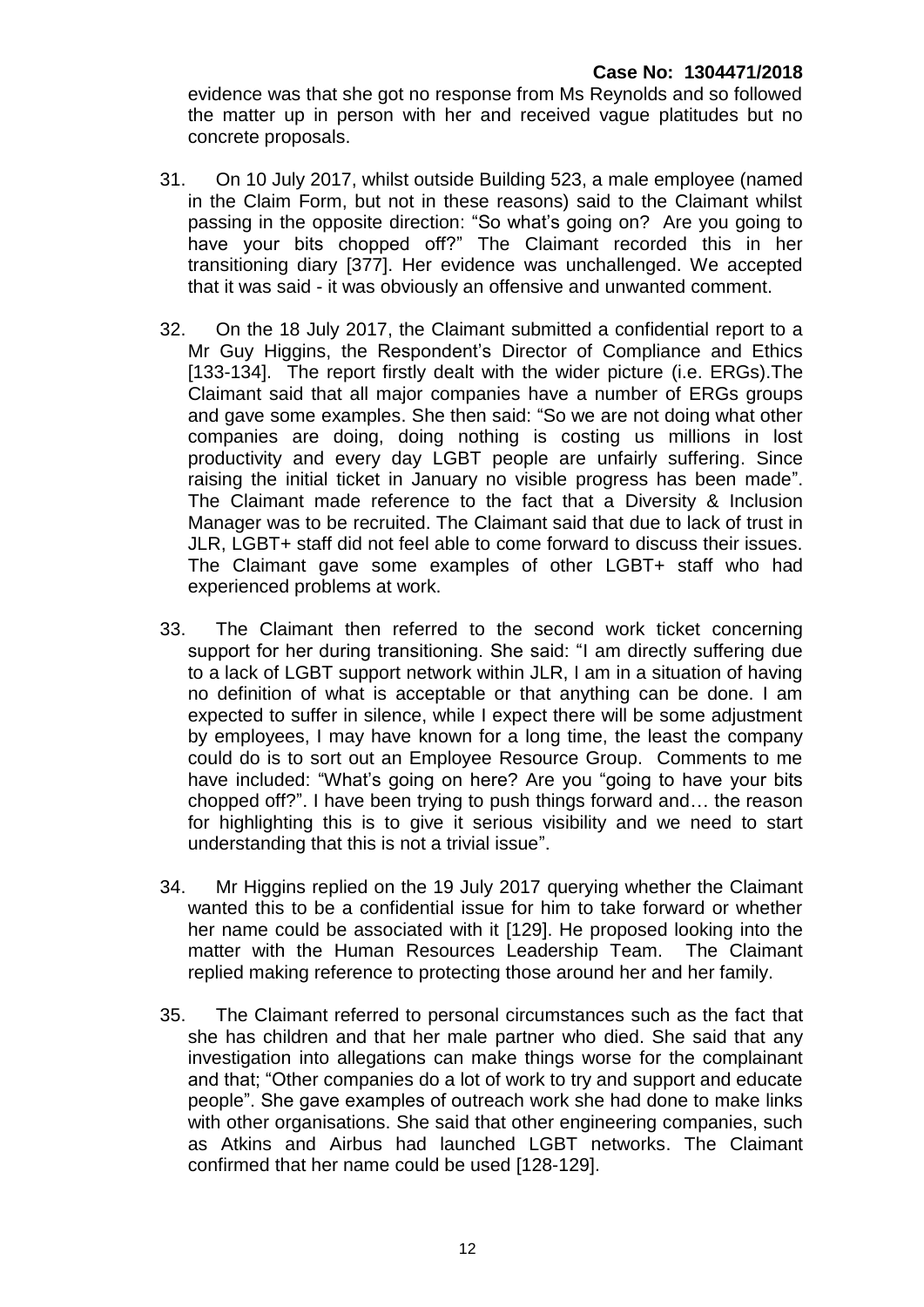evidence was that she got no response from Ms Reynolds and so followed the matter up in person with her and received vague platitudes but no concrete proposals.

- 31. On 10 July 2017, whilst outside Building 523, a male employee (named in the Claim Form, but not in these reasons) said to the Claimant whilst passing in the opposite direction: "So what's going on? Are you going to have your bits chopped off?" The Claimant recorded this in her transitioning diary [377]. Her evidence was unchallenged. We accepted that it was said - it was obviously an offensive and unwanted comment.
- 32. On the 18 July 2017, the Claimant submitted a confidential report to a Mr Guy Higgins, the Respondent's Director of Compliance and Ethics [133-134]. The report firstly dealt with the wider picture (i.e. ERGs). The Claimant said that all major companies have a number of ERGs groups and gave some examples. She then said: "So we are not doing what other companies are doing, doing nothing is costing us millions in lost productivity and every day LGBT people are unfairly suffering. Since raising the initial ticket in January no visible progress has been made". The Claimant made reference to the fact that a Diversity & Inclusion Manager was to be recruited. The Claimant said that due to lack of trust in JLR, LGBT+ staff did not feel able to come forward to discuss their issues. The Claimant gave some examples of other LGBT+ staff who had experienced problems at work.
- 33. The Claimant then referred to the second work ticket concerning support for her during transitioning. She said: "I am directly suffering due to a lack of LGBT support network within JLR, I am in a situation of having no definition of what is acceptable or that anything can be done. I am expected to suffer in silence, while I expect there will be some adjustment by employees, I may have known for a long time, the least the company could do is to sort out an Employee Resource Group. Comments to me have included: "What's going on here? Are you "going to have your bits chopped off?". I have been trying to push things forward and… the reason for highlighting this is to give it serious visibility and we need to start understanding that this is not a trivial issue".
- 34. Mr Higgins replied on the 19 July 2017 querying whether the Claimant wanted this to be a confidential issue for him to take forward or whether her name could be associated with it [129]. He proposed looking into the matter with the Human Resources Leadership Team. The Claimant replied making reference to protecting those around her and her family.
- 35. The Claimant referred to personal circumstances such as the fact that she has children and that her male partner who died. She said that any investigation into allegations can make things worse for the complainant and that; "Other companies do a lot of work to try and support and educate people". She gave examples of outreach work she had done to make links with other organisations. She said that other engineering companies, such as Atkins and Airbus had launched LGBT networks. The Claimant confirmed that her name could be used [128-129].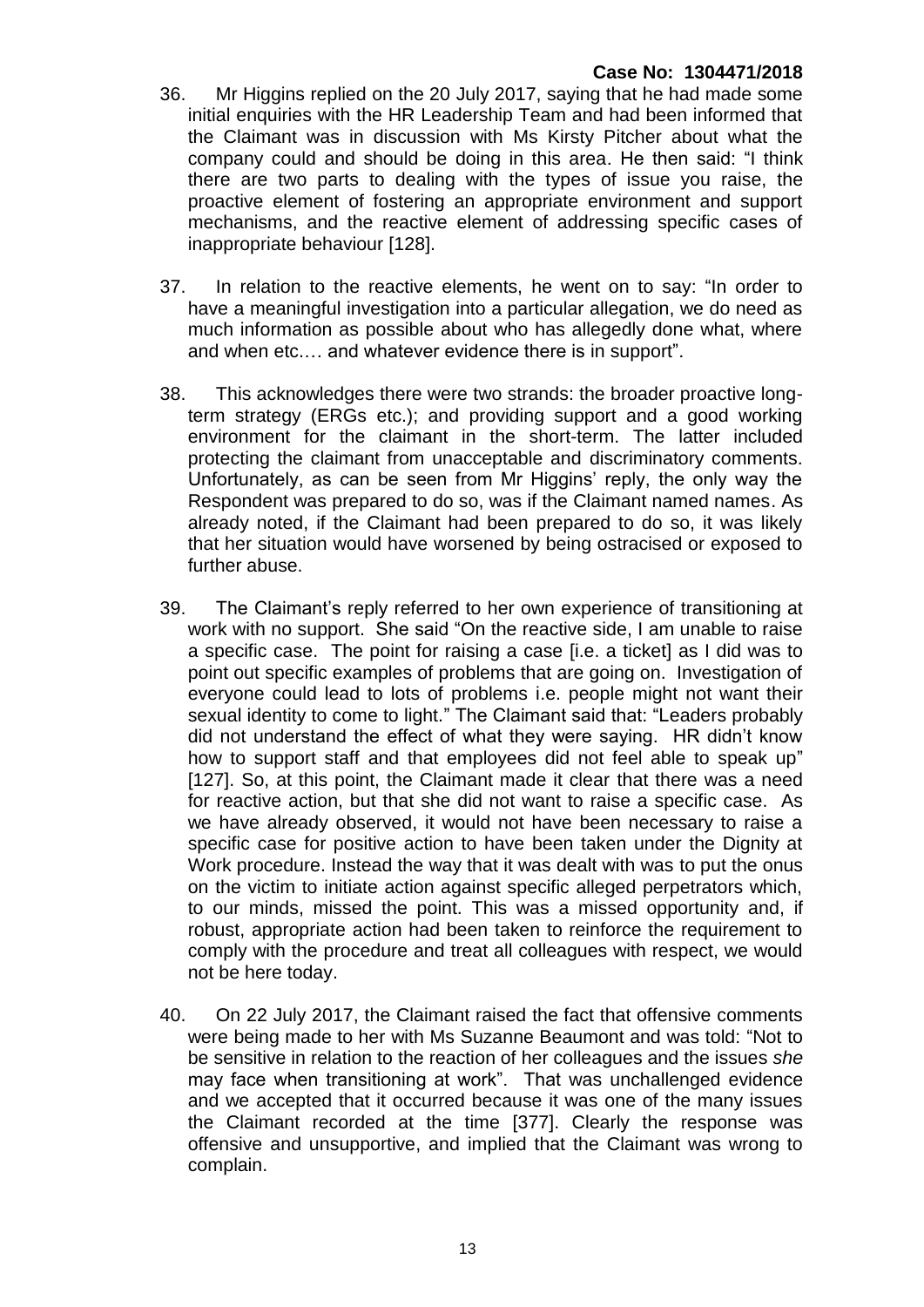- 36. Mr Higgins replied on the 20 July 2017, saying that he had made some initial enquiries with the HR Leadership Team and had been informed that the Claimant was in discussion with Ms Kirsty Pitcher about what the company could and should be doing in this area. He then said: "I think there are two parts to dealing with the types of issue you raise, the proactive element of fostering an appropriate environment and support mechanisms, and the reactive element of addressing specific cases of inappropriate behaviour [128].
- 37. In relation to the reactive elements, he went on to say: "In order to have a meaningful investigation into a particular allegation, we do need as much information as possible about who has allegedly done what, where and when etc.… and whatever evidence there is in support".
- 38. This acknowledges there were two strands: the broader proactive longterm strategy (ERGs etc.); and providing support and a good working environment for the claimant in the short-term. The latter included protecting the claimant from unacceptable and discriminatory comments. Unfortunately, as can be seen from Mr Higgins' reply, the only way the Respondent was prepared to do so, was if the Claimant named names. As already noted, if the Claimant had been prepared to do so, it was likely that her situation would have worsened by being ostracised or exposed to further abuse.
- 39. The Claimant's reply referred to her own experience of transitioning at work with no support. She said "On the reactive side, I am unable to raise a specific case. The point for raising a case [i.e. a ticket] as I did was to point out specific examples of problems that are going on. Investigation of everyone could lead to lots of problems i.e. people might not want their sexual identity to come to light." The Claimant said that: "Leaders probably did not understand the effect of what they were saying. HR didn't know how to support staff and that employees did not feel able to speak up" [127]. So, at this point, the Claimant made it clear that there was a need for reactive action, but that she did not want to raise a specific case. As we have already observed, it would not have been necessary to raise a specific case for positive action to have been taken under the Dignity at Work procedure. Instead the way that it was dealt with was to put the onus on the victim to initiate action against specific alleged perpetrators which, to our minds, missed the point. This was a missed opportunity and, if robust, appropriate action had been taken to reinforce the requirement to comply with the procedure and treat all colleagues with respect, we would not be here today.
- 40. On 22 July 2017, the Claimant raised the fact that offensive comments were being made to her with Ms Suzanne Beaumont and was told: "Not to be sensitive in relation to the reaction of her colleagues and the issues *she* may face when transitioning at work". That was unchallenged evidence and we accepted that it occurred because it was one of the many issues the Claimant recorded at the time [377]. Clearly the response was offensive and unsupportive, and implied that the Claimant was wrong to complain.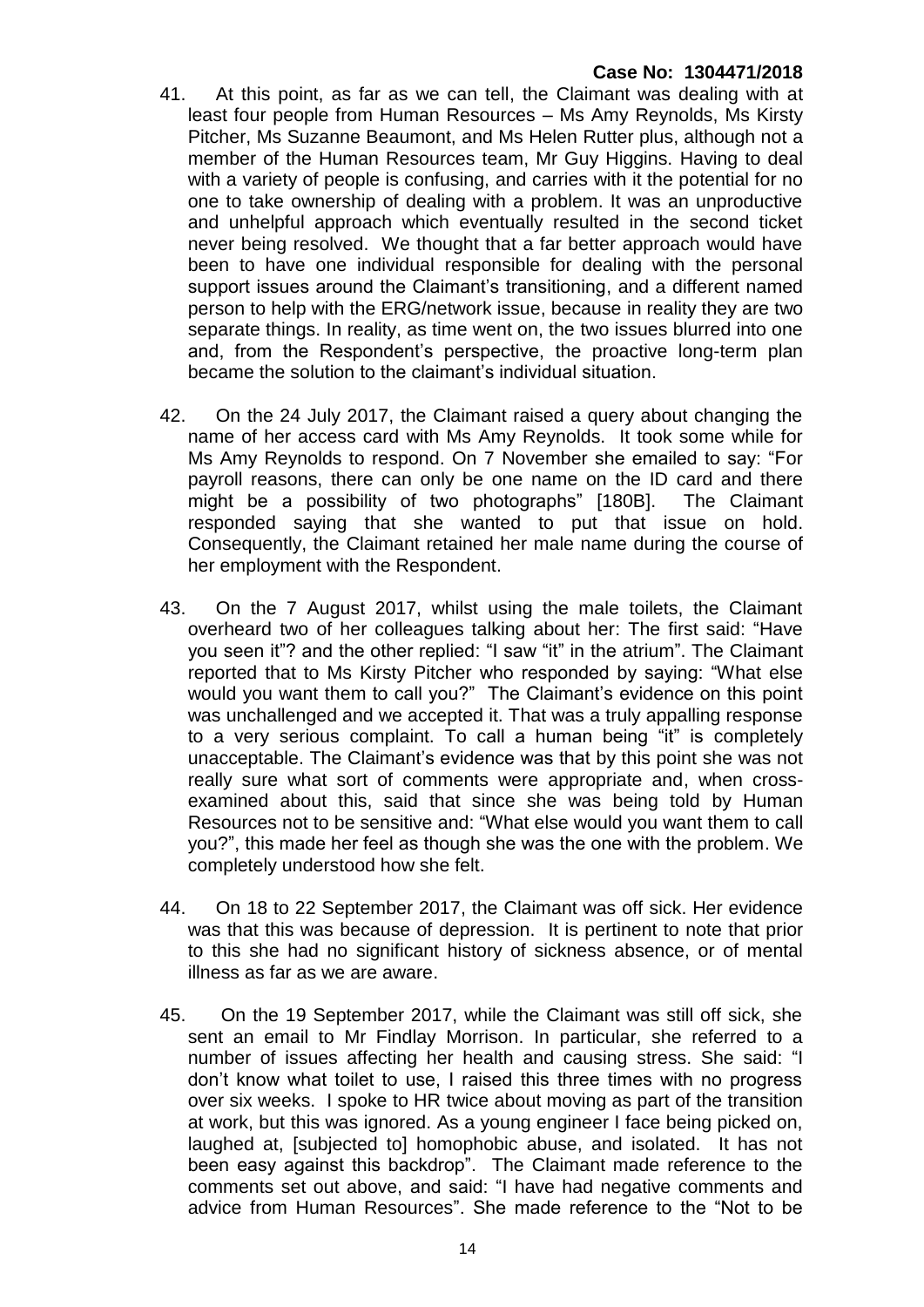- 41. At this point, as far as we can tell, the Claimant was dealing with at least four people from Human Resources – Ms Amy Reynolds, Ms Kirsty Pitcher, Ms Suzanne Beaumont, and Ms Helen Rutter plus, although not a member of the Human Resources team, Mr Guy Higgins. Having to deal with a variety of people is confusing, and carries with it the potential for no one to take ownership of dealing with a problem. It was an unproductive and unhelpful approach which eventually resulted in the second ticket never being resolved. We thought that a far better approach would have been to have one individual responsible for dealing with the personal support issues around the Claimant's transitioning, and a different named person to help with the ERG/network issue, because in reality they are two separate things. In reality, as time went on, the two issues blurred into one and, from the Respondent's perspective, the proactive long-term plan became the solution to the claimant's individual situation.
- 42. On the 24 July 2017, the Claimant raised a query about changing the name of her access card with Ms Amy Reynolds. It took some while for Ms Amy Reynolds to respond. On 7 November she emailed to say: "For payroll reasons, there can only be one name on the ID card and there might be a possibility of two photographs" [180B]. The Claimant responded saying that she wanted to put that issue on hold. Consequently, the Claimant retained her male name during the course of her employment with the Respondent.
- 43. On the 7 August 2017, whilst using the male toilets, the Claimant overheard two of her colleagues talking about her: The first said: "Have you seen it"? and the other replied: "I saw "it" in the atrium". The Claimant reported that to Ms Kirsty Pitcher who responded by saying: "What else would you want them to call you?" The Claimant's evidence on this point was unchallenged and we accepted it. That was a truly appalling response to a very serious complaint. To call a human being "it" is completely unacceptable. The Claimant's evidence was that by this point she was not really sure what sort of comments were appropriate and, when crossexamined about this, said that since she was being told by Human Resources not to be sensitive and: "What else would you want them to call you?", this made her feel as though she was the one with the problem. We completely understood how she felt.
- 44. On 18 to 22 September 2017, the Claimant was off sick. Her evidence was that this was because of depression. It is pertinent to note that prior to this she had no significant history of sickness absence, or of mental illness as far as we are aware.
- 45. On the 19 September 2017, while the Claimant was still off sick, she sent an email to Mr Findlay Morrison. In particular, she referred to a number of issues affecting her health and causing stress. She said: "I don't know what toilet to use, I raised this three times with no progress over six weeks. I spoke to HR twice about moving as part of the transition at work, but this was ignored. As a young engineer I face being picked on, laughed at, [subjected to] homophobic abuse, and isolated. It has not been easy against this backdrop". The Claimant made reference to the comments set out above, and said: "I have had negative comments and advice from Human Resources". She made reference to the "Not to be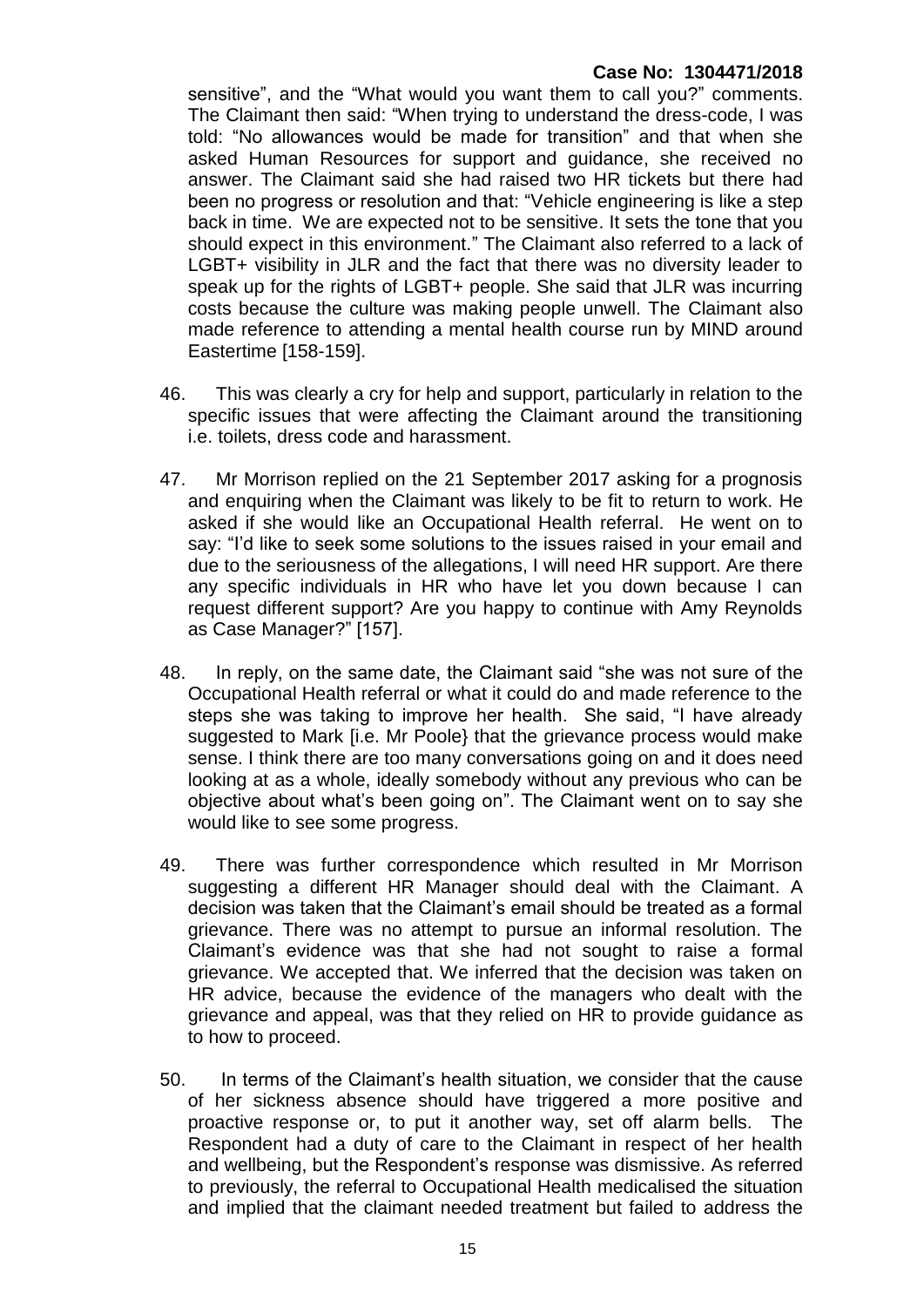sensitive", and the "What would you want them to call you?" comments. The Claimant then said: "When trying to understand the dress-code, I was told: "No allowances would be made for transition" and that when she asked Human Resources for support and guidance, she received no answer. The Claimant said she had raised two HR tickets but there had been no progress or resolution and that: "Vehicle engineering is like a step back in time. We are expected not to be sensitive. It sets the tone that you should expect in this environment." The Claimant also referred to a lack of LGBT+ visibility in JLR and the fact that there was no diversity leader to speak up for the rights of LGBT+ people. She said that JLR was incurring costs because the culture was making people unwell. The Claimant also made reference to attending a mental health course run by MIND around Eastertime [158-159].

- 46. This was clearly a cry for help and support, particularly in relation to the specific issues that were affecting the Claimant around the transitioning i.e. toilets, dress code and harassment.
- 47. Mr Morrison replied on the 21 September 2017 asking for a prognosis and enquiring when the Claimant was likely to be fit to return to work. He asked if she would like an Occupational Health referral. He went on to say: "I'd like to seek some solutions to the issues raised in your email and due to the seriousness of the allegations, I will need HR support. Are there any specific individuals in HR who have let you down because I can request different support? Are you happy to continue with Amy Reynolds as Case Manager?" [157].
- 48. In reply, on the same date, the Claimant said "she was not sure of the Occupational Health referral or what it could do and made reference to the steps she was taking to improve her health. She said, "I have already suggested to Mark [i.e. Mr Poole} that the grievance process would make sense. I think there are too many conversations going on and it does need looking at as a whole, ideally somebody without any previous who can be objective about what's been going on". The Claimant went on to say she would like to see some progress.
- 49. There was further correspondence which resulted in Mr Morrison suggesting a different HR Manager should deal with the Claimant. A decision was taken that the Claimant's email should be treated as a formal grievance. There was no attempt to pursue an informal resolution. The Claimant's evidence was that she had not sought to raise a formal grievance. We accepted that. We inferred that the decision was taken on HR advice, because the evidence of the managers who dealt with the grievance and appeal, was that they relied on HR to provide guidance as to how to proceed.
- 50. In terms of the Claimant's health situation, we consider that the cause of her sickness absence should have triggered a more positive and proactive response or, to put it another way, set off alarm bells. The Respondent had a duty of care to the Claimant in respect of her health and wellbeing, but the Respondent's response was dismissive. As referred to previously, the referral to Occupational Health medicalised the situation and implied that the claimant needed treatment but failed to address the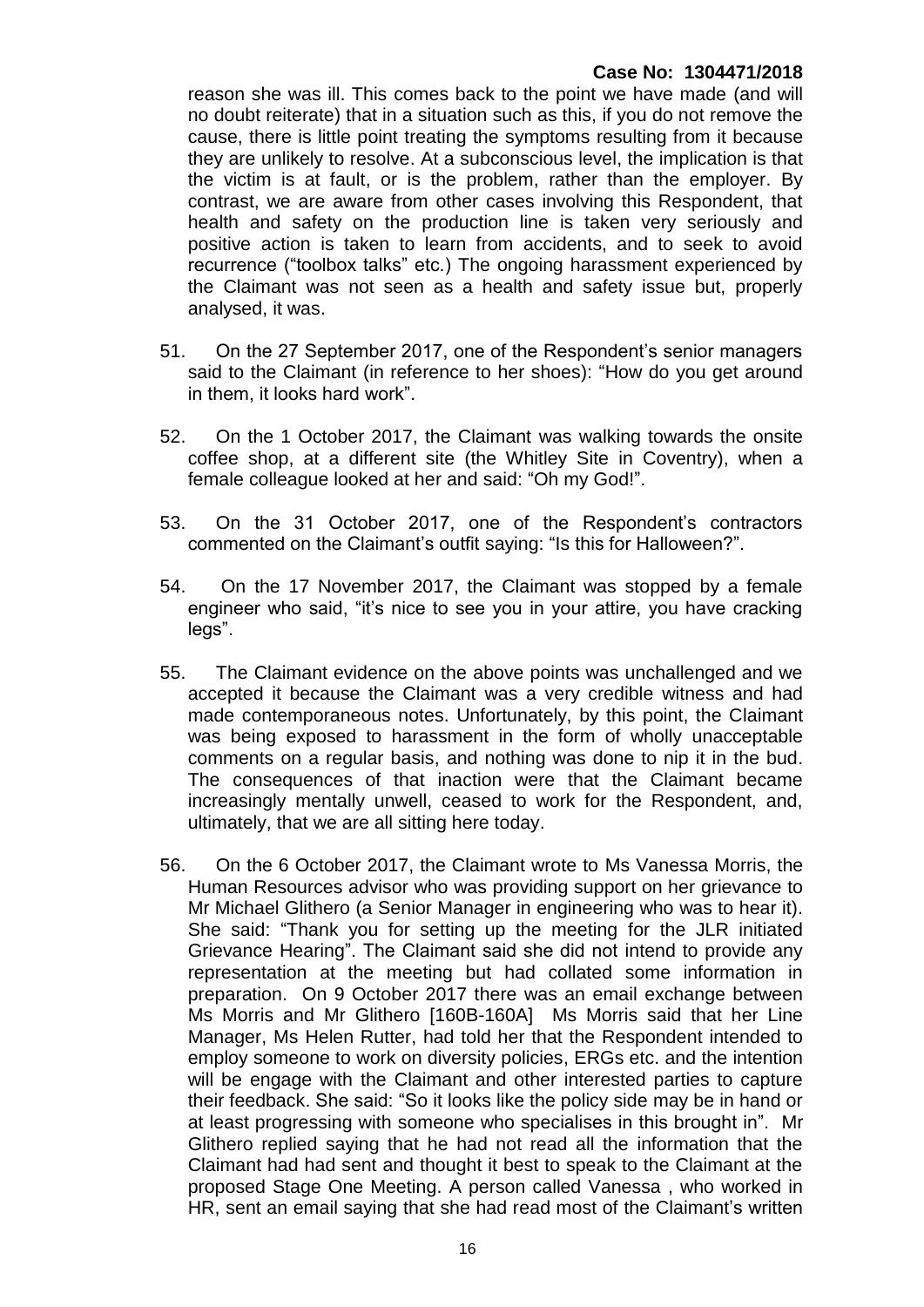reason she was ill. This comes back to the point we have made (and will no doubt reiterate) that in a situation such as this, if you do not remove the cause, there is little point treating the symptoms resulting from it because they are unlikely to resolve. At a subconscious level, the implication is that the victim is at fault, or is the problem, rather than the employer. By contrast, we are aware from other cases involving this Respondent, that health and safety on the production line is taken very seriously and positive action is taken to learn from accidents, and to seek to avoid recurrence ("toolbox talks" etc.) The ongoing harassment experienced by the Claimant was not seen as a health and safety issue but, properly analysed, it was.

- 51. On the 27 September 2017, one of the Respondent's senior managers said to the Claimant (in reference to her shoes): "How do you get around in them, it looks hard work".
- 52. On the 1 October 2017, the Claimant was walking towards the onsite coffee shop, at a different site (the Whitley Site in Coventry), when a female colleague looked at her and said: "Oh my God!".
- 53. On the 31 October 2017, one of the Respondent's contractors commented on the Claimant's outfit saying: "Is this for Halloween?".
- 54. On the 17 November 2017, the Claimant was stopped by a female engineer who said, "it's nice to see you in your attire, you have cracking legs".
- 55. The Claimant evidence on the above points was unchallenged and we accepted it because the Claimant was a very credible witness and had made contemporaneous notes. Unfortunately, by this point, the Claimant was being exposed to harassment in the form of wholly unacceptable comments on a regular basis, and nothing was done to nip it in the bud. The consequences of that inaction were that the Claimant became increasingly mentally unwell, ceased to work for the Respondent, and, ultimately, that we are all sitting here today.
- 56. On the 6 October 2017, the Claimant wrote to Ms Vanessa Morris, the Human Resources advisor who was providing support on her grievance to Mr Michael Glithero (a Senior Manager in engineering who was to hear it). She said: "Thank you for setting up the meeting for the JLR initiated Grievance Hearing". The Claimant said she did not intend to provide any representation at the meeting but had collated some information in preparation. On 9 October 2017 there was an email exchange between Ms Morris and Mr Glithero [160B-160A] Ms Morris said that her Line Manager, Ms Helen Rutter, had told her that the Respondent intended to employ someone to work on diversity policies, ERGs etc. and the intention will be engage with the Claimant and other interested parties to capture their feedback. She said: "So it looks like the policy side may be in hand or at least progressing with someone who specialises in this brought in". Mr Glithero replied saying that he had not read all the information that the Claimant had had sent and thought it best to speak to the Claimant at the proposed Stage One Meeting. A person called Vanessa , who worked in HR, sent an email saying that she had read most of the Claimant's written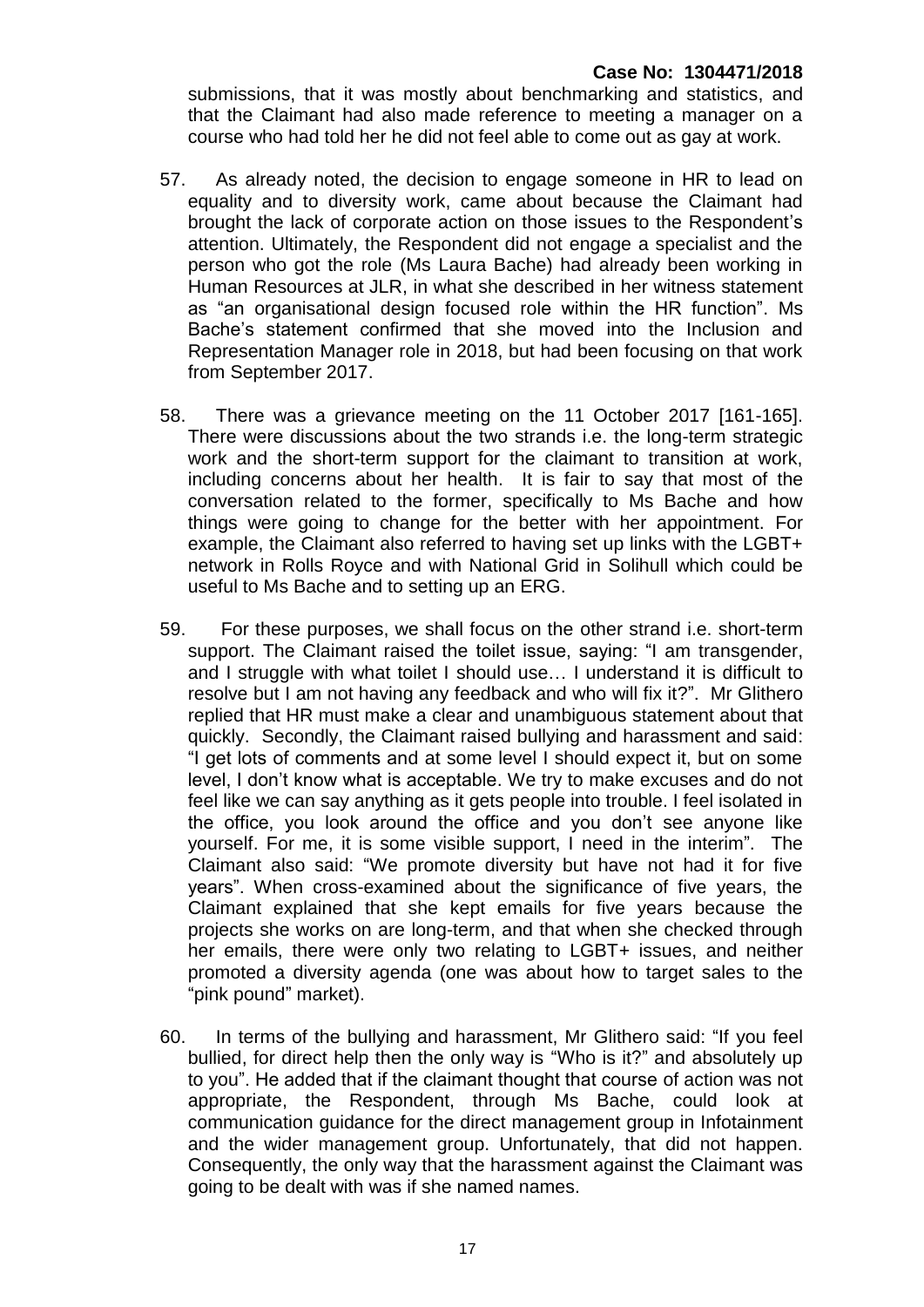submissions, that it was mostly about benchmarking and statistics, and that the Claimant had also made reference to meeting a manager on a course who had told her he did not feel able to come out as gay at work.

- 57. As already noted, the decision to engage someone in HR to lead on equality and to diversity work, came about because the Claimant had brought the lack of corporate action on those issues to the Respondent's attention. Ultimately, the Respondent did not engage a specialist and the person who got the role (Ms Laura Bache) had already been working in Human Resources at JLR, in what she described in her witness statement as "an organisational design focused role within the HR function". Ms Bache's statement confirmed that she moved into the Inclusion and Representation Manager role in 2018, but had been focusing on that work from September 2017.
- 58. There was a grievance meeting on the 11 October 2017 [161-165]. There were discussions about the two strands i.e. the long-term strategic work and the short-term support for the claimant to transition at work, including concerns about her health. It is fair to say that most of the conversation related to the former, specifically to Ms Bache and how things were going to change for the better with her appointment. For example, the Claimant also referred to having set up links with the LGBT+ network in Rolls Royce and with National Grid in Solihull which could be useful to Ms Bache and to setting up an ERG.
- 59. For these purposes, we shall focus on the other strand i.e. short-term support. The Claimant raised the toilet issue, saying: "I am transgender, and I struggle with what toilet I should use... I understand it is difficult to resolve but I am not having any feedback and who will fix it?". Mr Glithero replied that HR must make a clear and unambiguous statement about that quickly. Secondly, the Claimant raised bullying and harassment and said: "I get lots of comments and at some level I should expect it, but on some level, I don't know what is acceptable. We try to make excuses and do not feel like we can say anything as it gets people into trouble. I feel isolated in the office, you look around the office and you don't see anyone like yourself. For me, it is some visible support, I need in the interim". The Claimant also said: "We promote diversity but have not had it for five years". When cross-examined about the significance of five years, the Claimant explained that she kept emails for five years because the projects she works on are long-term, and that when she checked through her emails, there were only two relating to LGBT+ issues, and neither promoted a diversity agenda (one was about how to target sales to the "pink pound" market).
- 60. In terms of the bullying and harassment, Mr Glithero said: "If you feel bullied, for direct help then the only way is "Who is it?" and absolutely up to you". He added that if the claimant thought that course of action was not appropriate, the Respondent, through Ms Bache, could look at communication guidance for the direct management group in Infotainment and the wider management group. Unfortunately, that did not happen. Consequently, the only way that the harassment against the Claimant was going to be dealt with was if she named names.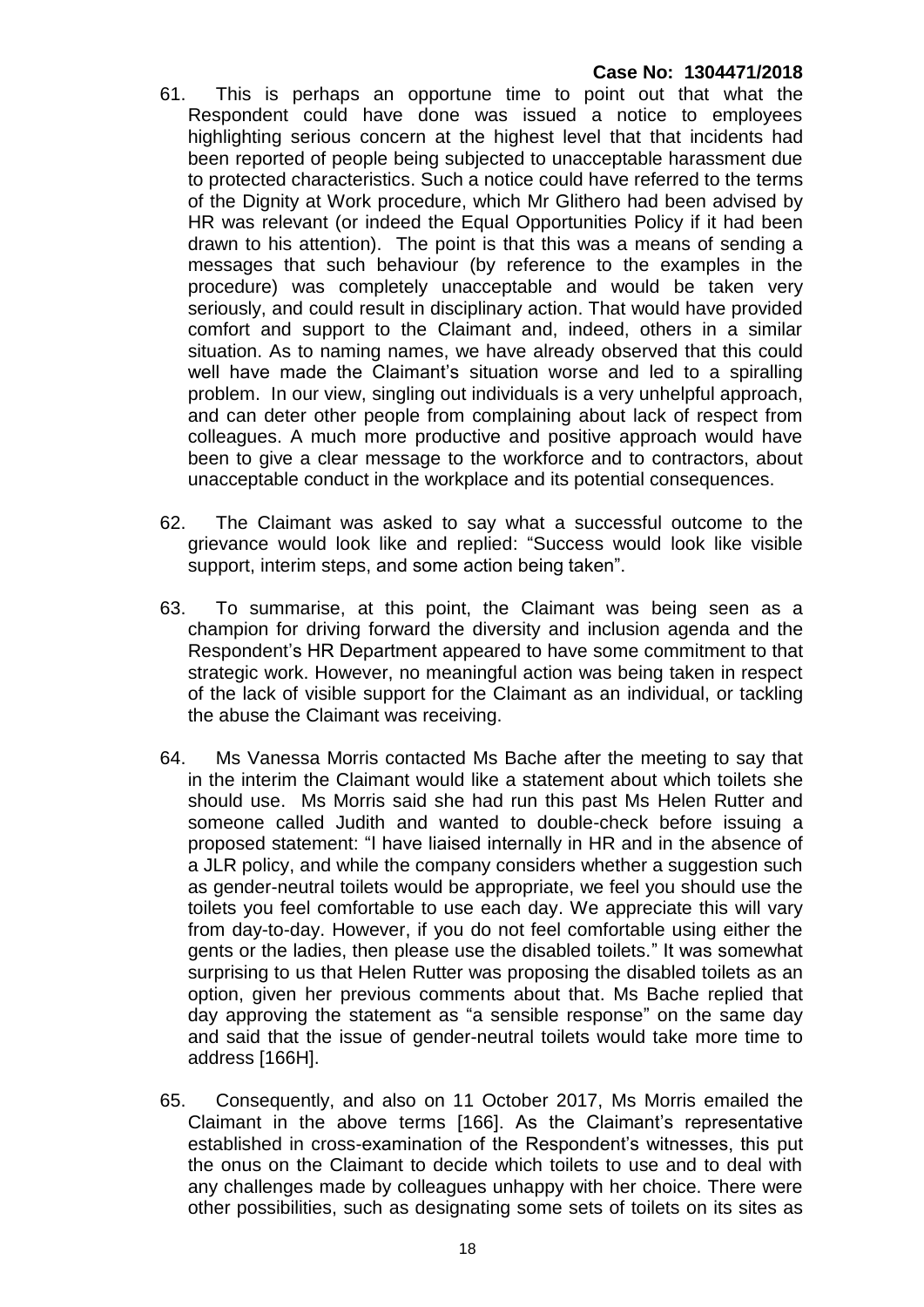- 61. This is perhaps an opportune time to point out that what the Respondent could have done was issued a notice to employees highlighting serious concern at the highest level that that incidents had been reported of people being subjected to unacceptable harassment due to protected characteristics. Such a notice could have referred to the terms of the Dignity at Work procedure, which Mr Glithero had been advised by HR was relevant (or indeed the Equal Opportunities Policy if it had been drawn to his attention). The point is that this was a means of sending a messages that such behaviour (by reference to the examples in the procedure) was completely unacceptable and would be taken very seriously, and could result in disciplinary action. That would have provided comfort and support to the Claimant and, indeed, others in a similar situation. As to naming names, we have already observed that this could well have made the Claimant's situation worse and led to a spiralling problem. In our view, singling out individuals is a very unhelpful approach, and can deter other people from complaining about lack of respect from colleagues. A much more productive and positive approach would have been to give a clear message to the workforce and to contractors, about unacceptable conduct in the workplace and its potential consequences.
- 62. The Claimant was asked to say what a successful outcome to the grievance would look like and replied: "Success would look like visible support, interim steps, and some action being taken".
- 63. To summarise, at this point, the Claimant was being seen as a champion for driving forward the diversity and inclusion agenda and the Respondent's HR Department appeared to have some commitment to that strategic work. However, no meaningful action was being taken in respect of the lack of visible support for the Claimant as an individual, or tackling the abuse the Claimant was receiving.
- 64. Ms Vanessa Morris contacted Ms Bache after the meeting to say that in the interim the Claimant would like a statement about which toilets she should use. Ms Morris said she had run this past Ms Helen Rutter and someone called Judith and wanted to double-check before issuing a proposed statement: "I have liaised internally in HR and in the absence of a JLR policy, and while the company considers whether a suggestion such as gender-neutral toilets would be appropriate, we feel you should use the toilets you feel comfortable to use each day. We appreciate this will vary from day-to-day. However, if you do not feel comfortable using either the gents or the ladies, then please use the disabled toilets." It was somewhat surprising to us that Helen Rutter was proposing the disabled toilets as an option, given her previous comments about that. Ms Bache replied that day approving the statement as "a sensible response" on the same day and said that the issue of gender-neutral toilets would take more time to address [166H].
- 65. Consequently, and also on 11 October 2017, Ms Morris emailed the Claimant in the above terms [166]. As the Claimant's representative established in cross-examination of the Respondent's witnesses, this put the onus on the Claimant to decide which toilets to use and to deal with any challenges made by colleagues unhappy with her choice. There were other possibilities, such as designating some sets of toilets on its sites as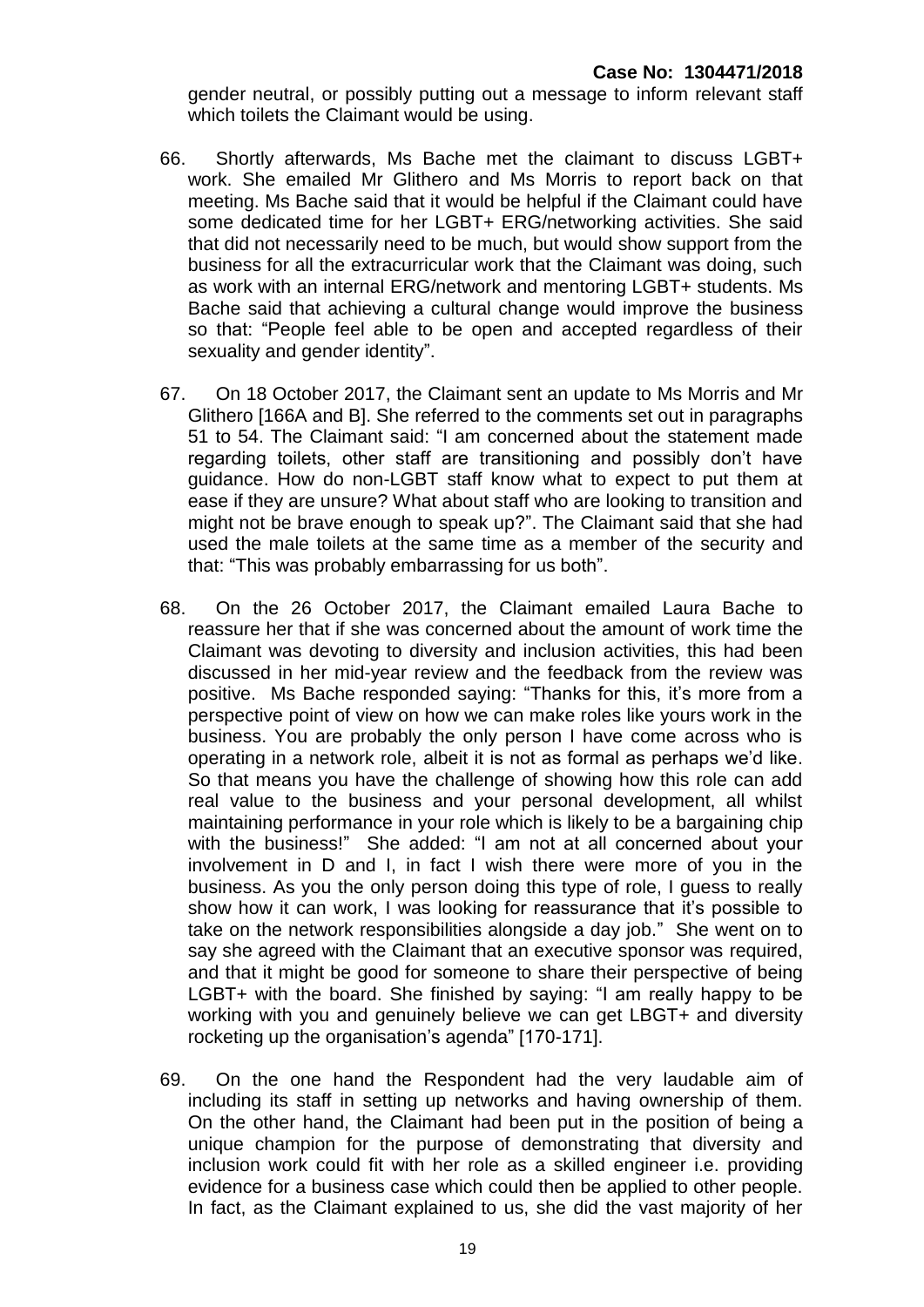gender neutral, or possibly putting out a message to inform relevant staff which toilets the Claimant would be using.

- 66. Shortly afterwards, Ms Bache met the claimant to discuss LGBT+ work. She emailed Mr Glithero and Ms Morris to report back on that meeting. Ms Bache said that it would be helpful if the Claimant could have some dedicated time for her LGBT+ ERG/networking activities. She said that did not necessarily need to be much, but would show support from the business for all the extracurricular work that the Claimant was doing, such as work with an internal ERG/network and mentoring LGBT+ students. Ms Bache said that achieving a cultural change would improve the business so that: "People feel able to be open and accepted regardless of their sexuality and gender identity".
- 67. On 18 October 2017, the Claimant sent an update to Ms Morris and Mr Glithero [166A and B]. She referred to the comments set out in paragraphs 51 to 54. The Claimant said: "I am concerned about the statement made regarding toilets, other staff are transitioning and possibly don't have guidance. How do non-LGBT staff know what to expect to put them at ease if they are unsure? What about staff who are looking to transition and might not be brave enough to speak up?". The Claimant said that she had used the male toilets at the same time as a member of the security and that: "This was probably embarrassing for us both".
- 68. On the 26 October 2017, the Claimant emailed Laura Bache to reassure her that if she was concerned about the amount of work time the Claimant was devoting to diversity and inclusion activities, this had been discussed in her mid-year review and the feedback from the review was positive. Ms Bache responded saying: "Thanks for this, it's more from a perspective point of view on how we can make roles like yours work in the business. You are probably the only person I have come across who is operating in a network role, albeit it is not as formal as perhaps we'd like. So that means you have the challenge of showing how this role can add real value to the business and your personal development, all whilst maintaining performance in your role which is likely to be a bargaining chip with the business!" She added: "I am not at all concerned about your involvement in D and I, in fact I wish there were more of you in the business. As you the only person doing this type of role, I guess to really show how it can work, I was looking for reassurance that it's possible to take on the network responsibilities alongside a day job." She went on to say she agreed with the Claimant that an executive sponsor was required, and that it might be good for someone to share their perspective of being LGBT+ with the board. She finished by saying: "I am really happy to be working with you and genuinely believe we can get LBGT+ and diversity rocketing up the organisation's agenda" [170-171].
- 69. On the one hand the Respondent had the very laudable aim of including its staff in setting up networks and having ownership of them. On the other hand, the Claimant had been put in the position of being a unique champion for the purpose of demonstrating that diversity and inclusion work could fit with her role as a skilled engineer i.e. providing evidence for a business case which could then be applied to other people. In fact, as the Claimant explained to us, she did the vast majority of her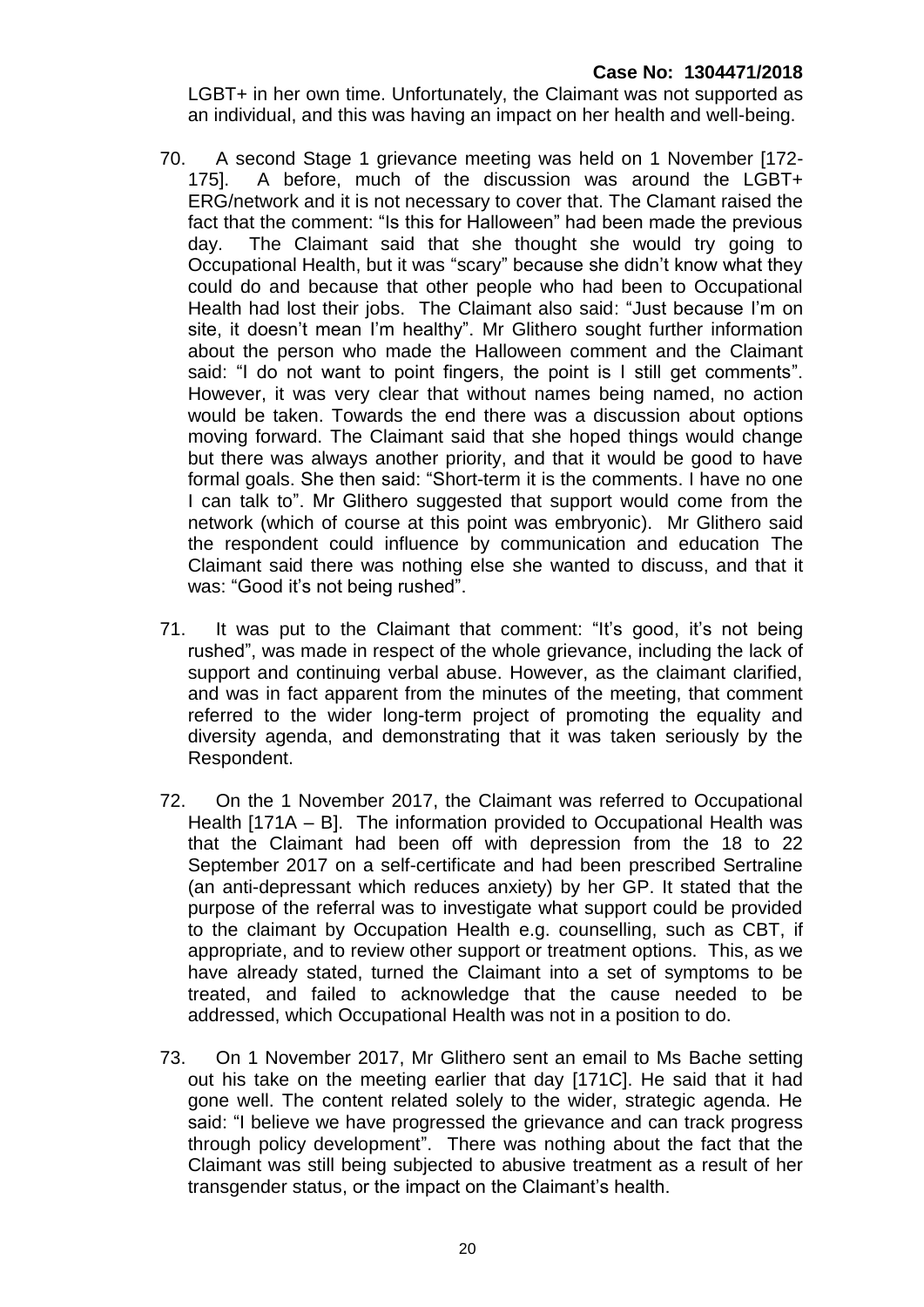LGBT+ in her own time. Unfortunately, the Claimant was not supported as an individual, and this was having an impact on her health and well-being.

- 70. A second Stage 1 grievance meeting was held on 1 November [172- 175]. A before, much of the discussion was around the LGBT+ ERG/network and it is not necessary to cover that. The Clamant raised the fact that the comment: "Is this for Halloween" had been made the previous day. The Claimant said that she thought she would try going to Occupational Health, but it was "scary" because she didn't know what they could do and because that other people who had been to Occupational Health had lost their jobs. The Claimant also said: "Just because I'm on site, it doesn't mean I'm healthy". Mr Glithero sought further information about the person who made the Halloween comment and the Claimant said: "I do not want to point fingers, the point is I still get comments". However, it was very clear that without names being named, no action would be taken. Towards the end there was a discussion about options moving forward. The Claimant said that she hoped things would change but there was always another priority, and that it would be good to have formal goals. She then said: "Short-term it is the comments. I have no one I can talk to". Mr Glithero suggested that support would come from the network (which of course at this point was embryonic). Mr Glithero said the respondent could influence by communication and education The Claimant said there was nothing else she wanted to discuss, and that it was: "Good it's not being rushed".
- 71. It was put to the Claimant that comment: "It's good, it's not being rushed", was made in respect of the whole grievance, including the lack of support and continuing verbal abuse. However, as the claimant clarified, and was in fact apparent from the minutes of the meeting, that comment referred to the wider long-term project of promoting the equality and diversity agenda, and demonstrating that it was taken seriously by the Respondent.
- 72. On the 1 November 2017, the Claimant was referred to Occupational Health [171A – B]. The information provided to Occupational Health was that the Claimant had been off with depression from the 18 to 22 September 2017 on a self-certificate and had been prescribed Sertraline (an anti-depressant which reduces anxiety) by her GP. It stated that the purpose of the referral was to investigate what support could be provided to the claimant by Occupation Health e.g. counselling, such as CBT, if appropriate, and to review other support or treatment options. This, as we have already stated, turned the Claimant into a set of symptoms to be treated, and failed to acknowledge that the cause needed to be addressed, which Occupational Health was not in a position to do.
- 73. On 1 November 2017, Mr Glithero sent an email to Ms Bache setting out his take on the meeting earlier that day [171C]. He said that it had gone well. The content related solely to the wider, strategic agenda. He said: "I believe we have progressed the grievance and can track progress through policy development". There was nothing about the fact that the Claimant was still being subjected to abusive treatment as a result of her transgender status, or the impact on the Claimant's health.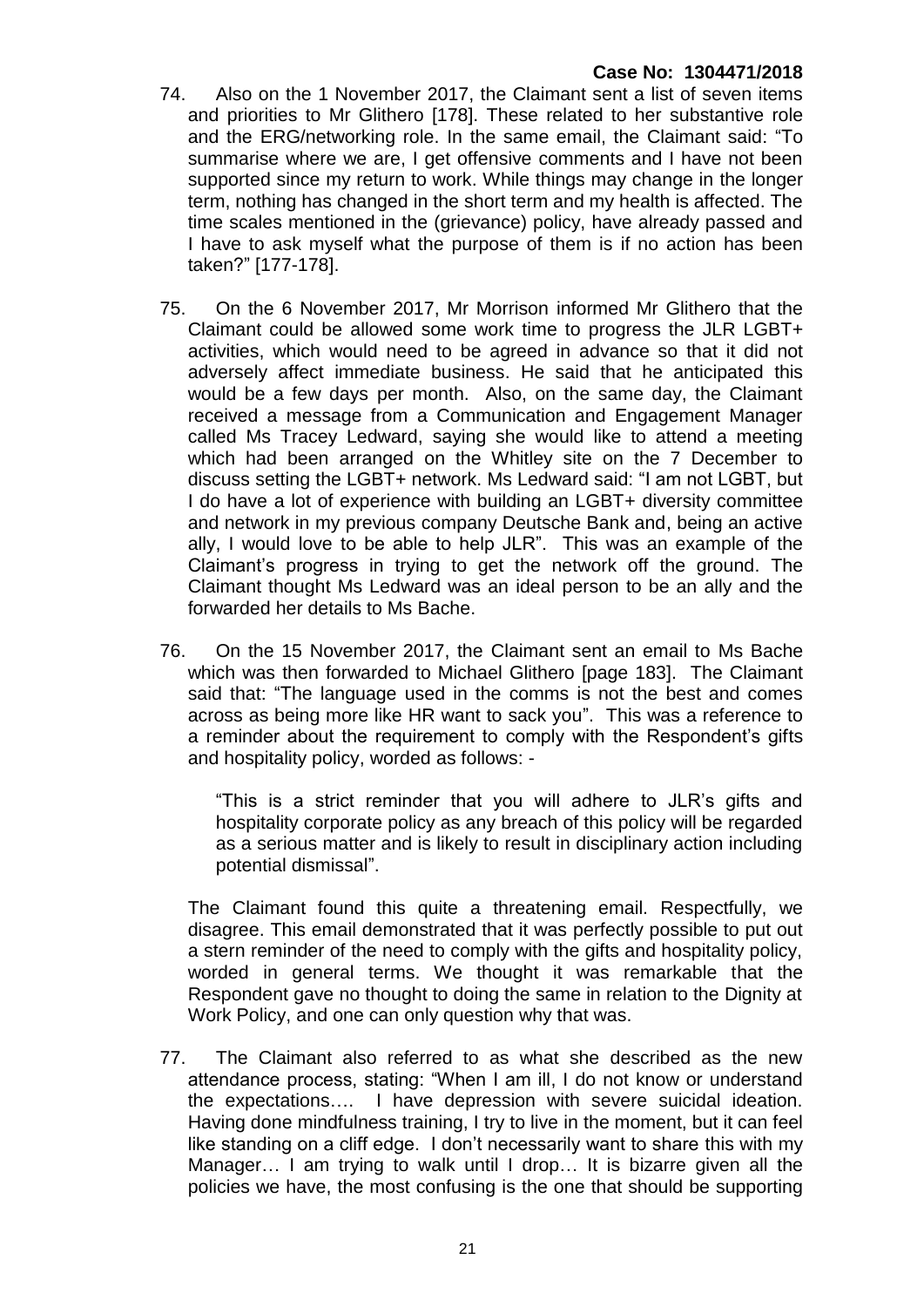- 74. Also on the 1 November 2017, the Claimant sent a list of seven items and priorities to Mr Glithero [178]. These related to her substantive role and the ERG/networking role. In the same email, the Claimant said: "To summarise where we are, I get offensive comments and I have not been supported since my return to work. While things may change in the longer term, nothing has changed in the short term and my health is affected. The time scales mentioned in the (grievance) policy, have already passed and I have to ask myself what the purpose of them is if no action has been taken?" [177-178].
- 75. On the 6 November 2017, Mr Morrison informed Mr Glithero that the Claimant could be allowed some work time to progress the JLR LGBT+ activities, which would need to be agreed in advance so that it did not adversely affect immediate business. He said that he anticipated this would be a few days per month. Also, on the same day, the Claimant received a message from a Communication and Engagement Manager called Ms Tracey Ledward, saying she would like to attend a meeting which had been arranged on the Whitley site on the 7 December to discuss setting the LGBT+ network. Ms Ledward said: "I am not LGBT, but I do have a lot of experience with building an LGBT+ diversity committee and network in my previous company Deutsche Bank and, being an active ally, I would love to be able to help JLR". This was an example of the Claimant's progress in trying to get the network off the ground. The Claimant thought Ms Ledward was an ideal person to be an ally and the forwarded her details to Ms Bache.
- 76. On the 15 November 2017, the Claimant sent an email to Ms Bache which was then forwarded to Michael Glithero [page 183]. The Claimant said that: "The language used in the comms is not the best and comes across as being more like HR want to sack you". This was a reference to a reminder about the requirement to comply with the Respondent's gifts and hospitality policy, worded as follows: -

"This is a strict reminder that you will adhere to JLR's gifts and hospitality corporate policy as any breach of this policy will be regarded as a serious matter and is likely to result in disciplinary action including potential dismissal".

The Claimant found this quite a threatening email. Respectfully, we disagree. This email demonstrated that it was perfectly possible to put out a stern reminder of the need to comply with the gifts and hospitality policy, worded in general terms. We thought it was remarkable that the Respondent gave no thought to doing the same in relation to the Dignity at Work Policy, and one can only question why that was.

77. The Claimant also referred to as what she described as the new attendance process, stating: "When I am ill, I do not know or understand the expectations…. I have depression with severe suicidal ideation. Having done mindfulness training, I try to live in the moment, but it can feel like standing on a cliff edge. I don't necessarily want to share this with my Manager… I am trying to walk until I drop… It is bizarre given all the policies we have, the most confusing is the one that should be supporting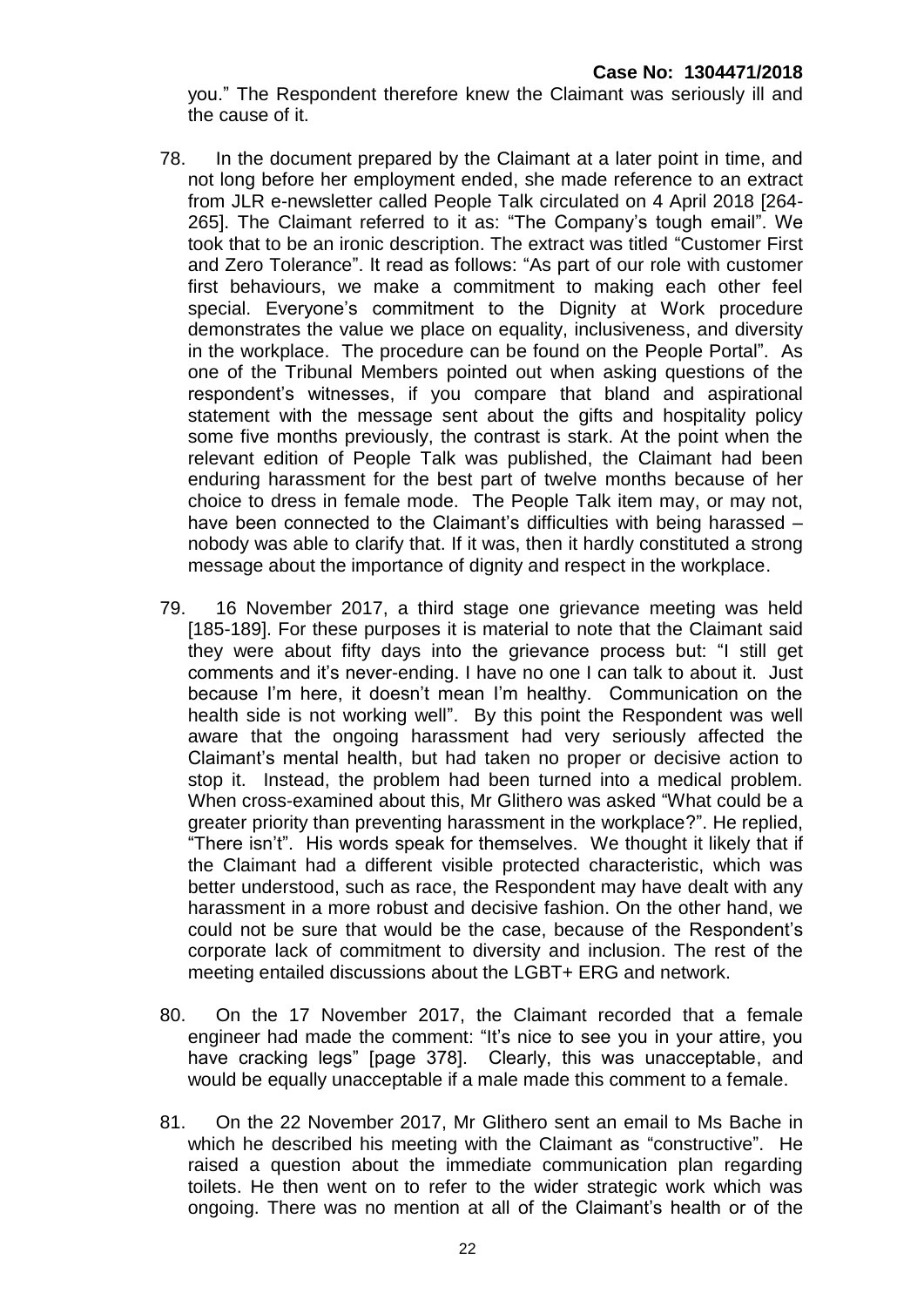you." The Respondent therefore knew the Claimant was seriously ill and the cause of it.

- 78. In the document prepared by the Claimant at a later point in time, and not long before her employment ended, she made reference to an extract from JLR e-newsletter called People Talk circulated on 4 April 2018 [264- 265]. The Claimant referred to it as: "The Company's tough email". We took that to be an ironic description. The extract was titled "Customer First and Zero Tolerance". It read as follows: "As part of our role with customer first behaviours, we make a commitment to making each other feel special. Evervone's commitment to the Dignity at Work procedure demonstrates the value we place on equality, inclusiveness, and diversity in the workplace. The procedure can be found on the People Portal". As one of the Tribunal Members pointed out when asking questions of the respondent's witnesses, if you compare that bland and aspirational statement with the message sent about the gifts and hospitality policy some five months previously, the contrast is stark. At the point when the relevant edition of People Talk was published, the Claimant had been enduring harassment for the best part of twelve months because of her choice to dress in female mode. The People Talk item may, or may not, have been connected to the Claimant's difficulties with being harassed – nobody was able to clarify that. If it was, then it hardly constituted a strong message about the importance of dignity and respect in the workplace.
- 79. 16 November 2017, a third stage one grievance meeting was held [185-189]. For these purposes it is material to note that the Claimant said they were about fifty days into the grievance process but: "I still get comments and it's never-ending. I have no one I can talk to about it. Just because I'm here, it doesn't mean I'm healthy. Communication on the health side is not working well". By this point the Respondent was well aware that the ongoing harassment had very seriously affected the Claimant's mental health, but had taken no proper or decisive action to stop it. Instead, the problem had been turned into a medical problem. When cross-examined about this, Mr Glithero was asked "What could be a greater priority than preventing harassment in the workplace?". He replied, "There isn't". His words speak for themselves. We thought it likely that if the Claimant had a different visible protected characteristic, which was better understood, such as race, the Respondent may have dealt with any harassment in a more robust and decisive fashion. On the other hand, we could not be sure that would be the case, because of the Respondent's corporate lack of commitment to diversity and inclusion. The rest of the meeting entailed discussions about the LGBT+ ERG and network.
- 80. On the 17 November 2017, the Claimant recorded that a female engineer had made the comment: "It's nice to see you in your attire, you have cracking legs" [page 378]. Clearly, this was unacceptable, and would be equally unacceptable if a male made this comment to a female.
- 81. On the 22 November 2017, Mr Glithero sent an email to Ms Bache in which he described his meeting with the Claimant as "constructive". He raised a question about the immediate communication plan regarding toilets. He then went on to refer to the wider strategic work which was ongoing. There was no mention at all of the Claimant's health or of the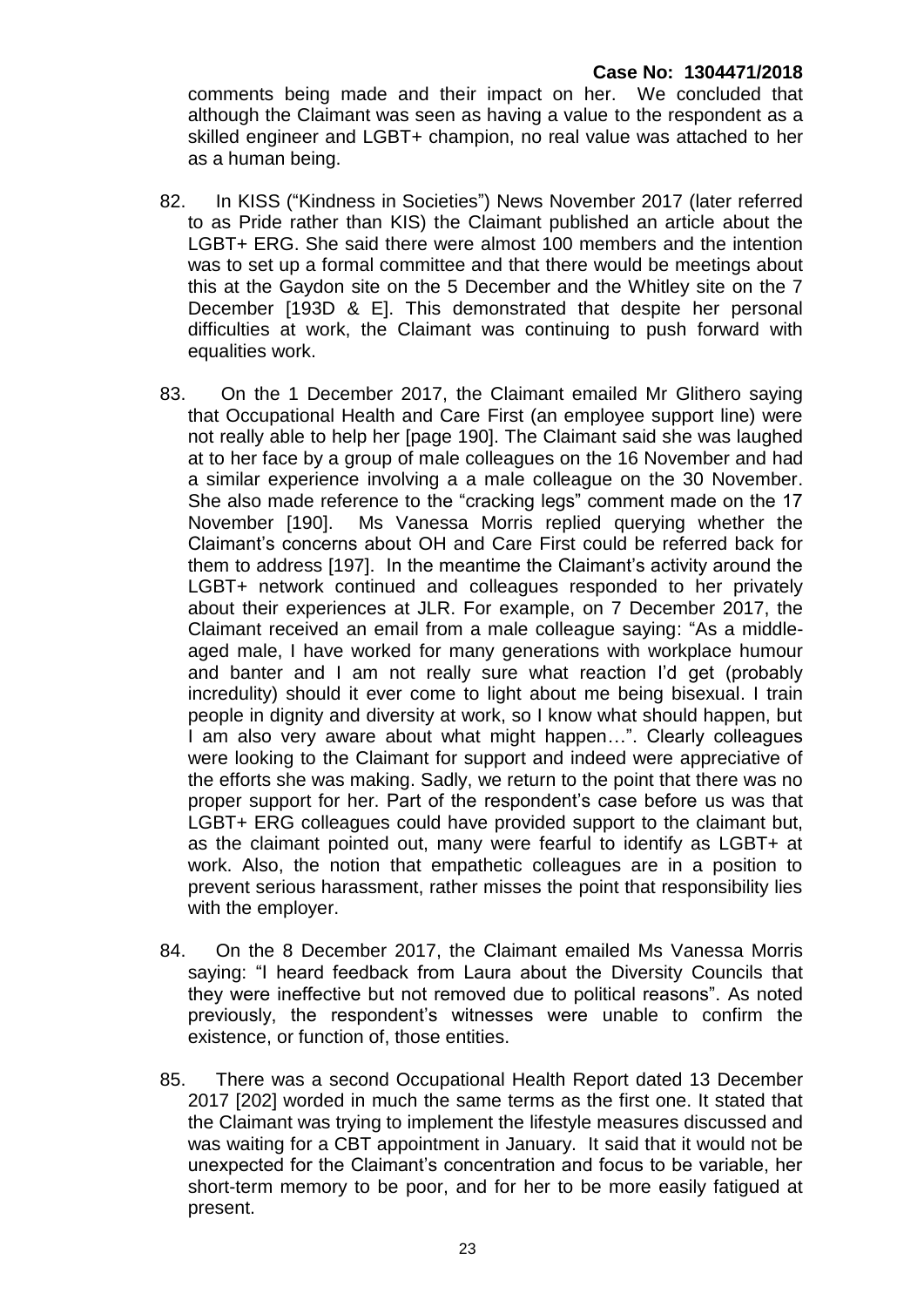comments being made and their impact on her. We concluded that although the Claimant was seen as having a value to the respondent as a skilled engineer and LGBT+ champion, no real value was attached to her as a human being.

- 82. In KISS ("Kindness in Societies") News November 2017 (later referred to as Pride rather than KIS) the Claimant published an article about the LGBT+ ERG. She said there were almost 100 members and the intention was to set up a formal committee and that there would be meetings about this at the Gaydon site on the 5 December and the Whitley site on the 7 December [193D & E]. This demonstrated that despite her personal difficulties at work, the Claimant was continuing to push forward with equalities work.
- 83. On the 1 December 2017, the Claimant emailed Mr Glithero saying that Occupational Health and Care First (an employee support line) were not really able to help her [page 190]. The Claimant said she was laughed at to her face by a group of male colleagues on the 16 November and had a similar experience involving a a male colleague on the 30 November. She also made reference to the "cracking legs" comment made on the 17 November [190]. Ms Vanessa Morris replied querying whether the Claimant's concerns about OH and Care First could be referred back for them to address [197]. In the meantime the Claimant's activity around the LGBT+ network continued and colleagues responded to her privately about their experiences at JLR. For example, on 7 December 2017, the Claimant received an email from a male colleague saying: "As a middleaged male, I have worked for many generations with workplace humour and banter and I am not really sure what reaction I'd get (probably incredulity) should it ever come to light about me being bisexual. I train people in dignity and diversity at work, so I know what should happen, but I am also very aware about what might happen…". Clearly colleagues were looking to the Claimant for support and indeed were appreciative of the efforts she was making. Sadly, we return to the point that there was no proper support for her. Part of the respondent's case before us was that LGBT+ ERG colleagues could have provided support to the claimant but, as the claimant pointed out, many were fearful to identify as LGBT+ at work. Also, the notion that empathetic colleagues are in a position to prevent serious harassment, rather misses the point that responsibility lies with the employer.
- 84. On the 8 December 2017, the Claimant emailed Ms Vanessa Morris saying: "I heard feedback from Laura about the Diversity Councils that they were ineffective but not removed due to political reasons". As noted previously, the respondent's witnesses were unable to confirm the existence, or function of, those entities.
- 85. There was a second Occupational Health Report dated 13 December 2017 [202] worded in much the same terms as the first one. It stated that the Claimant was trying to implement the lifestyle measures discussed and was waiting for a CBT appointment in January. It said that it would not be unexpected for the Claimant's concentration and focus to be variable, her short-term memory to be poor, and for her to be more easily fatigued at present.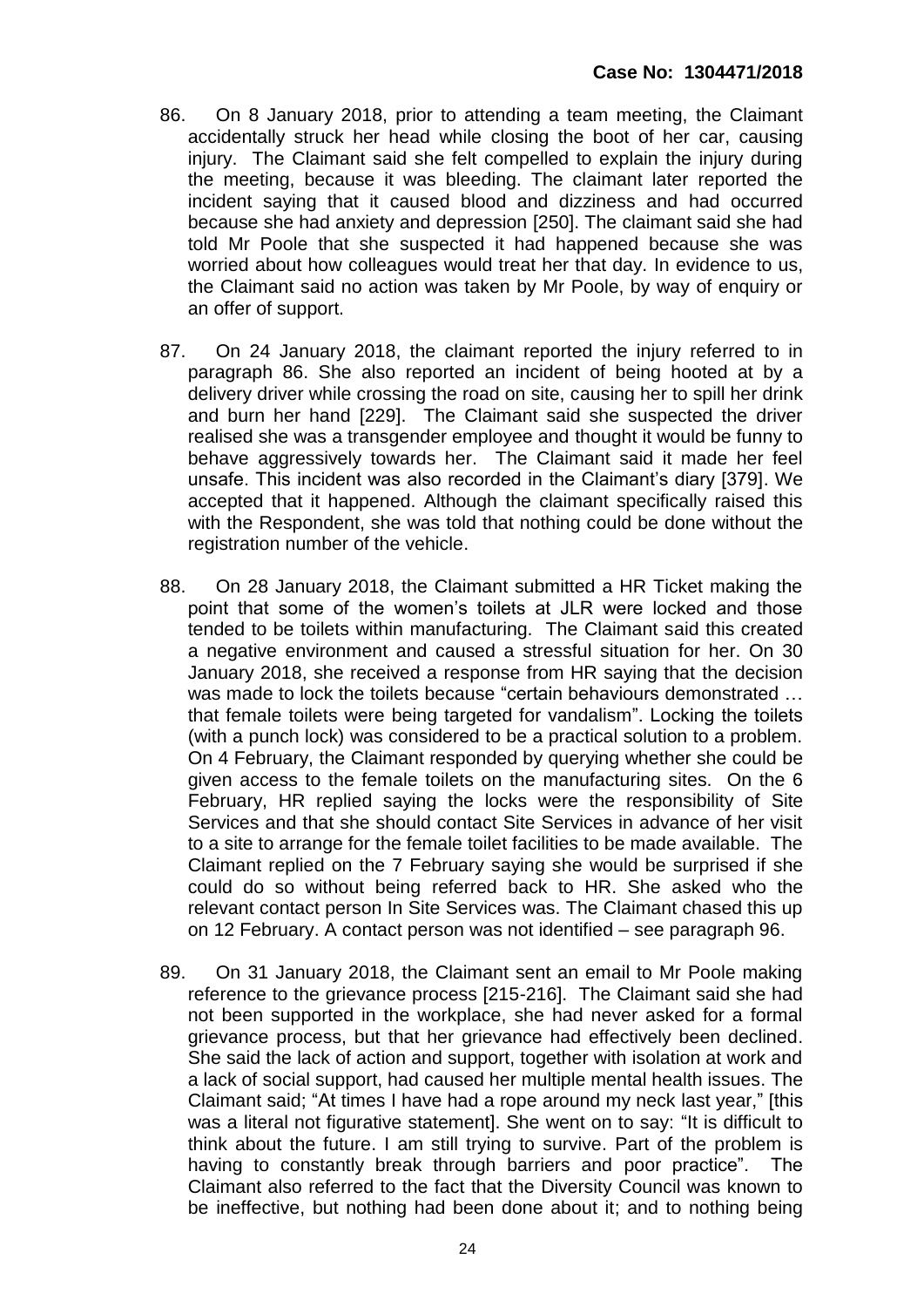- 86. On 8 January 2018, prior to attending a team meeting, the Claimant accidentally struck her head while closing the boot of her car, causing injury. The Claimant said she felt compelled to explain the injury during the meeting, because it was bleeding. The claimant later reported the incident saying that it caused blood and dizziness and had occurred because she had anxiety and depression [250]. The claimant said she had told Mr Poole that she suspected it had happened because she was worried about how colleagues would treat her that day. In evidence to us, the Claimant said no action was taken by Mr Poole, by way of enquiry or an offer of support.
- 87. On 24 January 2018, the claimant reported the injury referred to in paragraph 86. She also reported an incident of being hooted at by a delivery driver while crossing the road on site, causing her to spill her drink and burn her hand [229]. The Claimant said she suspected the driver realised she was a transgender employee and thought it would be funny to behave aggressively towards her. The Claimant said it made her feel unsafe. This incident was also recorded in the Claimant's diary [379]. We accepted that it happened. Although the claimant specifically raised this with the Respondent, she was told that nothing could be done without the registration number of the vehicle.
- 88. On 28 January 2018, the Claimant submitted a HR Ticket making the point that some of the women's toilets at JLR were locked and those tended to be toilets within manufacturing. The Claimant said this created a negative environment and caused a stressful situation for her. On 30 January 2018, she received a response from HR saying that the decision was made to lock the toilets because "certain behaviours demonstrated ... that female toilets were being targeted for vandalism". Locking the toilets (with a punch lock) was considered to be a practical solution to a problem. On 4 February, the Claimant responded by querying whether she could be given access to the female toilets on the manufacturing sites. On the 6 February, HR replied saying the locks were the responsibility of Site Services and that she should contact Site Services in advance of her visit to a site to arrange for the female toilet facilities to be made available. The Claimant replied on the 7 February saying she would be surprised if she could do so without being referred back to HR. She asked who the relevant contact person In Site Services was. The Claimant chased this up on 12 February. A contact person was not identified – see paragraph 96.
- 89. On 31 January 2018, the Claimant sent an email to Mr Poole making reference to the grievance process [215-216]. The Claimant said she had not been supported in the workplace, she had never asked for a formal grievance process, but that her grievance had effectively been declined. She said the lack of action and support, together with isolation at work and a lack of social support, had caused her multiple mental health issues. The Claimant said; "At times I have had a rope around my neck last year," [this was a literal not figurative statement]. She went on to say: "It is difficult to think about the future. I am still trying to survive. Part of the problem is having to constantly break through barriers and poor practice". The Claimant also referred to the fact that the Diversity Council was known to be ineffective, but nothing had been done about it; and to nothing being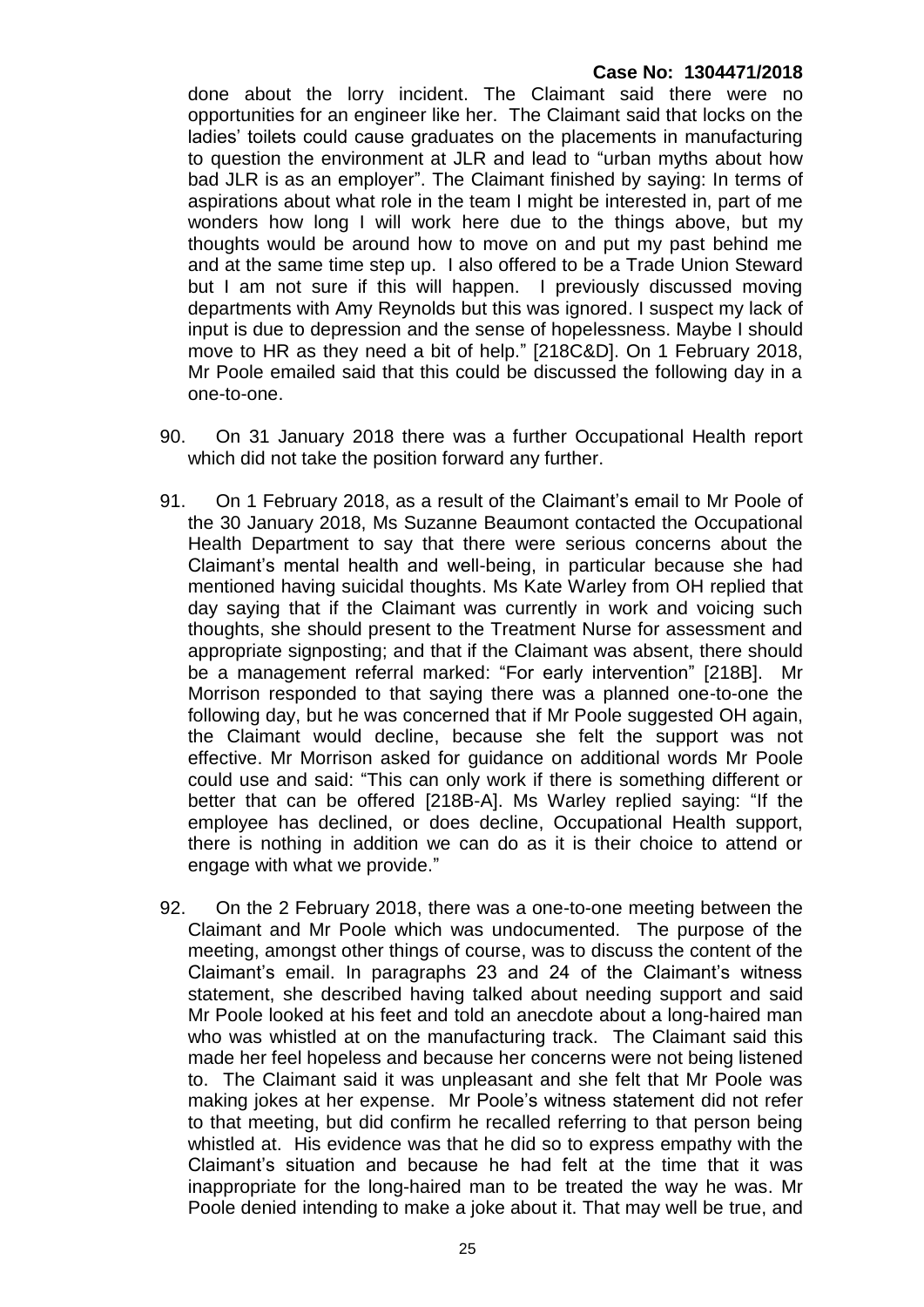done about the lorry incident. The Claimant said there were no opportunities for an engineer like her. The Claimant said that locks on the ladies' toilets could cause graduates on the placements in manufacturing to question the environment at JLR and lead to "urban myths about how bad JLR is as an employer". The Claimant finished by saying: In terms of aspirations about what role in the team I might be interested in, part of me wonders how long I will work here due to the things above, but my thoughts would be around how to move on and put my past behind me and at the same time step up. I also offered to be a Trade Union Steward but I am not sure if this will happen. I previously discussed moving departments with Amy Reynolds but this was ignored. I suspect my lack of input is due to depression and the sense of hopelessness. Maybe I should move to HR as they need a bit of help." [218C&D]. On 1 February 2018, Mr Poole emailed said that this could be discussed the following day in a one-to-one.

- 90. On 31 January 2018 there was a further Occupational Health report which did not take the position forward any further.
- 91. On 1 February 2018, as a result of the Claimant's email to Mr Poole of the 30 January 2018, Ms Suzanne Beaumont contacted the Occupational Health Department to say that there were serious concerns about the Claimant's mental health and well-being, in particular because she had mentioned having suicidal thoughts. Ms Kate Warley from OH replied that day saying that if the Claimant was currently in work and voicing such thoughts, she should present to the Treatment Nurse for assessment and appropriate signposting; and that if the Claimant was absent, there should be a management referral marked: "For early intervention" [218B]. Mr Morrison responded to that saying there was a planned one-to-one the following day, but he was concerned that if Mr Poole suggested OH again, the Claimant would decline, because she felt the support was not effective. Mr Morrison asked for guidance on additional words Mr Poole could use and said: "This can only work if there is something different or better that can be offered [218B-A]. Ms Warley replied saying: "If the employee has declined, or does decline, Occupational Health support, there is nothing in addition we can do as it is their choice to attend or engage with what we provide."
- 92. On the 2 February 2018, there was a one-to-one meeting between the Claimant and Mr Poole which was undocumented. The purpose of the meeting, amongst other things of course, was to discuss the content of the Claimant's email. In paragraphs 23 and 24 of the Claimant's witness statement, she described having talked about needing support and said Mr Poole looked at his feet and told an anecdote about a long-haired man who was whistled at on the manufacturing track. The Claimant said this made her feel hopeless and because her concerns were not being listened to. The Claimant said it was unpleasant and she felt that Mr Poole was making jokes at her expense. Mr Poole's witness statement did not refer to that meeting, but did confirm he recalled referring to that person being whistled at. His evidence was that he did so to express empathy with the Claimant's situation and because he had felt at the time that it was inappropriate for the long-haired man to be treated the way he was. Mr Poole denied intending to make a joke about it. That may well be true, and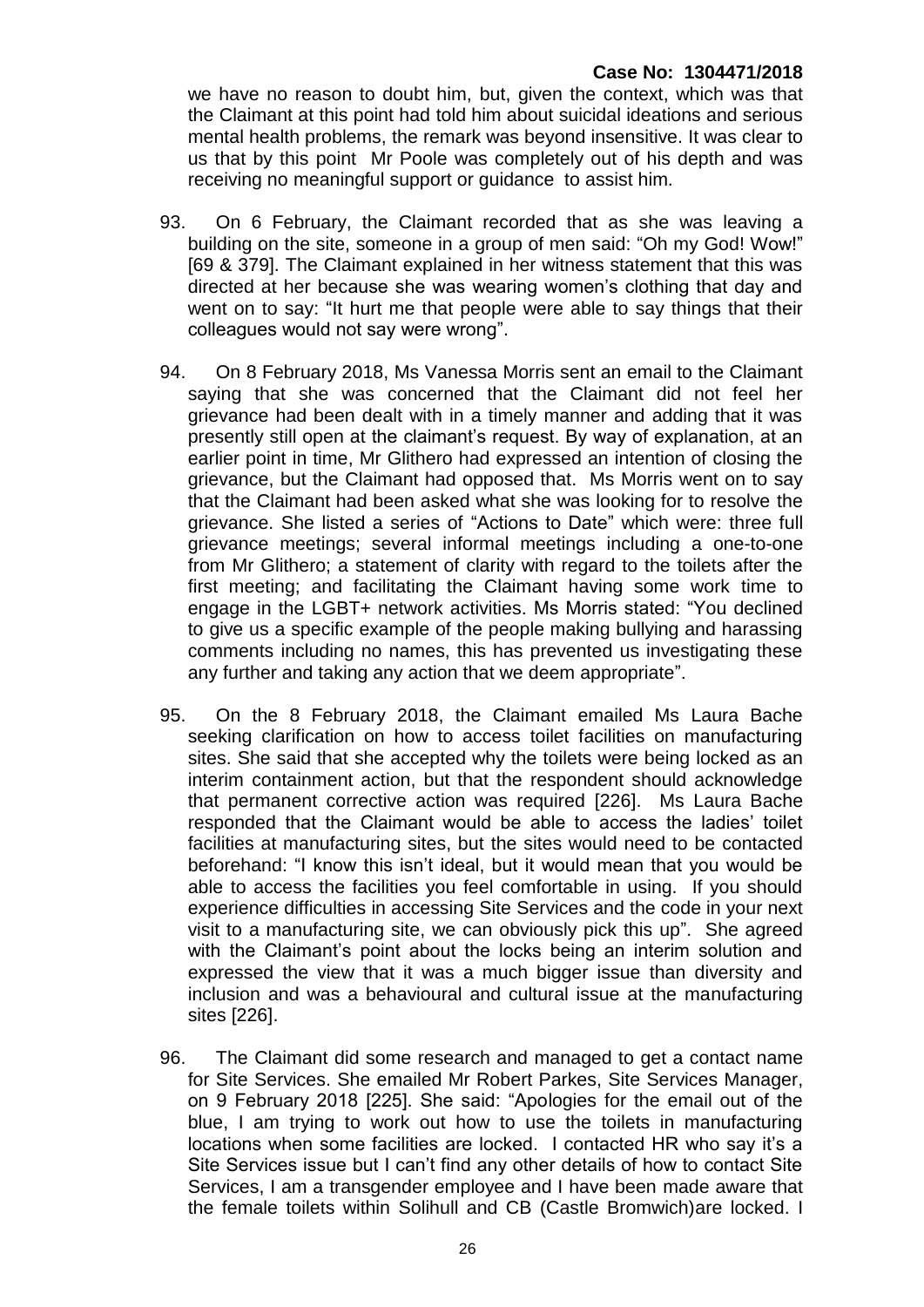we have no reason to doubt him, but, given the context, which was that the Claimant at this point had told him about suicidal ideations and serious mental health problems, the remark was beyond insensitive. It was clear to us that by this point Mr Poole was completely out of his depth and was receiving no meaningful support or guidance to assist him.

- 93. On 6 February, the Claimant recorded that as she was leaving a building on the site, someone in a group of men said: "Oh my God! Wow!" [69 & 379]. The Claimant explained in her witness statement that this was directed at her because she was wearing women's clothing that day and went on to say: "It hurt me that people were able to say things that their colleagues would not say were wrong".
- 94. On 8 February 2018, Ms Vanessa Morris sent an email to the Claimant saying that she was concerned that the Claimant did not feel her grievance had been dealt with in a timely manner and adding that it was presently still open at the claimant's request. By way of explanation, at an earlier point in time, Mr Glithero had expressed an intention of closing the grievance, but the Claimant had opposed that. Ms Morris went on to say that the Claimant had been asked what she was looking for to resolve the grievance. She listed a series of "Actions to Date" which were: three full grievance meetings; several informal meetings including a one-to-one from Mr Glithero; a statement of clarity with regard to the toilets after the first meeting; and facilitating the Claimant having some work time to engage in the LGBT+ network activities. Ms Morris stated: "You declined to give us a specific example of the people making bullying and harassing comments including no names, this has prevented us investigating these any further and taking any action that we deem appropriate".
- 95. On the 8 February 2018, the Claimant emailed Ms Laura Bache seeking clarification on how to access toilet facilities on manufacturing sites. She said that she accepted why the toilets were being locked as an interim containment action, but that the respondent should acknowledge that permanent corrective action was required [226]. Ms Laura Bache responded that the Claimant would be able to access the ladies' toilet facilities at manufacturing sites, but the sites would need to be contacted beforehand: "I know this isn't ideal, but it would mean that you would be able to access the facilities you feel comfortable in using. If you should experience difficulties in accessing Site Services and the code in your next visit to a manufacturing site, we can obviously pick this up". She agreed with the Claimant's point about the locks being an interim solution and expressed the view that it was a much bigger issue than diversity and inclusion and was a behavioural and cultural issue at the manufacturing sites [226].
- 96. The Claimant did some research and managed to get a contact name for Site Services. She emailed Mr Robert Parkes, Site Services Manager, on 9 February 2018 [225]. She said: "Apologies for the email out of the blue, I am trying to work out how to use the toilets in manufacturing locations when some facilities are locked. I contacted HR who say it's a Site Services issue but I can't find any other details of how to contact Site Services, I am a transgender employee and I have been made aware that the female toilets within Solihull and CB (Castle Bromwich)are locked. I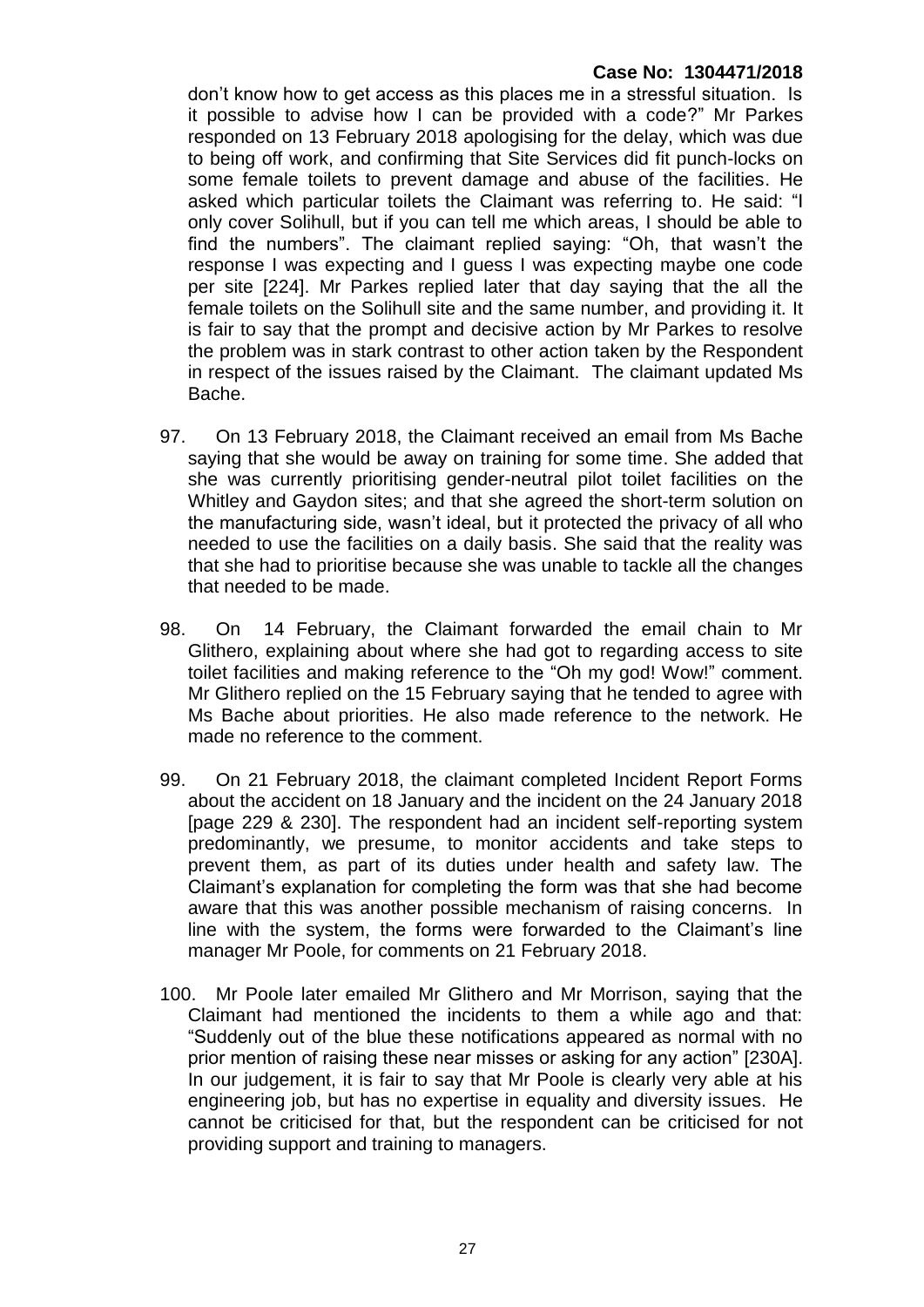don't know how to get access as this places me in a stressful situation. Is it possible to advise how I can be provided with a code?" Mr Parkes responded on 13 February 2018 apologising for the delay, which was due to being off work, and confirming that Site Services did fit punch-locks on some female toilets to prevent damage and abuse of the facilities. He asked which particular toilets the Claimant was referring to. He said: "I only cover Solihull, but if you can tell me which areas, I should be able to find the numbers". The claimant replied saying: "Oh, that wasn't the response I was expecting and I guess I was expecting maybe one code per site [224]. Mr Parkes replied later that day saying that the all the female toilets on the Solihull site and the same number, and providing it. It is fair to say that the prompt and decisive action by Mr Parkes to resolve the problem was in stark contrast to other action taken by the Respondent in respect of the issues raised by the Claimant. The claimant updated Ms Bache.

- 97. On 13 February 2018, the Claimant received an email from Ms Bache saying that she would be away on training for some time. She added that she was currently prioritising gender-neutral pilot toilet facilities on the Whitley and Gaydon sites; and that she agreed the short-term solution on the manufacturing side, wasn't ideal, but it protected the privacy of all who needed to use the facilities on a daily basis. She said that the reality was that she had to prioritise because she was unable to tackle all the changes that needed to be made.
- 98. On 14 February, the Claimant forwarded the email chain to Mr Glithero, explaining about where she had got to regarding access to site toilet facilities and making reference to the "Oh my god! Wow!" comment. Mr Glithero replied on the 15 February saying that he tended to agree with Ms Bache about priorities. He also made reference to the network. He made no reference to the comment.
- 99. On 21 February 2018, the claimant completed Incident Report Forms about the accident on 18 January and the incident on the 24 January 2018 [page 229 & 230]. The respondent had an incident self-reporting system predominantly, we presume, to monitor accidents and take steps to prevent them, as part of its duties under health and safety law. The Claimant's explanation for completing the form was that she had become aware that this was another possible mechanism of raising concerns. In line with the system, the forms were forwarded to the Claimant's line manager Mr Poole, for comments on 21 February 2018.
- 100. Mr Poole later emailed Mr Glithero and Mr Morrison, saying that the Claimant had mentioned the incidents to them a while ago and that: "Suddenly out of the blue these notifications appeared as normal with no prior mention of raising these near misses or asking for any action" [230A]. In our judgement, it is fair to say that Mr Poole is clearly very able at his engineering job, but has no expertise in equality and diversity issues. He cannot be criticised for that, but the respondent can be criticised for not providing support and training to managers.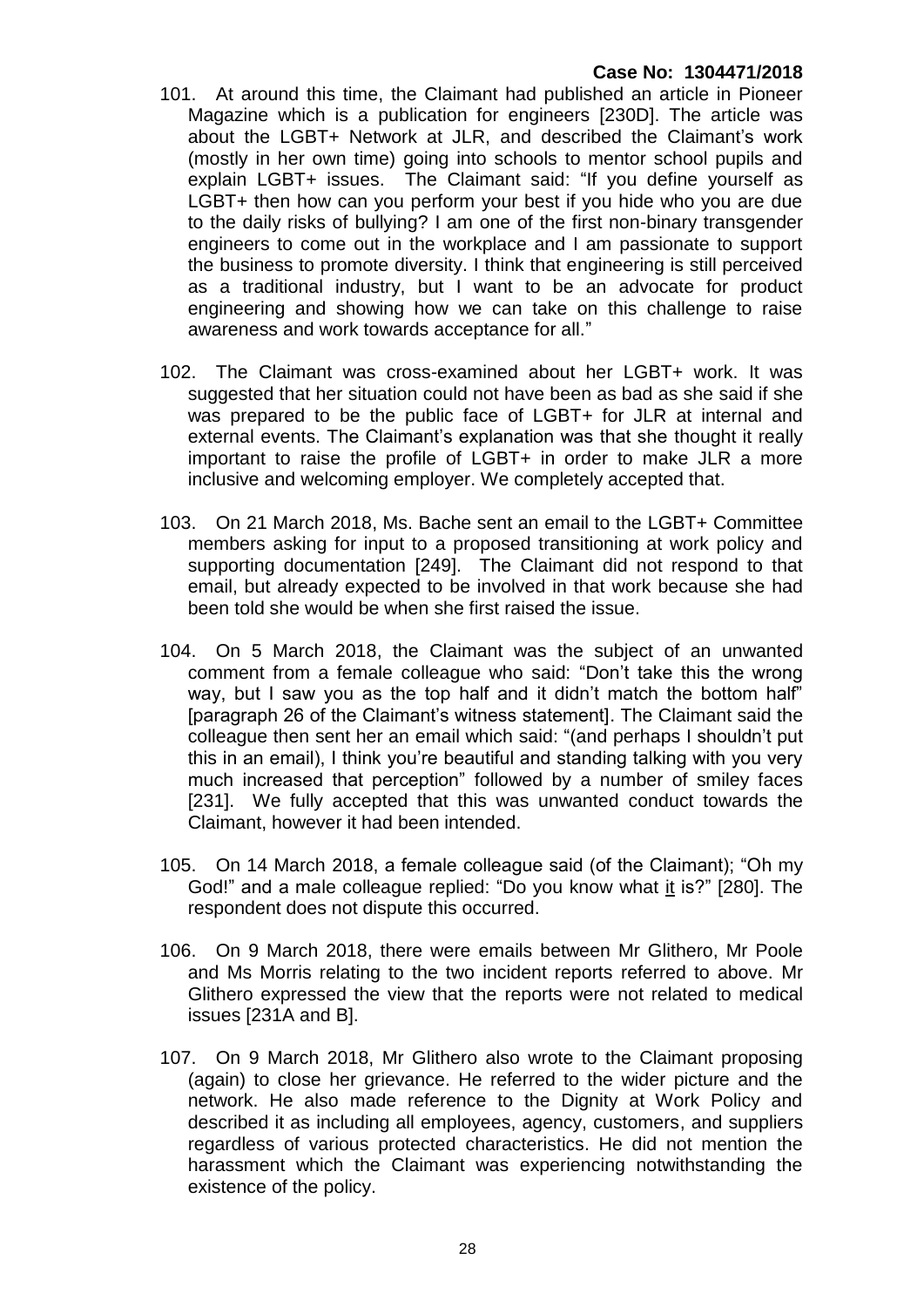- 101. At around this time, the Claimant had published an article in Pioneer Magazine which is a publication for engineers [230D]. The article was about the LGBT+ Network at JLR, and described the Claimant's work (mostly in her own time) going into schools to mentor school pupils and explain LGBT+ issues. The Claimant said: "If you define yourself as LGBT+ then how can you perform your best if you hide who you are due to the daily risks of bullying? I am one of the first non-binary transgender engineers to come out in the workplace and I am passionate to support the business to promote diversity. I think that engineering is still perceived as a traditional industry, but I want to be an advocate for product engineering and showing how we can take on this challenge to raise awareness and work towards acceptance for all."
- 102. The Claimant was cross-examined about her LGBT+ work. It was suggested that her situation could not have been as bad as she said if she was prepared to be the public face of LGBT+ for JLR at internal and external events. The Claimant's explanation was that she thought it really important to raise the profile of LGBT+ in order to make JLR a more inclusive and welcoming employer. We completely accepted that.
- 103. On 21 March 2018, Ms. Bache sent an email to the LGBT+ Committee members asking for input to a proposed transitioning at work policy and supporting documentation [249]. The Claimant did not respond to that email, but already expected to be involved in that work because she had been told she would be when she first raised the issue.
- 104. On 5 March 2018, the Claimant was the subject of an unwanted comment from a female colleague who said: "Don't take this the wrong way, but I saw you as the top half and it didn't match the bottom half" [paragraph 26 of the Claimant's witness statement]. The Claimant said the colleague then sent her an email which said: "(and perhaps I shouldn't put this in an email), I think you're beautiful and standing talking with you very much increased that perception" followed by a number of smiley faces [231]. We fully accepted that this was unwanted conduct towards the Claimant, however it had been intended.
- 105. On 14 March 2018, a female colleague said (of the Claimant); "Oh my God!" and a male colleague replied: "Do you know what it is?" [280]. The respondent does not dispute this occurred.
- 106. On 9 March 2018, there were emails between Mr Glithero, Mr Poole and Ms Morris relating to the two incident reports referred to above. Mr Glithero expressed the view that the reports were not related to medical issues [231A and B].
- 107. On 9 March 2018, Mr Glithero also wrote to the Claimant proposing (again) to close her grievance. He referred to the wider picture and the network. He also made reference to the Dignity at Work Policy and described it as including all employees, agency, customers, and suppliers regardless of various protected characteristics. He did not mention the harassment which the Claimant was experiencing notwithstanding the existence of the policy.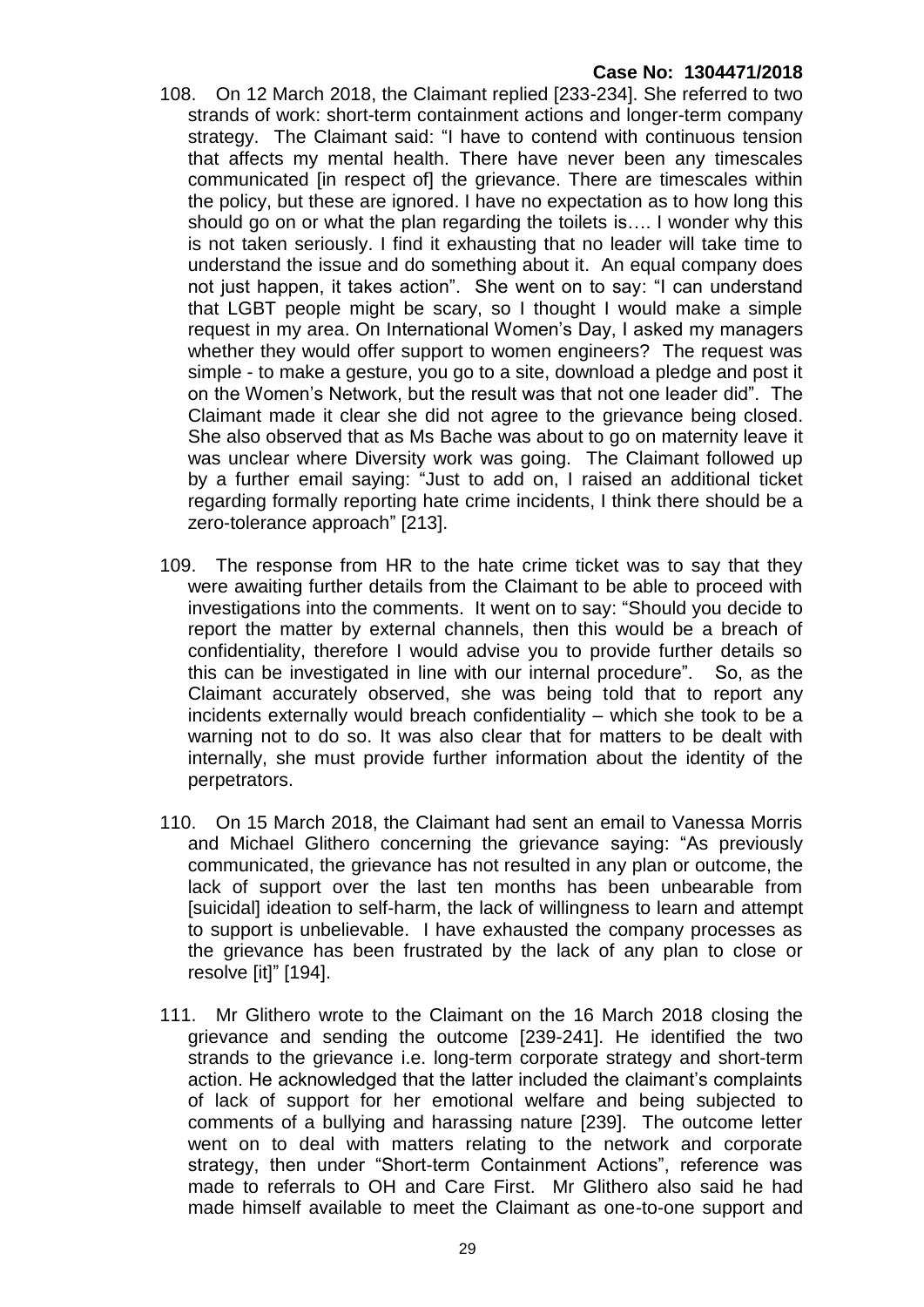- 108. On 12 March 2018, the Claimant replied [233-234]. She referred to two strands of work: short-term containment actions and longer-term company strategy. The Claimant said: "I have to contend with continuous tension that affects my mental health. There have never been any timescales communicated [in respect of] the grievance. There are timescales within the policy, but these are ignored. I have no expectation as to how long this should go on or what the plan regarding the toilets is…. I wonder why this is not taken seriously. I find it exhausting that no leader will take time to understand the issue and do something about it. An equal company does not just happen, it takes action". She went on to say: "I can understand that LGBT people might be scary, so I thought I would make a simple request in my area. On International Women's Day, I asked my managers whether they would offer support to women engineers? The request was simple - to make a gesture, you go to a site, download a pledge and post it on the Women's Network, but the result was that not one leader did". The Claimant made it clear she did not agree to the grievance being closed. She also observed that as Ms Bache was about to go on maternity leave it was unclear where Diversity work was going. The Claimant followed up by a further email saying: "Just to add on, I raised an additional ticket regarding formally reporting hate crime incidents, I think there should be a zero-tolerance approach" [213].
- 109. The response from HR to the hate crime ticket was to say that they were awaiting further details from the Claimant to be able to proceed with investigations into the comments. It went on to say: "Should you decide to report the matter by external channels, then this would be a breach of confidentiality, therefore I would advise you to provide further details so this can be investigated in line with our internal procedure". So, as the Claimant accurately observed, she was being told that to report any incidents externally would breach confidentiality – which she took to be a warning not to do so. It was also clear that for matters to be dealt with internally, she must provide further information about the identity of the perpetrators.
- 110. On 15 March 2018, the Claimant had sent an email to Vanessa Morris and Michael Glithero concerning the grievance saying: "As previously communicated, the grievance has not resulted in any plan or outcome, the lack of support over the last ten months has been unbearable from [suicidal] ideation to self-harm, the lack of willingness to learn and attempt to support is unbelievable. I have exhausted the company processes as the grievance has been frustrated by the lack of any plan to close or resolve [it]" [194].
- 111. Mr Glithero wrote to the Claimant on the 16 March 2018 closing the grievance and sending the outcome [239-241]. He identified the two strands to the grievance i.e. long-term corporate strategy and short-term action. He acknowledged that the latter included the claimant's complaints of lack of support for her emotional welfare and being subjected to comments of a bullying and harassing nature [239]. The outcome letter went on to deal with matters relating to the network and corporate strategy, then under "Short-term Containment Actions", reference was made to referrals to OH and Care First. Mr Glithero also said he had made himself available to meet the Claimant as one-to-one support and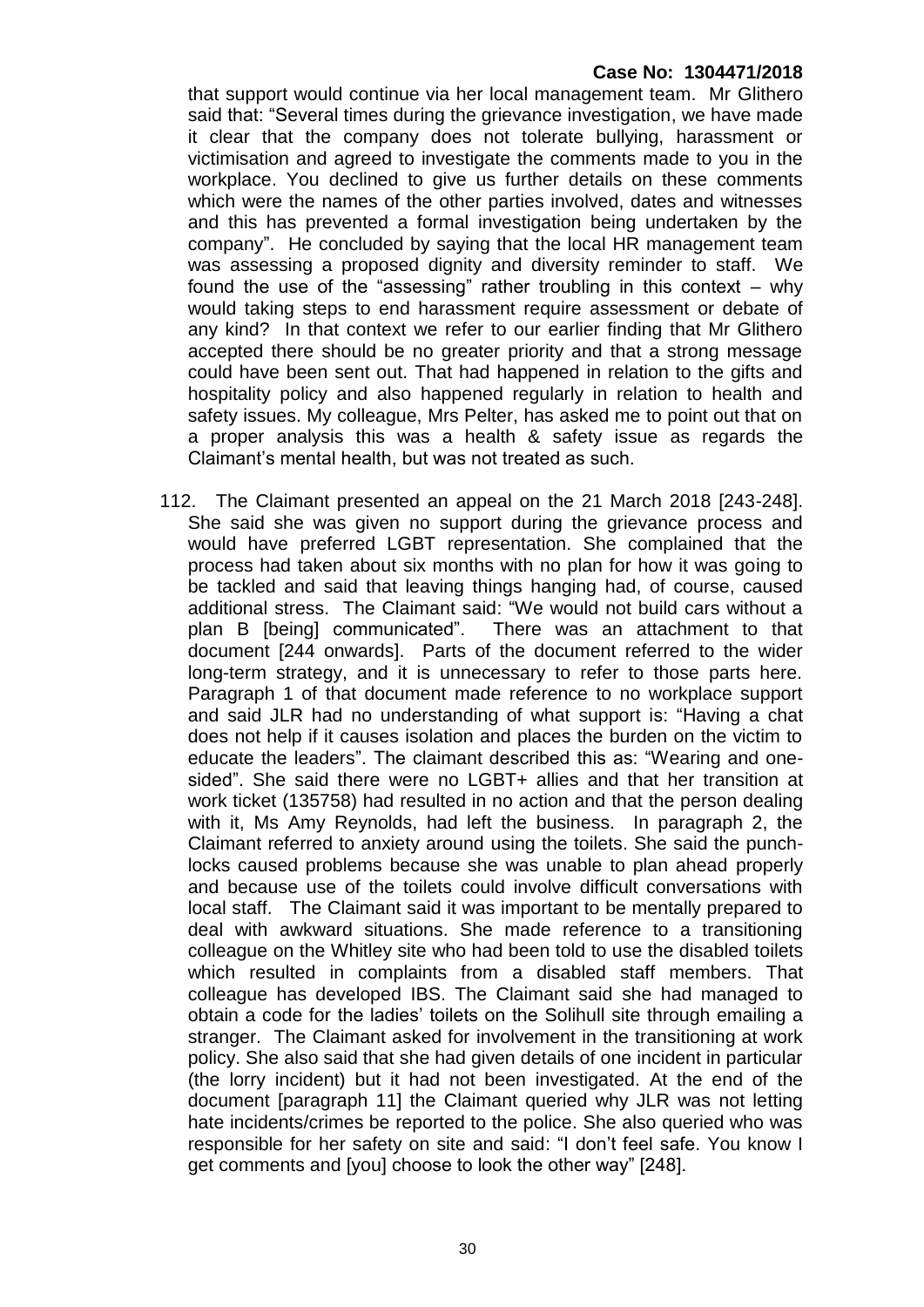that support would continue via her local management team. Mr Glithero said that: "Several times during the grievance investigation, we have made it clear that the company does not tolerate bullying, harassment or victimisation and agreed to investigate the comments made to you in the workplace. You declined to give us further details on these comments which were the names of the other parties involved, dates and witnesses and this has prevented a formal investigation being undertaken by the company". He concluded by saying that the local HR management team was assessing a proposed dignity and diversity reminder to staff. We found the use of the "assessing" rather troubling in this context  $-$  why would taking steps to end harassment require assessment or debate of any kind? In that context we refer to our earlier finding that Mr Glithero accepted there should be no greater priority and that a strong message could have been sent out. That had happened in relation to the gifts and hospitality policy and also happened regularly in relation to health and safety issues. My colleague, Mrs Pelter, has asked me to point out that on a proper analysis this was a health & safety issue as regards the Claimant's mental health, but was not treated as such.

112. The Claimant presented an appeal on the 21 March 2018 [243-248]. She said she was given no support during the grievance process and would have preferred LGBT representation. She complained that the process had taken about six months with no plan for how it was going to be tackled and said that leaving things hanging had, of course, caused additional stress. The Claimant said: "We would not build cars without a plan B [being] communicated". There was an attachment to that document [244 onwards]. Parts of the document referred to the wider long-term strategy, and it is unnecessary to refer to those parts here. Paragraph 1 of that document made reference to no workplace support and said JLR had no understanding of what support is: "Having a chat does not help if it causes isolation and places the burden on the victim to educate the leaders". The claimant described this as: "Wearing and onesided". She said there were no LGBT+ allies and that her transition at work ticket (135758) had resulted in no action and that the person dealing with it, Ms Amy Reynolds, had left the business. In paragraph 2, the Claimant referred to anxiety around using the toilets. She said the punchlocks caused problems because she was unable to plan ahead properly and because use of the toilets could involve difficult conversations with local staff. The Claimant said it was important to be mentally prepared to deal with awkward situations. She made reference to a transitioning colleague on the Whitley site who had been told to use the disabled toilets which resulted in complaints from a disabled staff members. That colleague has developed IBS. The Claimant said she had managed to obtain a code for the ladies' toilets on the Solihull site through emailing a stranger. The Claimant asked for involvement in the transitioning at work policy. She also said that she had given details of one incident in particular (the lorry incident) but it had not been investigated. At the end of the document [paragraph 11] the Claimant queried why JLR was not letting hate incidents/crimes be reported to the police. She also queried who was responsible for her safety on site and said: "I don't feel safe. You know I get comments and [you] choose to look the other way" [248].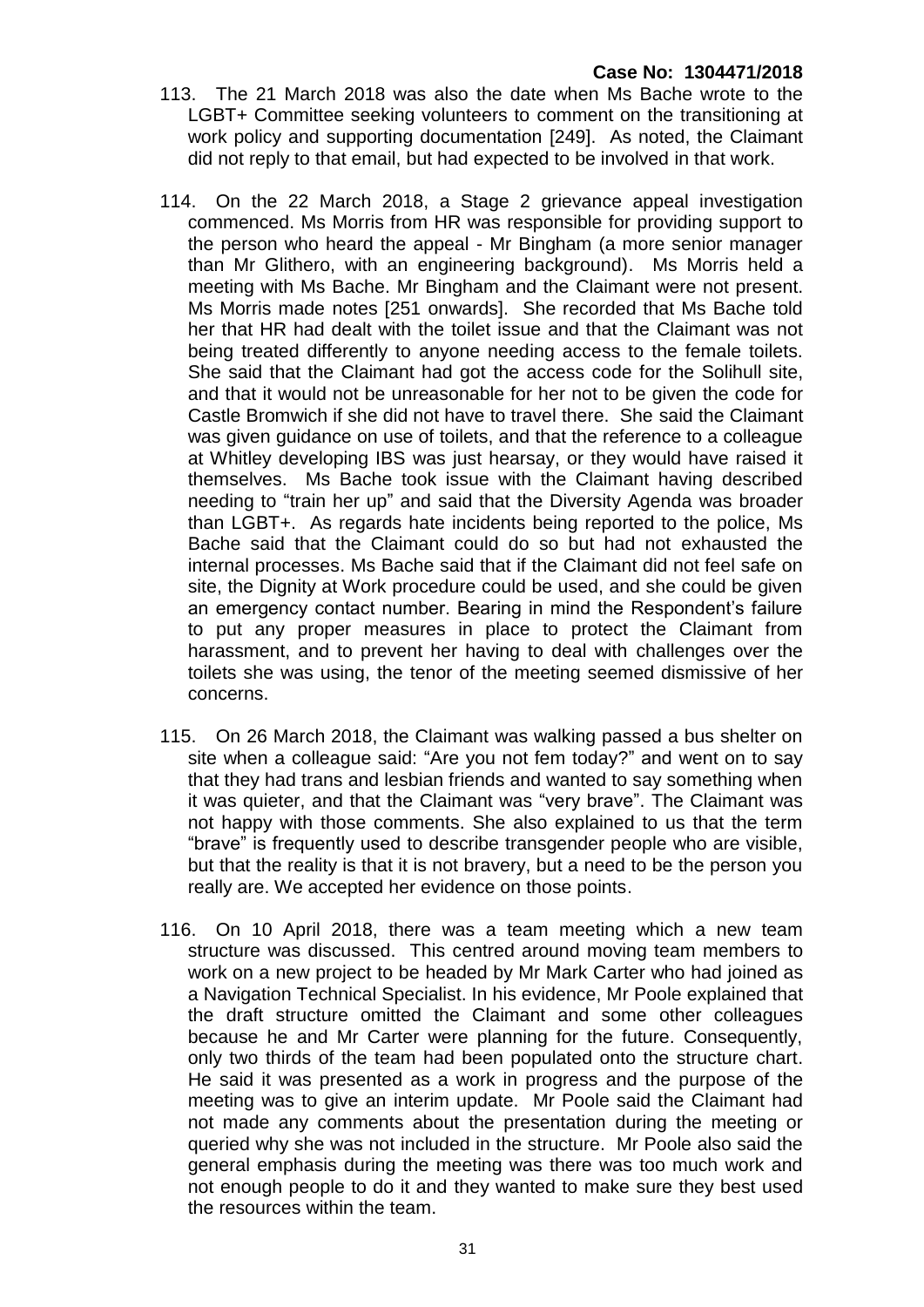- 113. The 21 March 2018 was also the date when Ms Bache wrote to the LGBT+ Committee seeking volunteers to comment on the transitioning at work policy and supporting documentation [249]. As noted, the Claimant did not reply to that email, but had expected to be involved in that work.
- 114. On the 22 March 2018, a Stage 2 grievance appeal investigation commenced. Ms Morris from HR was responsible for providing support to the person who heard the appeal - Mr Bingham (a more senior manager than Mr Glithero, with an engineering background). Ms Morris held a meeting with Ms Bache. Mr Bingham and the Claimant were not present. Ms Morris made notes [251 onwards]. She recorded that Ms Bache told her that HR had dealt with the toilet issue and that the Claimant was not being treated differently to anyone needing access to the female toilets. She said that the Claimant had got the access code for the Solihull site, and that it would not be unreasonable for her not to be given the code for Castle Bromwich if she did not have to travel there. She said the Claimant was given guidance on use of toilets, and that the reference to a colleague at Whitley developing IBS was just hearsay, or they would have raised it themselves. Ms Bache took issue with the Claimant having described needing to "train her up" and said that the Diversity Agenda was broader than LGBT+. As regards hate incidents being reported to the police, Ms Bache said that the Claimant could do so but had not exhausted the internal processes. Ms Bache said that if the Claimant did not feel safe on site, the Dignity at Work procedure could be used, and she could be given an emergency contact number. Bearing in mind the Respondent's failure to put any proper measures in place to protect the Claimant from harassment, and to prevent her having to deal with challenges over the toilets she was using, the tenor of the meeting seemed dismissive of her concerns.
- 115. On 26 March 2018, the Claimant was walking passed a bus shelter on site when a colleague said: "Are you not fem today?" and went on to say that they had trans and lesbian friends and wanted to say something when it was quieter, and that the Claimant was "very brave". The Claimant was not happy with those comments. She also explained to us that the term "brave" is frequently used to describe transgender people who are visible, but that the reality is that it is not bravery, but a need to be the person you really are. We accepted her evidence on those points.
- 116. On 10 April 2018, there was a team meeting which a new team structure was discussed. This centred around moving team members to work on a new project to be headed by Mr Mark Carter who had joined as a Navigation Technical Specialist. In his evidence, Mr Poole explained that the draft structure omitted the Claimant and some other colleagues because he and Mr Carter were planning for the future. Consequently, only two thirds of the team had been populated onto the structure chart. He said it was presented as a work in progress and the purpose of the meeting was to give an interim update. Mr Poole said the Claimant had not made any comments about the presentation during the meeting or queried why she was not included in the structure. Mr Poole also said the general emphasis during the meeting was there was too much work and not enough people to do it and they wanted to make sure they best used the resources within the team.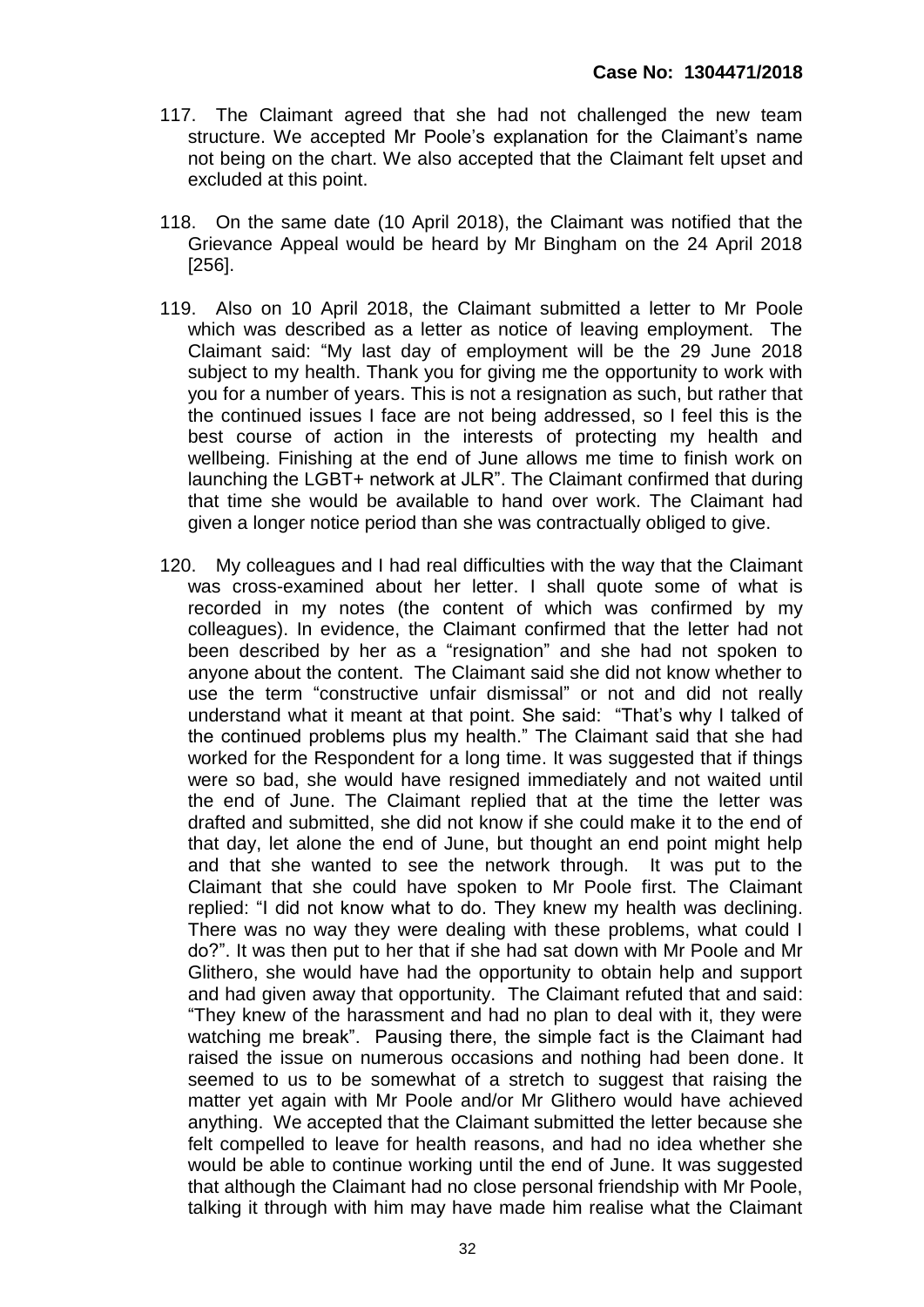- 117. The Claimant agreed that she had not challenged the new team structure. We accepted Mr Poole's explanation for the Claimant's name not being on the chart. We also accepted that the Claimant felt upset and excluded at this point.
- 118. On the same date (10 April 2018), the Claimant was notified that the Grievance Appeal would be heard by Mr Bingham on the 24 April 2018 [256].
- 119. Also on 10 April 2018, the Claimant submitted a letter to Mr Poole which was described as a letter as notice of leaving employment. The Claimant said: "My last day of employment will be the 29 June 2018 subject to my health. Thank you for giving me the opportunity to work with you for a number of years. This is not a resignation as such, but rather that the continued issues I face are not being addressed, so I feel this is the best course of action in the interests of protecting my health and wellbeing. Finishing at the end of June allows me time to finish work on launching the LGBT+ network at JLR". The Claimant confirmed that during that time she would be available to hand over work. The Claimant had given a longer notice period than she was contractually obliged to give.
- 120. My colleagues and I had real difficulties with the way that the Claimant was cross-examined about her letter. I shall quote some of what is recorded in my notes (the content of which was confirmed by my colleagues). In evidence, the Claimant confirmed that the letter had not been described by her as a "resignation" and she had not spoken to anyone about the content. The Claimant said she did not know whether to use the term "constructive unfair dismissal" or not and did not really understand what it meant at that point. She said: "That's why I talked of the continued problems plus my health." The Claimant said that she had worked for the Respondent for a long time. It was suggested that if things were so bad, she would have resigned immediately and not waited until the end of June. The Claimant replied that at the time the letter was drafted and submitted, she did not know if she could make it to the end of that day, let alone the end of June, but thought an end point might help and that she wanted to see the network through. It was put to the Claimant that she could have spoken to Mr Poole first. The Claimant replied: "I did not know what to do. They knew my health was declining. There was no way they were dealing with these problems, what could I do?". It was then put to her that if she had sat down with Mr Poole and Mr Glithero, she would have had the opportunity to obtain help and support and had given away that opportunity. The Claimant refuted that and said: "They knew of the harassment and had no plan to deal with it, they were watching me break". Pausing there, the simple fact is the Claimant had raised the issue on numerous occasions and nothing had been done. It seemed to us to be somewhat of a stretch to suggest that raising the matter yet again with Mr Poole and/or Mr Glithero would have achieved anything. We accepted that the Claimant submitted the letter because she felt compelled to leave for health reasons, and had no idea whether she would be able to continue working until the end of June. It was suggested that although the Claimant had no close personal friendship with Mr Poole, talking it through with him may have made him realise what the Claimant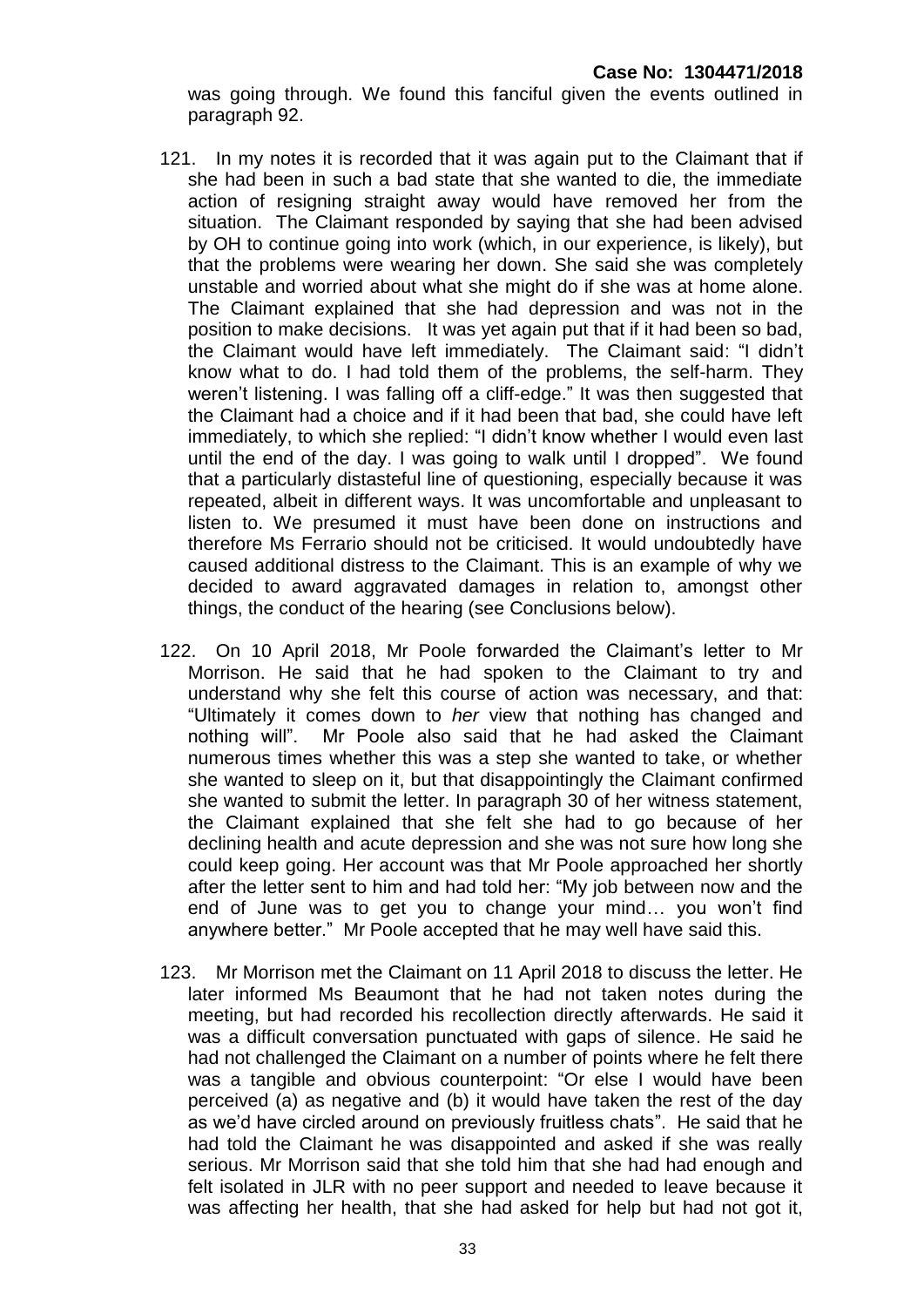was going through. We found this fanciful given the events outlined in paragraph 92.

- 121. In my notes it is recorded that it was again put to the Claimant that if she had been in such a bad state that she wanted to die, the immediate action of resigning straight away would have removed her from the situation. The Claimant responded by saying that she had been advised by OH to continue going into work (which, in our experience, is likely), but that the problems were wearing her down. She said she was completely unstable and worried about what she might do if she was at home alone. The Claimant explained that she had depression and was not in the position to make decisions. It was yet again put that if it had been so bad, the Claimant would have left immediately. The Claimant said: "I didn't know what to do. I had told them of the problems, the self-harm. They weren't listening. I was falling off a cliff-edge." It was then suggested that the Claimant had a choice and if it had been that bad, she could have left immediately, to which she replied: "I didn't know whether I would even last until the end of the day. I was going to walk until I dropped". We found that a particularly distasteful line of questioning, especially because it was repeated, albeit in different ways. It was uncomfortable and unpleasant to listen to. We presumed it must have been done on instructions and therefore Ms Ferrario should not be criticised. It would undoubtedly have caused additional distress to the Claimant. This is an example of why we decided to award aggravated damages in relation to, amongst other things, the conduct of the hearing (see Conclusions below).
- 122. On 10 April 2018, Mr Poole forwarded the Claimant's letter to Mr Morrison. He said that he had spoken to the Claimant to try and understand why she felt this course of action was necessary, and that: "Ultimately it comes down to *her* view that nothing has changed and nothing will". Mr Poole also said that he had asked the Claimant numerous times whether this was a step she wanted to take, or whether she wanted to sleep on it, but that disappointingly the Claimant confirmed she wanted to submit the letter. In paragraph 30 of her witness statement, the Claimant explained that she felt she had to go because of her declining health and acute depression and she was not sure how long she could keep going. Her account was that Mr Poole approached her shortly after the letter sent to him and had told her: "My job between now and the end of June was to get you to change your mind… you won't find anywhere better." Mr Poole accepted that he may well have said this.
- 123. Mr Morrison met the Claimant on 11 April 2018 to discuss the letter. He later informed Ms Beaumont that he had not taken notes during the meeting, but had recorded his recollection directly afterwards. He said it was a difficult conversation punctuated with gaps of silence. He said he had not challenged the Claimant on a number of points where he felt there was a tangible and obvious counterpoint: "Or else I would have been perceived (a) as negative and (b) it would have taken the rest of the day as we'd have circled around on previously fruitless chats". He said that he had told the Claimant he was disappointed and asked if she was really serious. Mr Morrison said that she told him that she had had enough and felt isolated in JLR with no peer support and needed to leave because it was affecting her health, that she had asked for help but had not got it,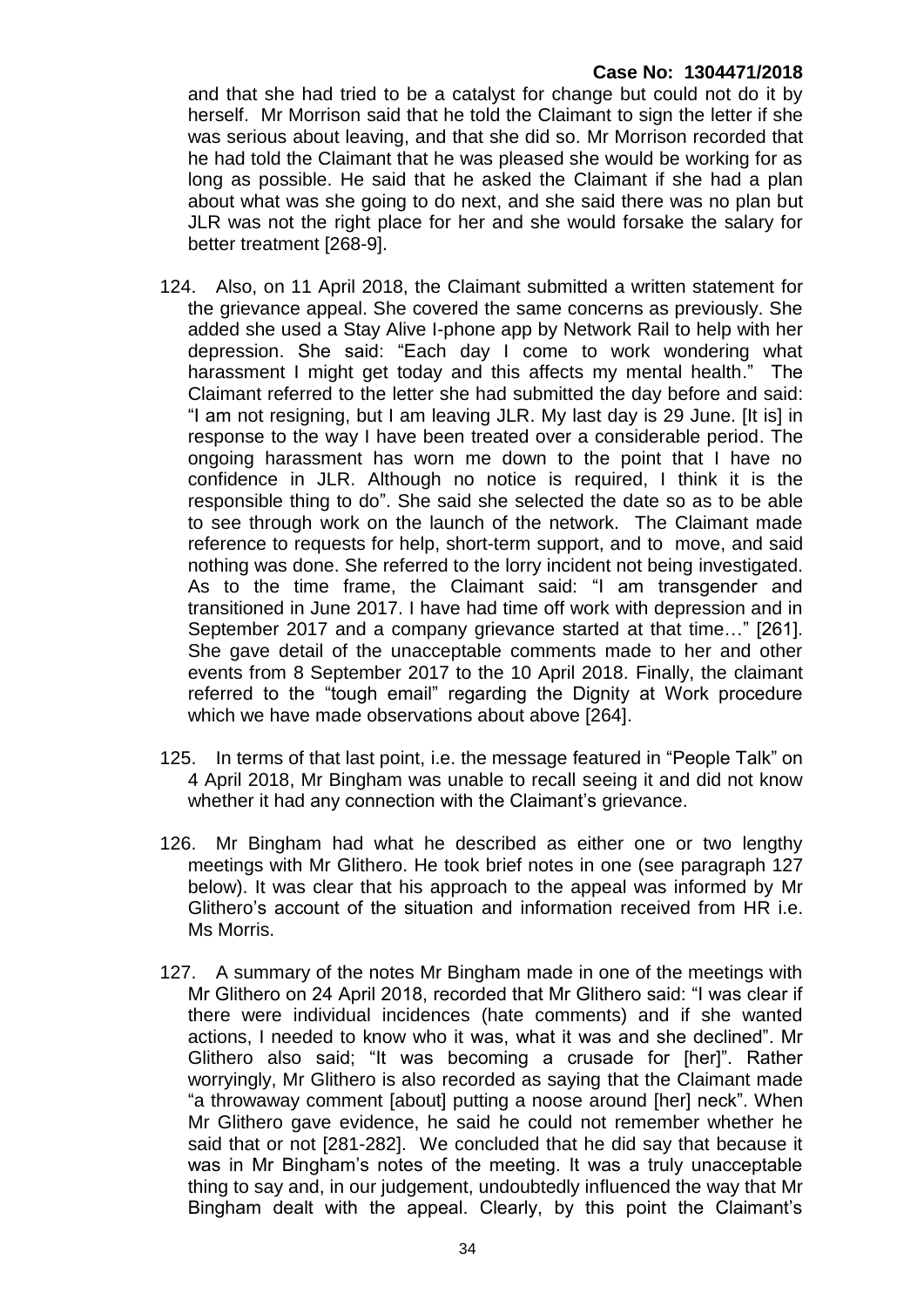and that she had tried to be a catalyst for change but could not do it by herself. Mr Morrison said that he told the Claimant to sign the letter if she was serious about leaving, and that she did so. Mr Morrison recorded that he had told the Claimant that he was pleased she would be working for as long as possible. He said that he asked the Claimant if she had a plan about what was she going to do next, and she said there was no plan but JLR was not the right place for her and she would forsake the salary for better treatment [268-9].

- 124. Also, on 11 April 2018, the Claimant submitted a written statement for the grievance appeal. She covered the same concerns as previously. She added she used a Stay Alive I-phone app by Network Rail to help with her depression. She said: "Each day I come to work wondering what harassment I might get today and this affects my mental health." The Claimant referred to the letter she had submitted the day before and said: "I am not resigning, but I am leaving JLR. My last day is 29 June. [It is] in response to the way I have been treated over a considerable period. The ongoing harassment has worn me down to the point that I have no confidence in JLR. Although no notice is required, I think it is the responsible thing to do". She said she selected the date so as to be able to see through work on the launch of the network. The Claimant made reference to requests for help, short-term support, and to move, and said nothing was done. She referred to the lorry incident not being investigated. As to the time frame, the Claimant said: "I am transgender and transitioned in June 2017. I have had time off work with depression and in September 2017 and a company grievance started at that time…" [261]. She gave detail of the unacceptable comments made to her and other events from 8 September 2017 to the 10 April 2018. Finally, the claimant referred to the "tough email" regarding the Dignity at Work procedure which we have made observations about above [264].
- 125. In terms of that last point, i.e. the message featured in "People Talk" on 4 April 2018, Mr Bingham was unable to recall seeing it and did not know whether it had any connection with the Claimant's grievance.
- 126. Mr Bingham had what he described as either one or two lengthy meetings with Mr Glithero. He took brief notes in one (see paragraph 127 below). It was clear that his approach to the appeal was informed by Mr Glithero's account of the situation and information received from HR i.e. Ms Morris.
- 127. A summary of the notes Mr Bingham made in one of the meetings with Mr Glithero on 24 April 2018, recorded that Mr Glithero said: "I was clear if there were individual incidences (hate comments) and if she wanted actions, I needed to know who it was, what it was and she declined". Mr Glithero also said; "It was becoming a crusade for [her]". Rather worryingly, Mr Glithero is also recorded as saying that the Claimant made "a throwaway comment [about] putting a noose around [her] neck". When Mr Glithero gave evidence, he said he could not remember whether he said that or not [281-282]. We concluded that he did say that because it was in Mr Bingham's notes of the meeting. It was a truly unacceptable thing to say and, in our judgement, undoubtedly influenced the way that Mr Bingham dealt with the appeal. Clearly, by this point the Claimant's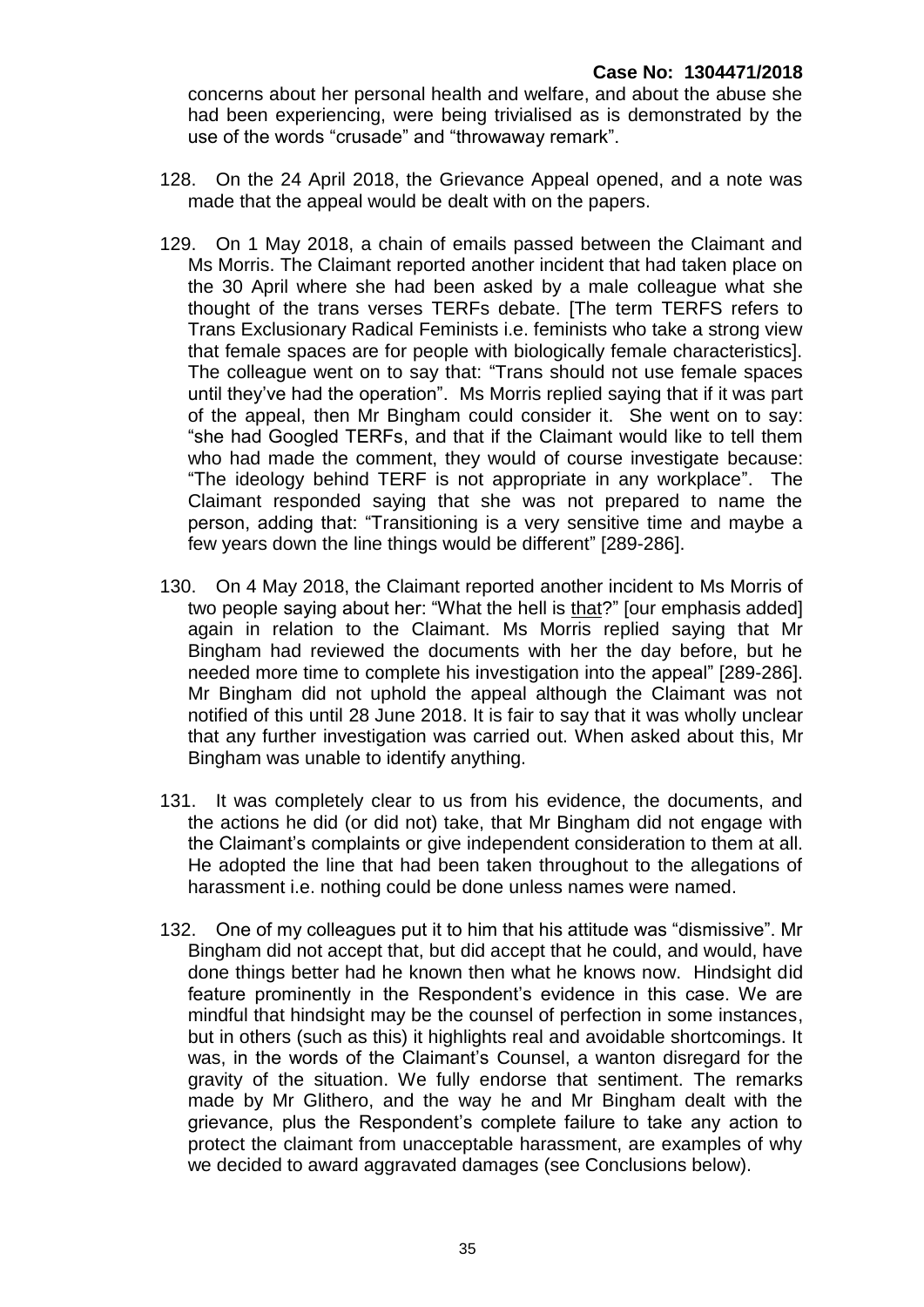concerns about her personal health and welfare, and about the abuse she had been experiencing, were being trivialised as is demonstrated by the use of the words "crusade" and "throwaway remark".

- 128. On the 24 April 2018, the Grievance Appeal opened, and a note was made that the appeal would be dealt with on the papers.
- 129. On 1 May 2018, a chain of emails passed between the Claimant and Ms Morris. The Claimant reported another incident that had taken place on the 30 April where she had been asked by a male colleague what she thought of the trans verses TERFs debate. [The term TERFS refers to Trans Exclusionary Radical Feminists i.e. feminists who take a strong view that female spaces are for people with biologically female characteristics]. The colleague went on to say that: "Trans should not use female spaces until they've had the operation". Ms Morris replied saying that if it was part of the appeal, then Mr Bingham could consider it. She went on to say: "she had Googled TERFs, and that if the Claimant would like to tell them who had made the comment, they would of course investigate because: "The ideology behind TERF is not appropriate in any workplace". The Claimant responded saying that she was not prepared to name the person, adding that: "Transitioning is a very sensitive time and maybe a few years down the line things would be different" [289-286].
- 130. On 4 May 2018, the Claimant reported another incident to Ms Morris of two people saying about her: "What the hell is that?" [our emphasis added] again in relation to the Claimant. Ms Morris replied saying that Mr Bingham had reviewed the documents with her the day before, but he needed more time to complete his investigation into the appeal" [289-286]. Mr Bingham did not uphold the appeal although the Claimant was not notified of this until 28 June 2018. It is fair to say that it was wholly unclear that any further investigation was carried out. When asked about this, Mr Bingham was unable to identify anything.
- 131. It was completely clear to us from his evidence, the documents, and the actions he did (or did not) take, that Mr Bingham did not engage with the Claimant's complaints or give independent consideration to them at all. He adopted the line that had been taken throughout to the allegations of harassment i.e. nothing could be done unless names were named.
- 132. One of my colleagues put it to him that his attitude was "dismissive". Mr Bingham did not accept that, but did accept that he could, and would, have done things better had he known then what he knows now. Hindsight did feature prominently in the Respondent's evidence in this case. We are mindful that hindsight may be the counsel of perfection in some instances, but in others (such as this) it highlights real and avoidable shortcomings. It was, in the words of the Claimant's Counsel, a wanton disregard for the gravity of the situation. We fully endorse that sentiment. The remarks made by Mr Glithero, and the way he and Mr Bingham dealt with the grievance, plus the Respondent's complete failure to take any action to protect the claimant from unacceptable harassment, are examples of why we decided to award aggravated damages (see Conclusions below).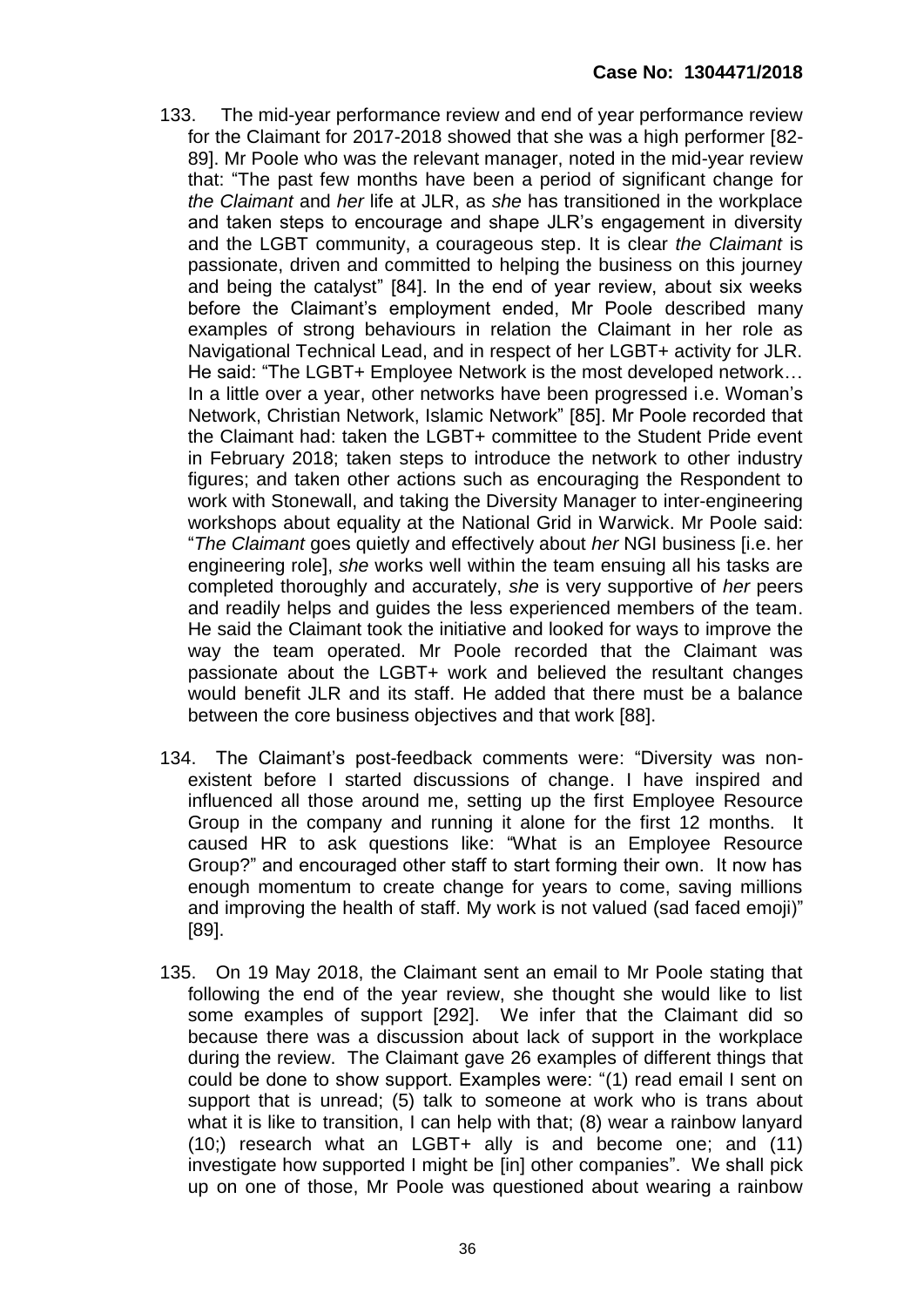- 133. The mid-year performance review and end of year performance review for the Claimant for 2017-2018 showed that she was a high performer [82- 89]. Mr Poole who was the relevant manager, noted in the mid-year review that: "The past few months have been a period of significant change for *the Claimant* and *her* life at JLR, as *she* has transitioned in the workplace and taken steps to encourage and shape JLR's engagement in diversity and the LGBT community, a courageous step. It is clear *the Claimant* is passionate, driven and committed to helping the business on this journey and being the catalyst" [84]. In the end of year review, about six weeks before the Claimant's employment ended, Mr Poole described many examples of strong behaviours in relation the Claimant in her role as Navigational Technical Lead, and in respect of her LGBT+ activity for JLR. He said: "The LGBT+ Employee Network is the most developed network… In a little over a year, other networks have been progressed i.e. Woman's Network, Christian Network, Islamic Network" [85]. Mr Poole recorded that the Claimant had: taken the LGBT+ committee to the Student Pride event in February 2018; taken steps to introduce the network to other industry figures; and taken other actions such as encouraging the Respondent to work with Stonewall, and taking the Diversity Manager to inter-engineering workshops about equality at the National Grid in Warwick. Mr Poole said: "*The Claimant* goes quietly and effectively about *her* NGI business [i.e. her engineering role], *she* works well within the team ensuing all his tasks are completed thoroughly and accurately, *she* is very supportive of *her* peers and readily helps and guides the less experienced members of the team. He said the Claimant took the initiative and looked for ways to improve the way the team operated. Mr Poole recorded that the Claimant was passionate about the LGBT+ work and believed the resultant changes would benefit JLR and its staff. He added that there must be a balance between the core business objectives and that work [88].
- 134. The Claimant's post-feedback comments were: "Diversity was nonexistent before I started discussions of change. I have inspired and influenced all those around me, setting up the first Employee Resource Group in the company and running it alone for the first 12 months. It caused HR to ask questions like: "What is an Employee Resource Group?" and encouraged other staff to start forming their own. It now has enough momentum to create change for years to come, saving millions and improving the health of staff. My work is not valued (sad faced emoji)" [89].
- 135. On 19 May 2018, the Claimant sent an email to Mr Poole stating that following the end of the year review, she thought she would like to list some examples of support [292]. We infer that the Claimant did so because there was a discussion about lack of support in the workplace during the review. The Claimant gave 26 examples of different things that could be done to show support. Examples were: "(1) read email I sent on support that is unread; (5) talk to someone at work who is trans about what it is like to transition, I can help with that; (8) wear a rainbow lanyard (10;) research what an LGBT+ ally is and become one; and (11) investigate how supported I might be [in] other companies". We shall pick up on one of those, Mr Poole was questioned about wearing a rainbow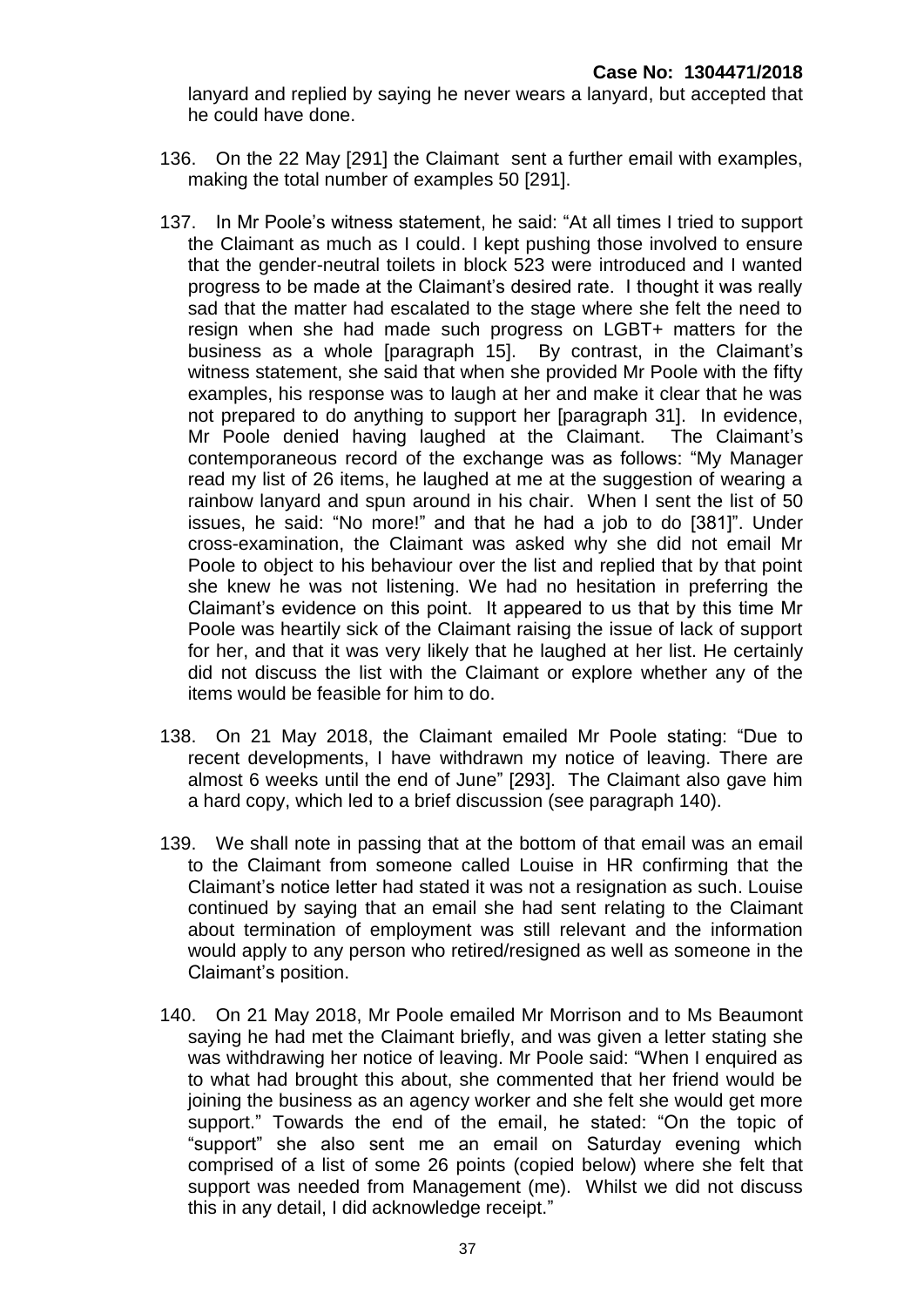lanyard and replied by saying he never wears a lanyard, but accepted that he could have done.

- 136. On the 22 May [291] the Claimant sent a further email with examples, making the total number of examples 50 [291].
- 137. In Mr Poole's witness statement, he said: "At all times I tried to support the Claimant as much as I could. I kept pushing those involved to ensure that the gender-neutral toilets in block 523 were introduced and I wanted progress to be made at the Claimant's desired rate. I thought it was really sad that the matter had escalated to the stage where she felt the need to resign when she had made such progress on LGBT+ matters for the business as a whole [paragraph 15]. By contrast, in the Claimant's witness statement, she said that when she provided Mr Poole with the fifty examples, his response was to laugh at her and make it clear that he was not prepared to do anything to support her [paragraph 31]. In evidence, Mr Poole denied having laughed at the Claimant. The Claimant's contemporaneous record of the exchange was as follows: "My Manager read my list of 26 items, he laughed at me at the suggestion of wearing a rainbow lanyard and spun around in his chair. When I sent the list of 50 issues, he said: "No more!" and that he had a job to do [381]". Under cross-examination, the Claimant was asked why she did not email Mr Poole to object to his behaviour over the list and replied that by that point she knew he was not listening. We had no hesitation in preferring the Claimant's evidence on this point. It appeared to us that by this time Mr Poole was heartily sick of the Claimant raising the issue of lack of support for her, and that it was very likely that he laughed at her list. He certainly did not discuss the list with the Claimant or explore whether any of the items would be feasible for him to do.
- 138. On 21 May 2018, the Claimant emailed Mr Poole stating: "Due to recent developments, I have withdrawn my notice of leaving. There are almost 6 weeks until the end of June" [293]. The Claimant also gave him a hard copy, which led to a brief discussion (see paragraph 140).
- 139. We shall note in passing that at the bottom of that email was an email to the Claimant from someone called Louise in HR confirming that the Claimant's notice letter had stated it was not a resignation as such. Louise continued by saying that an email she had sent relating to the Claimant about termination of employment was still relevant and the information would apply to any person who retired/resigned as well as someone in the Claimant's position.
- 140. On 21 May 2018, Mr Poole emailed Mr Morrison and to Ms Beaumont saying he had met the Claimant briefly, and was given a letter stating she was withdrawing her notice of leaving. Mr Poole said: "When I enquired as to what had brought this about, she commented that her friend would be joining the business as an agency worker and she felt she would get more support." Towards the end of the email, he stated: "On the topic of "support" she also sent me an email on Saturday evening which comprised of a list of some 26 points (copied below) where she felt that support was needed from Management (me). Whilst we did not discuss this in any detail, I did acknowledge receipt."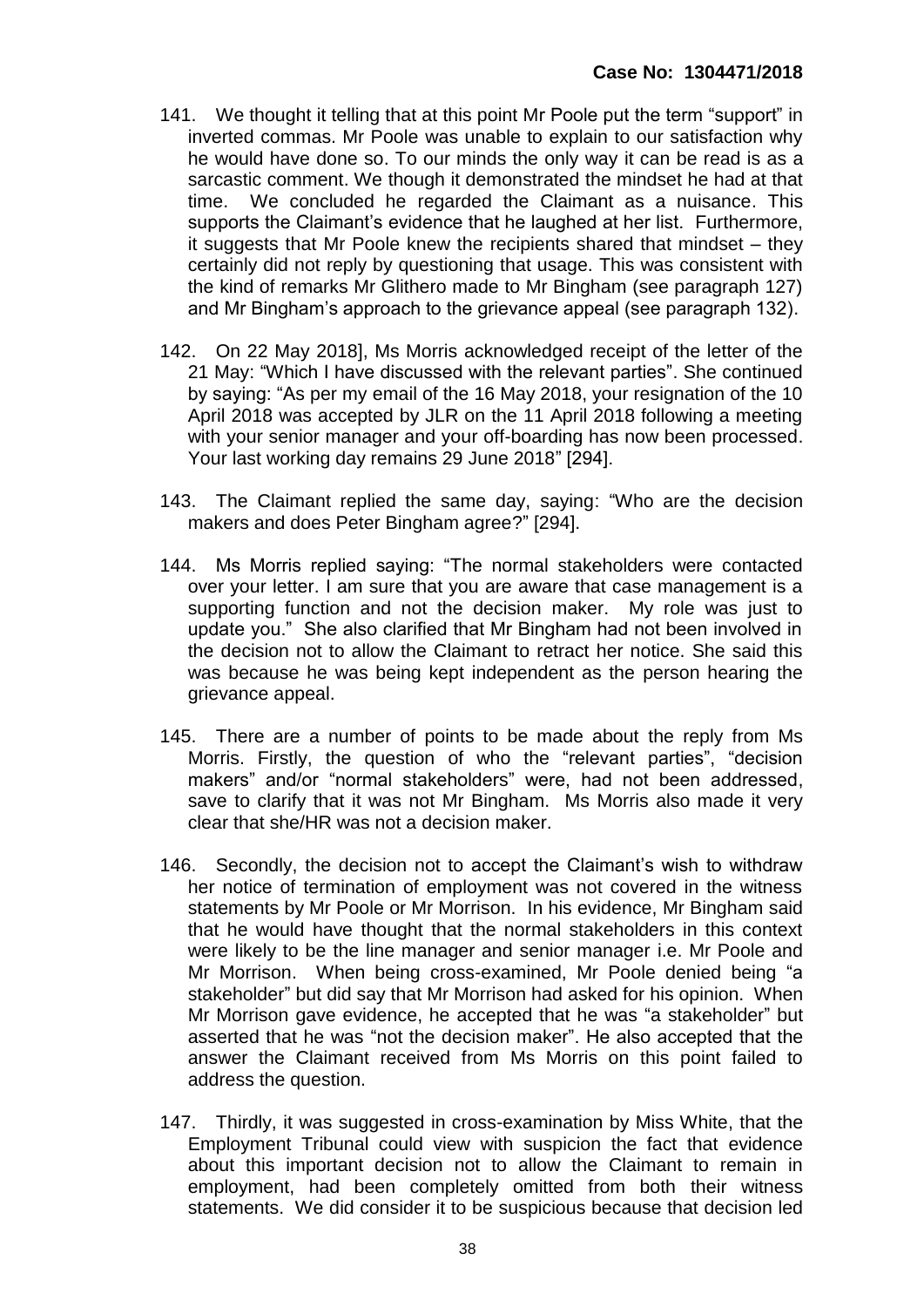- 141. We thought it telling that at this point Mr Poole put the term "support" in inverted commas. Mr Poole was unable to explain to our satisfaction why he would have done so. To our minds the only way it can be read is as a sarcastic comment. We though it demonstrated the mindset he had at that time. We concluded he regarded the Claimant as a nuisance. This supports the Claimant's evidence that he laughed at her list. Furthermore, it suggests that Mr Poole knew the recipients shared that mindset – they certainly did not reply by questioning that usage. This was consistent with the kind of remarks Mr Glithero made to Mr Bingham (see paragraph 127) and Mr Bingham's approach to the grievance appeal (see paragraph 132).
- 142. On 22 May 2018], Ms Morris acknowledged receipt of the letter of the 21 May: "Which I have discussed with the relevant parties". She continued by saying: "As per my email of the 16 May 2018, your resignation of the 10 April 2018 was accepted by JLR on the 11 April 2018 following a meeting with your senior manager and your off-boarding has now been processed. Your last working day remains 29 June 2018" [294].
- 143. The Claimant replied the same day, saying: "Who are the decision makers and does Peter Bingham agree?" [294].
- 144. Ms Morris replied saying: "The normal stakeholders were contacted over your letter. I am sure that you are aware that case management is a supporting function and not the decision maker. My role was just to update you." She also clarified that Mr Bingham had not been involved in the decision not to allow the Claimant to retract her notice. She said this was because he was being kept independent as the person hearing the grievance appeal.
- 145. There are a number of points to be made about the reply from Ms Morris. Firstly, the question of who the "relevant parties", "decision makers" and/or "normal stakeholders" were, had not been addressed, save to clarify that it was not Mr Bingham. Ms Morris also made it very clear that she/HR was not a decision maker.
- 146. Secondly, the decision not to accept the Claimant's wish to withdraw her notice of termination of employment was not covered in the witness statements by Mr Poole or Mr Morrison. In his evidence, Mr Bingham said that he would have thought that the normal stakeholders in this context were likely to be the line manager and senior manager i.e. Mr Poole and Mr Morrison. When being cross-examined, Mr Poole denied being "a stakeholder" but did say that Mr Morrison had asked for his opinion. When Mr Morrison gave evidence, he accepted that he was "a stakeholder" but asserted that he was "not the decision maker". He also accepted that the answer the Claimant received from Ms Morris on this point failed to address the question.
- 147. Thirdly, it was suggested in cross-examination by Miss White, that the Employment Tribunal could view with suspicion the fact that evidence about this important decision not to allow the Claimant to remain in employment, had been completely omitted from both their witness statements. We did consider it to be suspicious because that decision led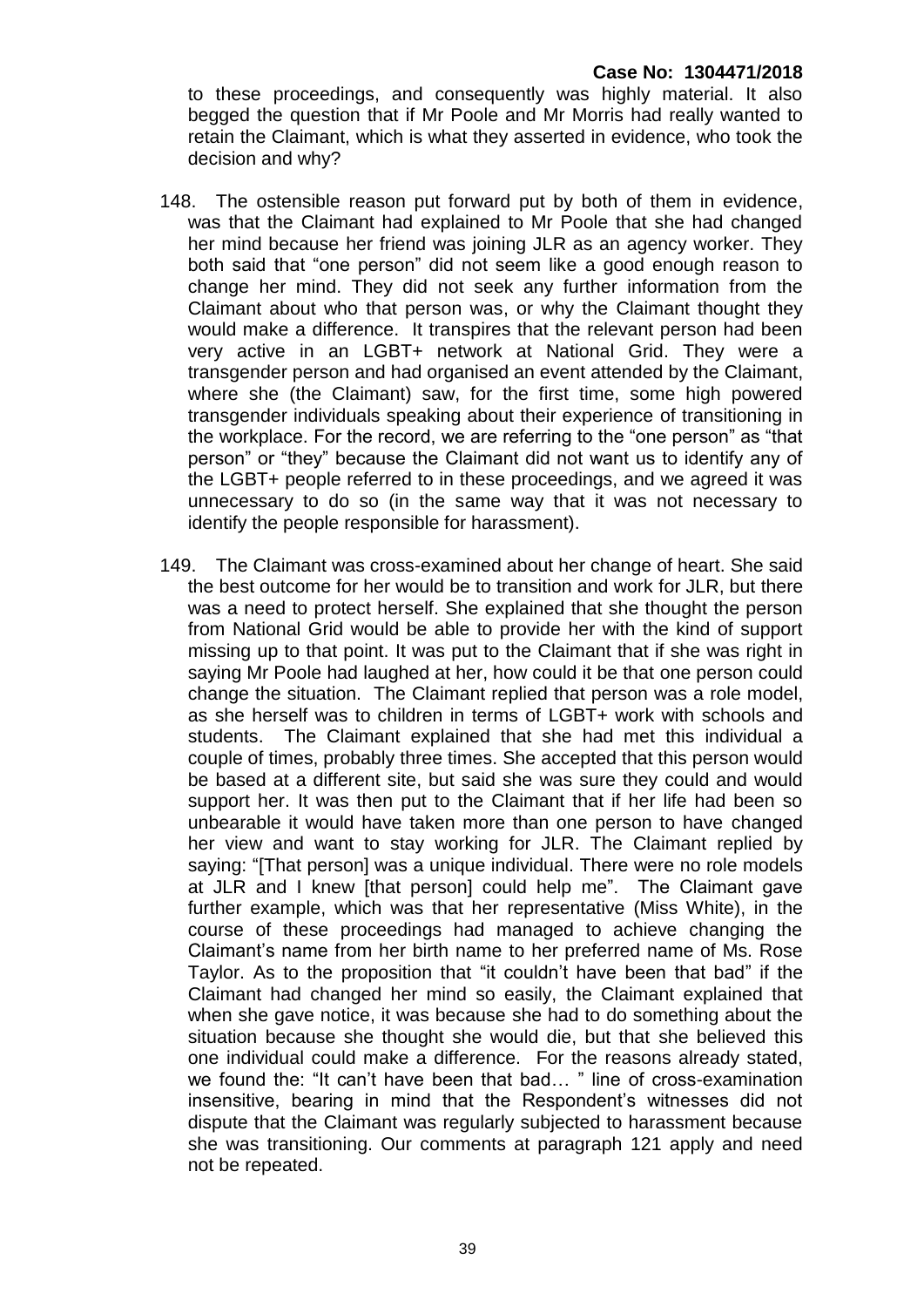to these proceedings, and consequently was highly material. It also begged the question that if Mr Poole and Mr Morris had really wanted to retain the Claimant, which is what they asserted in evidence, who took the decision and why?

- 148. The ostensible reason put forward put by both of them in evidence, was that the Claimant had explained to Mr Poole that she had changed her mind because her friend was joining JLR as an agency worker. They both said that "one person" did not seem like a good enough reason to change her mind. They did not seek any further information from the Claimant about who that person was, or why the Claimant thought they would make a difference. It transpires that the relevant person had been very active in an LGBT+ network at National Grid. They were a transgender person and had organised an event attended by the Claimant, where she (the Claimant) saw, for the first time, some high powered transgender individuals speaking about their experience of transitioning in the workplace. For the record, we are referring to the "one person" as "that person" or "they" because the Claimant did not want us to identify any of the LGBT+ people referred to in these proceedings, and we agreed it was unnecessary to do so (in the same way that it was not necessary to identify the people responsible for harassment).
- 149. The Claimant was cross-examined about her change of heart. She said the best outcome for her would be to transition and work for JLR, but there was a need to protect herself. She explained that she thought the person from National Grid would be able to provide her with the kind of support missing up to that point. It was put to the Claimant that if she was right in saying Mr Poole had laughed at her, how could it be that one person could change the situation. The Claimant replied that person was a role model, as she herself was to children in terms of LGBT+ work with schools and students. The Claimant explained that she had met this individual a couple of times, probably three times. She accepted that this person would be based at a different site, but said she was sure they could and would support her. It was then put to the Claimant that if her life had been so unbearable it would have taken more than one person to have changed her view and want to stay working for JLR. The Claimant replied by saying: "[That person] was a unique individual. There were no role models at JLR and I knew [that person] could help me". The Claimant gave further example, which was that her representative (Miss White), in the course of these proceedings had managed to achieve changing the Claimant's name from her birth name to her preferred name of Ms. Rose Taylor. As to the proposition that "it couldn't have been that bad" if the Claimant had changed her mind so easily, the Claimant explained that when she gave notice, it was because she had to do something about the situation because she thought she would die, but that she believed this one individual could make a difference. For the reasons already stated, we found the: "It can't have been that bad… " line of cross-examination insensitive, bearing in mind that the Respondent's witnesses did not dispute that the Claimant was regularly subjected to harassment because she was transitioning. Our comments at paragraph 121 apply and need not be repeated.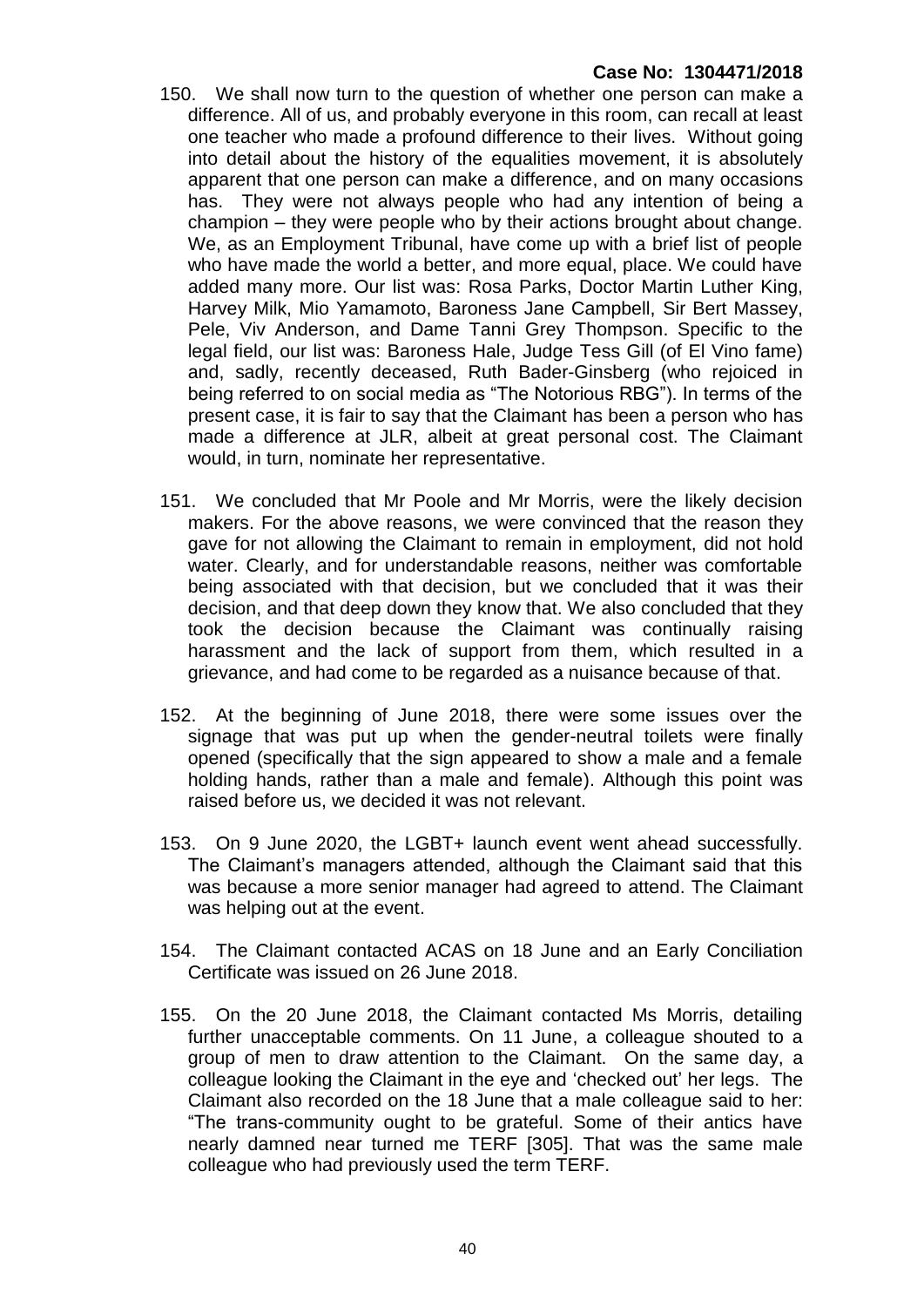- 150. We shall now turn to the question of whether one person can make a difference. All of us, and probably everyone in this room, can recall at least one teacher who made a profound difference to their lives. Without going into detail about the history of the equalities movement, it is absolutely apparent that one person can make a difference, and on many occasions has. They were not always people who had any intention of being a champion – they were people who by their actions brought about change. We, as an Employment Tribunal, have come up with a brief list of people who have made the world a better, and more equal, place. We could have added many more. Our list was: Rosa Parks, Doctor Martin Luther King, Harvey Milk, Mio Yamamoto, Baroness Jane Campbell, Sir Bert Massey, Pele, Viv Anderson, and Dame Tanni Grey Thompson. Specific to the legal field, our list was: Baroness Hale, Judge Tess Gill (of El Vino fame) and, sadly, recently deceased, Ruth Bader-Ginsberg (who rejoiced in being referred to on social media as "The Notorious RBG"). In terms of the present case, it is fair to say that the Claimant has been a person who has made a difference at JLR, albeit at great personal cost. The Claimant would, in turn, nominate her representative.
- 151. We concluded that Mr Poole and Mr Morris, were the likely decision makers. For the above reasons, we were convinced that the reason they gave for not allowing the Claimant to remain in employment, did not hold water. Clearly, and for understandable reasons, neither was comfortable being associated with that decision, but we concluded that it was their decision, and that deep down they know that. We also concluded that they took the decision because the Claimant was continually raising harassment and the lack of support from them, which resulted in a grievance, and had come to be regarded as a nuisance because of that.
- 152. At the beginning of June 2018, there were some issues over the signage that was put up when the gender-neutral toilets were finally opened (specifically that the sign appeared to show a male and a female holding hands, rather than a male and female). Although this point was raised before us, we decided it was not relevant.
- 153. On 9 June 2020, the LGBT+ launch event went ahead successfully. The Claimant's managers attended, although the Claimant said that this was because a more senior manager had agreed to attend. The Claimant was helping out at the event.
- 154. The Claimant contacted ACAS on 18 June and an Early Conciliation Certificate was issued on 26 June 2018.
- 155. On the 20 June 2018, the Claimant contacted Ms Morris, detailing further unacceptable comments. On 11 June, a colleague shouted to a group of men to draw attention to the Claimant. On the same day, a colleague looking the Claimant in the eye and 'checked out' her legs. The Claimant also recorded on the 18 June that a male colleague said to her: "The trans-community ought to be grateful. Some of their antics have nearly damned near turned me TERF [305]. That was the same male colleague who had previously used the term TERF.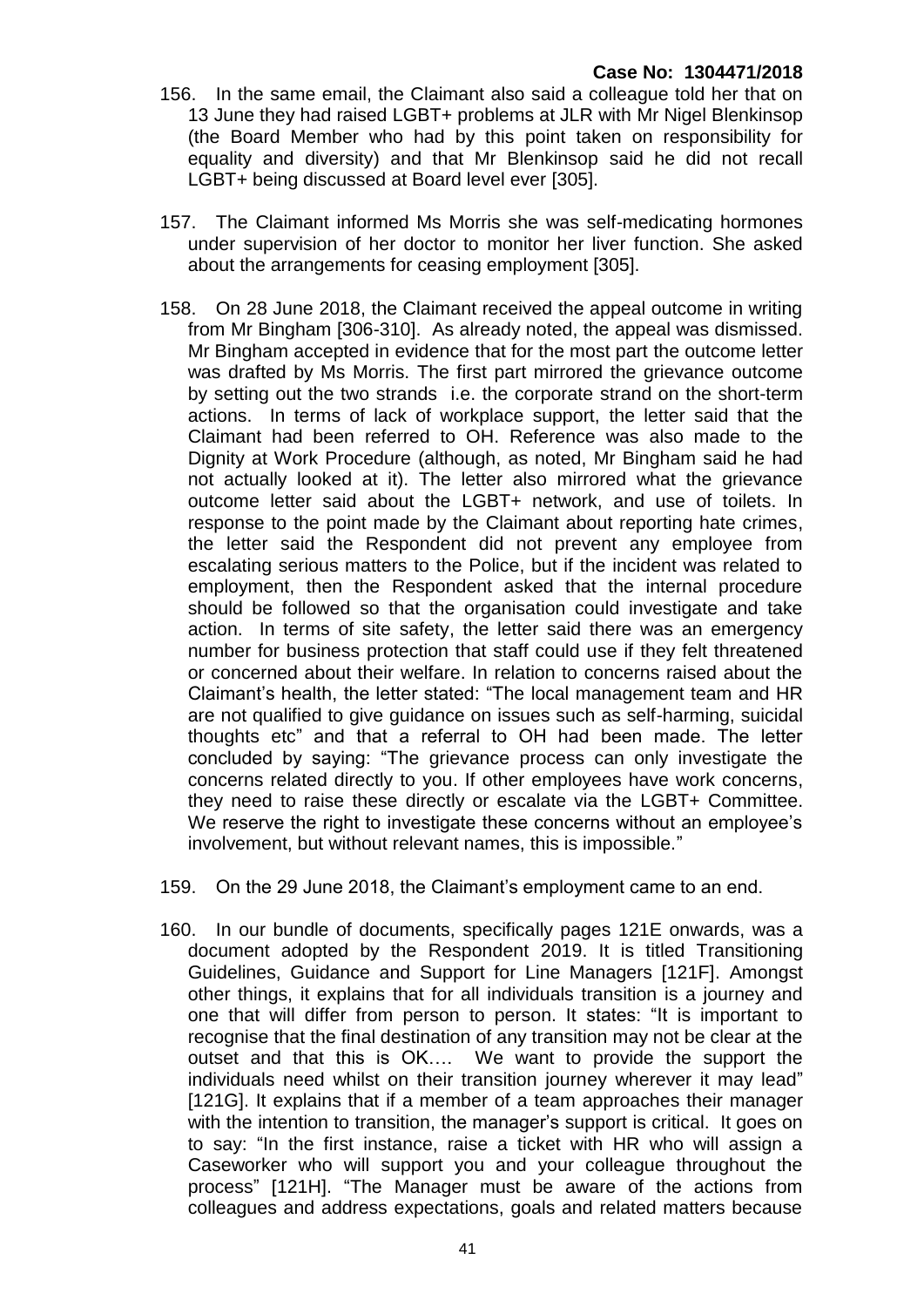- 156. In the same email, the Claimant also said a colleague told her that on 13 June they had raised LGBT+ problems at JLR with Mr Nigel Blenkinsop (the Board Member who had by this point taken on responsibility for equality and diversity) and that Mr Blenkinsop said he did not recall LGBT+ being discussed at Board level ever [305].
- 157. The Claimant informed Ms Morris she was self-medicating hormones under supervision of her doctor to monitor her liver function. She asked about the arrangements for ceasing employment [305].
- 158. On 28 June 2018, the Claimant received the appeal outcome in writing from Mr Bingham [306-310]. As already noted, the appeal was dismissed. Mr Bingham accepted in evidence that for the most part the outcome letter was drafted by Ms Morris. The first part mirrored the grievance outcome by setting out the two strands i.e. the corporate strand on the short-term actions. In terms of lack of workplace support, the letter said that the Claimant had been referred to OH. Reference was also made to the Dignity at Work Procedure (although, as noted, Mr Bingham said he had not actually looked at it). The letter also mirrored what the grievance outcome letter said about the LGBT+ network, and use of toilets. In response to the point made by the Claimant about reporting hate crimes, the letter said the Respondent did not prevent any employee from escalating serious matters to the Police, but if the incident was related to employment, then the Respondent asked that the internal procedure should be followed so that the organisation could investigate and take action. In terms of site safety, the letter said there was an emergency number for business protection that staff could use if they felt threatened or concerned about their welfare. In relation to concerns raised about the Claimant's health, the letter stated: "The local management team and HR are not qualified to give guidance on issues such as self-harming, suicidal thoughts etc" and that a referral to OH had been made. The letter concluded by saying: "The grievance process can only investigate the concerns related directly to you. If other employees have work concerns, they need to raise these directly or escalate via the LGBT+ Committee. We reserve the right to investigate these concerns without an employee's involvement, but without relevant names, this is impossible."
- 159. On the 29 June 2018, the Claimant's employment came to an end.
- 160. In our bundle of documents, specifically pages 121E onwards, was a document adopted by the Respondent 2019. It is titled Transitioning Guidelines, Guidance and Support for Line Managers [121F]. Amongst other things, it explains that for all individuals transition is a journey and one that will differ from person to person. It states: "It is important to recognise that the final destination of any transition may not be clear at the outset and that this is OK…. We want to provide the support the individuals need whilst on their transition journey wherever it may lead" [121G]. It explains that if a member of a team approaches their manager with the intention to transition, the manager's support is critical. It goes on to say: "In the first instance, raise a ticket with HR who will assign a Caseworker who will support you and your colleague throughout the process" [121H]. "The Manager must be aware of the actions from colleagues and address expectations, goals and related matters because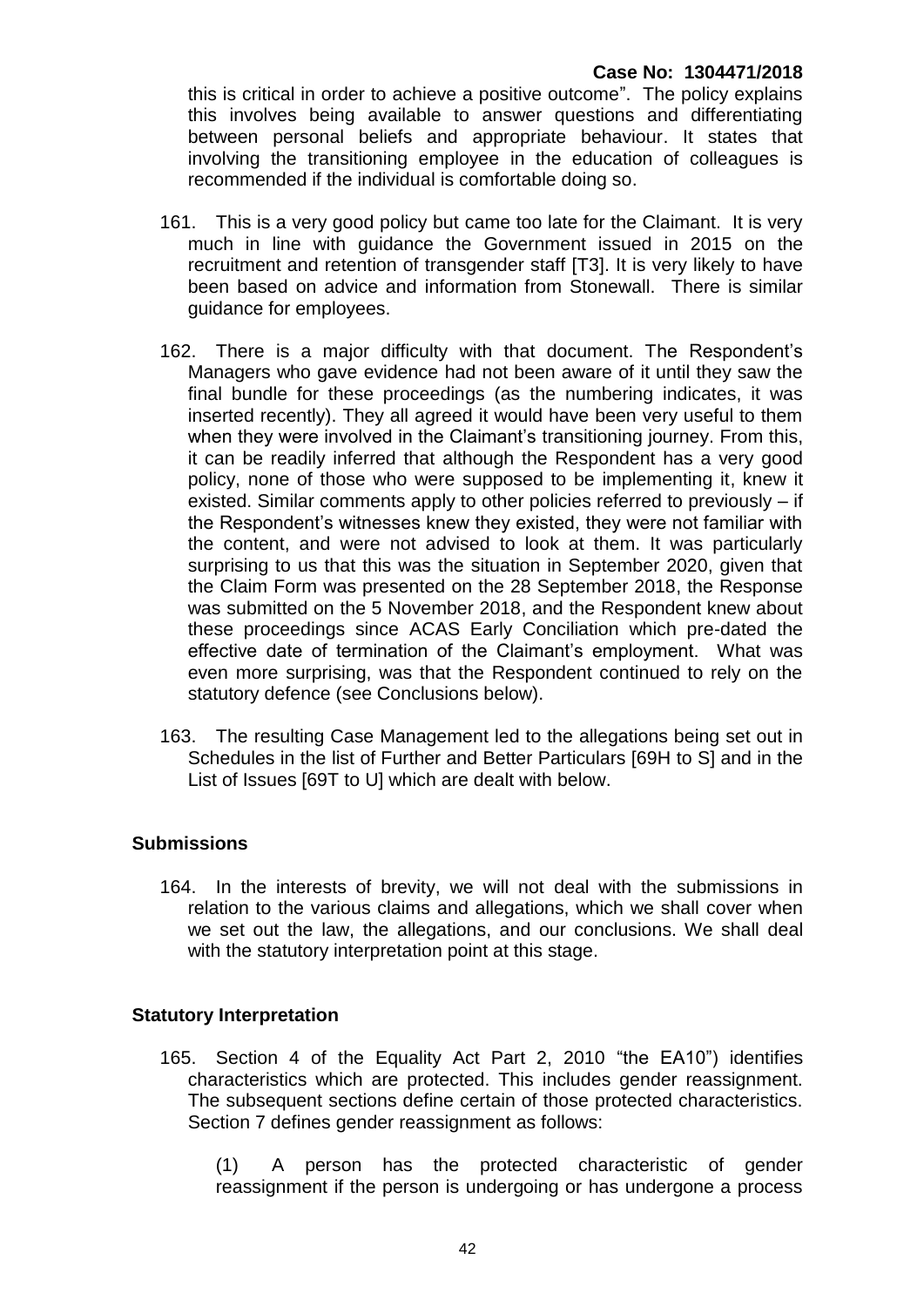this is critical in order to achieve a positive outcome". The policy explains this involves being available to answer questions and differentiating between personal beliefs and appropriate behaviour. It states that involving the transitioning employee in the education of colleagues is recommended if the individual is comfortable doing so.

- 161. This is a very good policy but came too late for the Claimant. It is very much in line with guidance the Government issued in 2015 on the recruitment and retention of transgender staff [T3]. It is very likely to have been based on advice and information from Stonewall. There is similar guidance for employees.
- 162. There is a major difficulty with that document. The Respondent's Managers who gave evidence had not been aware of it until they saw the final bundle for these proceedings (as the numbering indicates, it was inserted recently). They all agreed it would have been very useful to them when they were involved in the Claimant's transitioning journey. From this, it can be readily inferred that although the Respondent has a very good policy, none of those who were supposed to be implementing it, knew it existed. Similar comments apply to other policies referred to previously – if the Respondent's witnesses knew they existed, they were not familiar with the content, and were not advised to look at them. It was particularly surprising to us that this was the situation in September 2020, given that the Claim Form was presented on the 28 September 2018, the Response was submitted on the 5 November 2018, and the Respondent knew about these proceedings since ACAS Early Conciliation which pre-dated the effective date of termination of the Claimant's employment. What was even more surprising, was that the Respondent continued to rely on the statutory defence (see Conclusions below).
- 163. The resulting Case Management led to the allegations being set out in Schedules in the list of Further and Better Particulars [69H to S] and in the List of Issues [69T to U] which are dealt with below.

# **Submissions**

164. In the interests of brevity, we will not deal with the submissions in relation to the various claims and allegations, which we shall cover when we set out the law, the allegations, and our conclusions. We shall deal with the statutory interpretation point at this stage.

#### **Statutory Interpretation**

165. Section 4 of the Equality Act Part 2, 2010 "the EA10") identifies characteristics which are protected. This includes gender reassignment. The subsequent sections define certain of those protected characteristics. Section 7 defines gender reassignment as follows:

(1) A person has the protected characteristic of gender reassignment if the person is undergoing or has undergone a process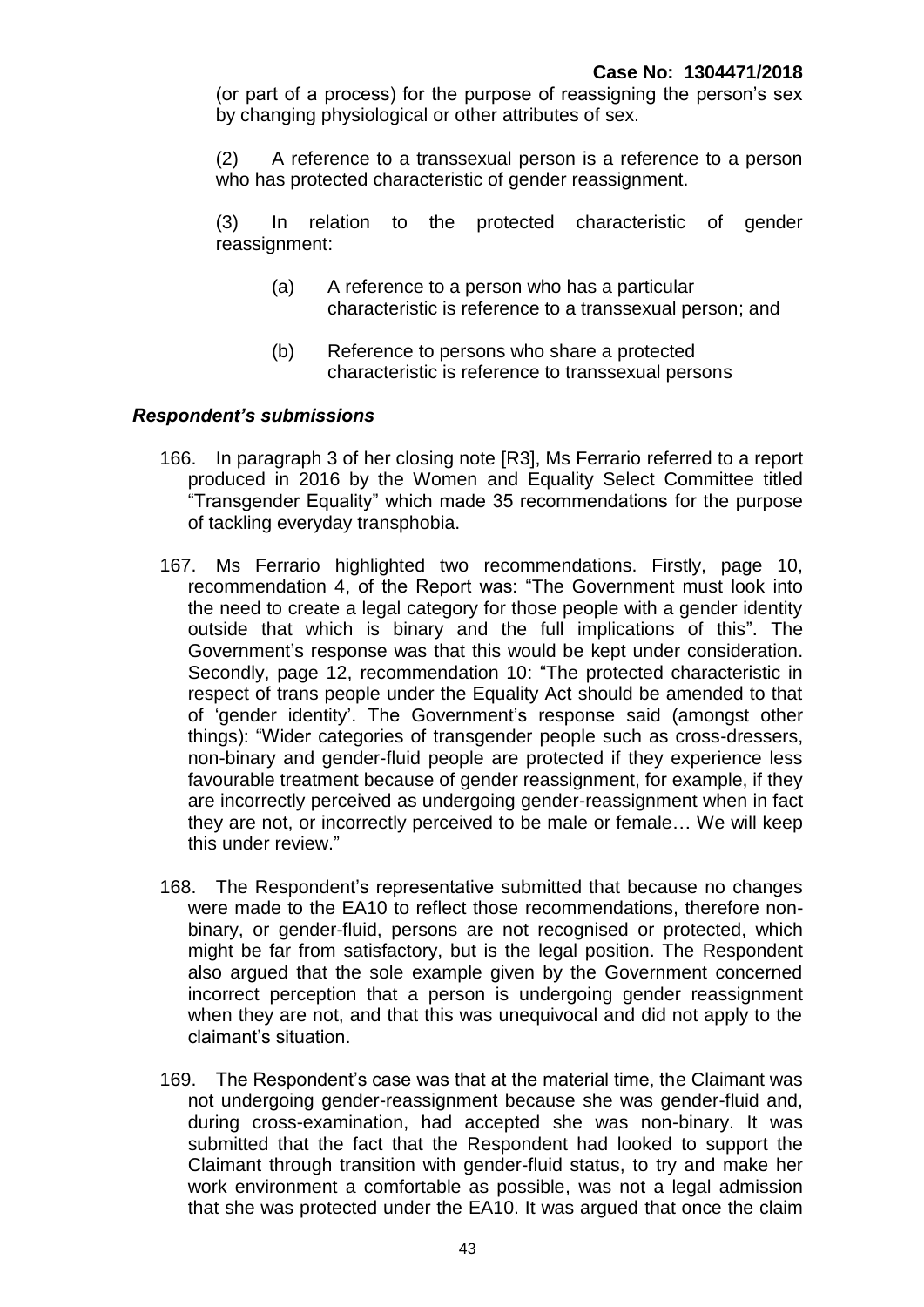(or part of a process) for the purpose of reassigning the person's sex by changing physiological or other attributes of sex.

(2) A reference to a transsexual person is a reference to a person who has protected characteristic of gender reassignment.

(3) In relation to the protected characteristic of gender reassignment:

- (a) A reference to a person who has a particular characteristic is reference to a transsexual person; and
- (b) Reference to persons who share a protected characteristic is reference to transsexual persons

#### *Respondent's submissions*

- 166. In paragraph 3 of her closing note [R3], Ms Ferrario referred to a report produced in 2016 by the Women and Equality Select Committee titled "Transgender Equality" which made 35 recommendations for the purpose of tackling everyday transphobia.
- 167. Ms Ferrario highlighted two recommendations. Firstly, page 10, recommendation 4, of the Report was: "The Government must look into the need to create a legal category for those people with a gender identity outside that which is binary and the full implications of this". The Government's response was that this would be kept under consideration. Secondly, page 12, recommendation 10: "The protected characteristic in respect of trans people under the Equality Act should be amended to that of 'gender identity'. The Government's response said (amongst other things): "Wider categories of transgender people such as cross-dressers, non-binary and gender-fluid people are protected if they experience less favourable treatment because of gender reassignment, for example, if they are incorrectly perceived as undergoing gender-reassignment when in fact they are not, or incorrectly perceived to be male or female… We will keep this under review."
- 168. The Respondent's representative submitted that because no changes were made to the EA10 to reflect those recommendations, therefore nonbinary, or gender-fluid, persons are not recognised or protected, which might be far from satisfactory, but is the legal position. The Respondent also argued that the sole example given by the Government concerned incorrect perception that a person is undergoing gender reassignment when they are not, and that this was unequivocal and did not apply to the claimant's situation.
- 169. The Respondent's case was that at the material time, the Claimant was not undergoing gender-reassignment because she was gender-fluid and, during cross-examination, had accepted she was non-binary. It was submitted that the fact that the Respondent had looked to support the Claimant through transition with gender-fluid status, to try and make her work environment a comfortable as possible, was not a legal admission that she was protected under the EA10. It was argued that once the claim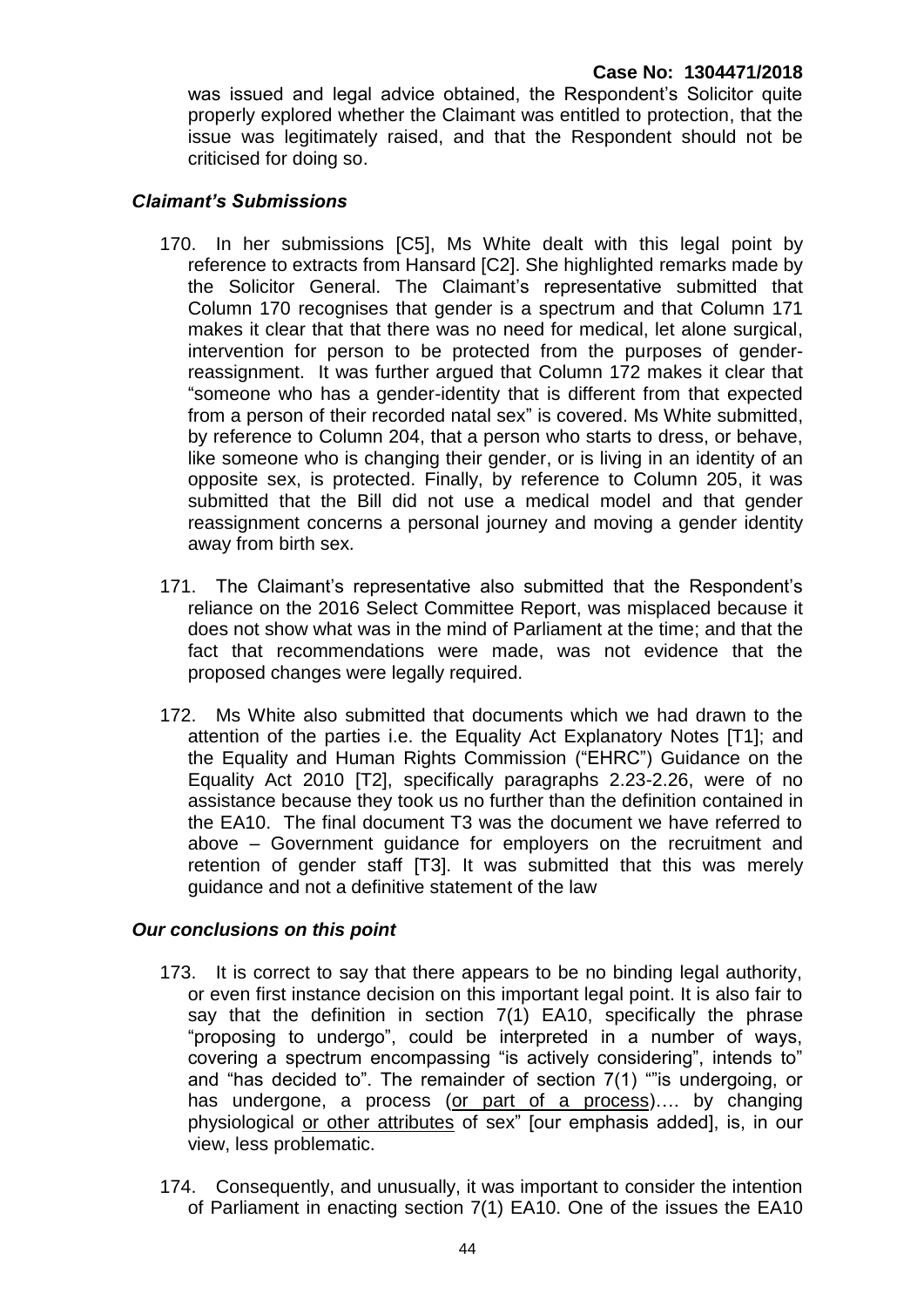was issued and legal advice obtained, the Respondent's Solicitor quite properly explored whether the Claimant was entitled to protection, that the issue was legitimately raised, and that the Respondent should not be criticised for doing so.

# *Claimant's Submissions*

- 170. In her submissions [C5], Ms White dealt with this legal point by reference to extracts from Hansard [C2]. She highlighted remarks made by the Solicitor General. The Claimant's representative submitted that Column 170 recognises that gender is a spectrum and that Column 171 makes it clear that that there was no need for medical, let alone surgical, intervention for person to be protected from the purposes of genderreassignment. It was further argued that Column 172 makes it clear that "someone who has a gender-identity that is different from that expected from a person of their recorded natal sex" is covered. Ms White submitted, by reference to Column 204, that a person who starts to dress, or behave, like someone who is changing their gender, or is living in an identity of an opposite sex, is protected. Finally, by reference to Column 205, it was submitted that the Bill did not use a medical model and that gender reassignment concerns a personal journey and moving a gender identity away from birth sex.
- 171. The Claimant's representative also submitted that the Respondent's reliance on the 2016 Select Committee Report, was misplaced because it does not show what was in the mind of Parliament at the time; and that the fact that recommendations were made, was not evidence that the proposed changes were legally required.
- 172. Ms White also submitted that documents which we had drawn to the attention of the parties i.e. the Equality Act Explanatory Notes [T1]; and the Equality and Human Rights Commission ("EHRC") Guidance on the Equality Act 2010 [T2], specifically paragraphs 2.23-2.26, were of no assistance because they took us no further than the definition contained in the EA10. The final document T3 was the document we have referred to above – Government guidance for employers on the recruitment and retention of gender staff [T3]. It was submitted that this was merely guidance and not a definitive statement of the law

#### *Our conclusions on this point*

- 173. It is correct to say that there appears to be no binding legal authority, or even first instance decision on this important legal point. It is also fair to say that the definition in section 7(1) EA10, specifically the phrase "proposing to undergo", could be interpreted in a number of ways, covering a spectrum encompassing "is actively considering", intends to" and "has decided to". The remainder of section 7(1) ""is undergoing, or has undergone, a process (or part of a process)…. by changing physiological or other attributes of sex" [our emphasis added], is, in our view, less problematic.
- 174. Consequently, and unusually, it was important to consider the intention of Parliament in enacting section 7(1) EA10. One of the issues the EA10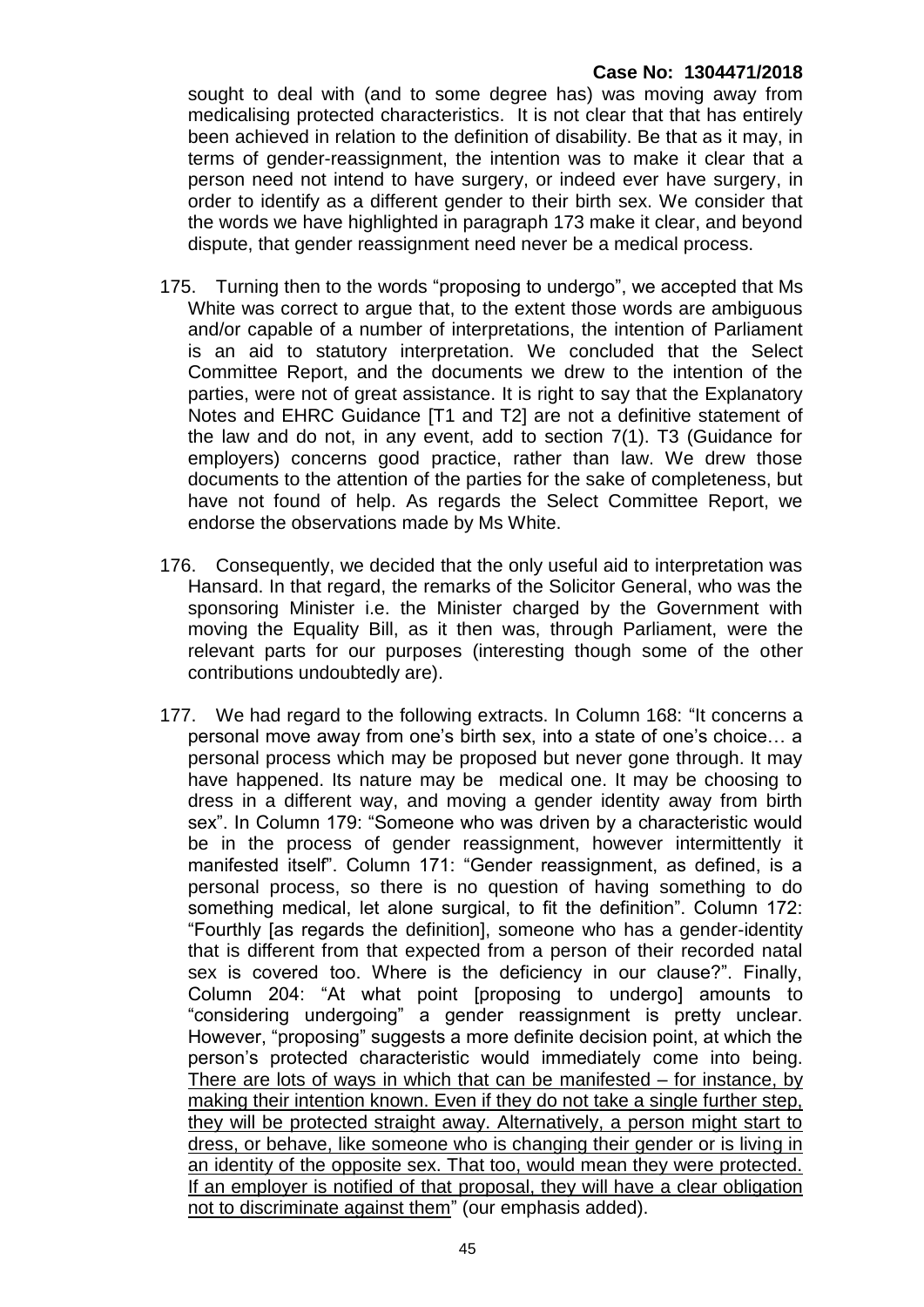sought to deal with (and to some degree has) was moving away from medicalising protected characteristics. It is not clear that that has entirely been achieved in relation to the definition of disability. Be that as it may, in terms of gender-reassignment, the intention was to make it clear that a person need not intend to have surgery, or indeed ever have surgery, in order to identify as a different gender to their birth sex. We consider that the words we have highlighted in paragraph 173 make it clear, and beyond dispute, that gender reassignment need never be a medical process.

- 175. Turning then to the words "proposing to undergo", we accepted that Ms White was correct to argue that, to the extent those words are ambiguous and/or capable of a number of interpretations, the intention of Parliament is an aid to statutory interpretation. We concluded that the Select Committee Report, and the documents we drew to the intention of the parties, were not of great assistance. It is right to say that the Explanatory Notes and EHRC Guidance [T1 and T2] are not a definitive statement of the law and do not, in any event, add to section 7(1). T3 (Guidance for employers) concerns good practice, rather than law. We drew those documents to the attention of the parties for the sake of completeness, but have not found of help. As regards the Select Committee Report, we endorse the observations made by Ms White.
- 176. Consequently, we decided that the only useful aid to interpretation was Hansard. In that regard, the remarks of the Solicitor General, who was the sponsoring Minister i.e. the Minister charged by the Government with moving the Equality Bill, as it then was, through Parliament, were the relevant parts for our purposes (interesting though some of the other contributions undoubtedly are).
- 177. We had regard to the following extracts. In Column 168: "It concerns a personal move away from one's birth sex, into a state of one's choice… a personal process which may be proposed but never gone through. It may have happened. Its nature may be medical one. It may be choosing to dress in a different way, and moving a gender identity away from birth sex". In Column 179: "Someone who was driven by a characteristic would be in the process of gender reassignment, however intermittently it manifested itself". Column 171: "Gender reassignment, as defined, is a personal process, so there is no question of having something to do something medical, let alone surgical, to fit the definition". Column 172: "Fourthly [as regards the definition], someone who has a gender-identity that is different from that expected from a person of their recorded natal sex is covered too. Where is the deficiency in our clause?". Finally, Column 204: "At what point [proposing to undergo] amounts to "considering undergoing" a gender reassignment is pretty unclear. However, "proposing" suggests a more definite decision point, at which the person's protected characteristic would immediately come into being. There are lots of ways in which that can be manifested – for instance, by making their intention known. Even if they do not take a single further step, they will be protected straight away. Alternatively, a person might start to dress, or behave, like someone who is changing their gender or is living in an identity of the opposite sex. That too, would mean they were protected. If an employer is notified of that proposal, they will have a clear obligation not to discriminate against them" (our emphasis added).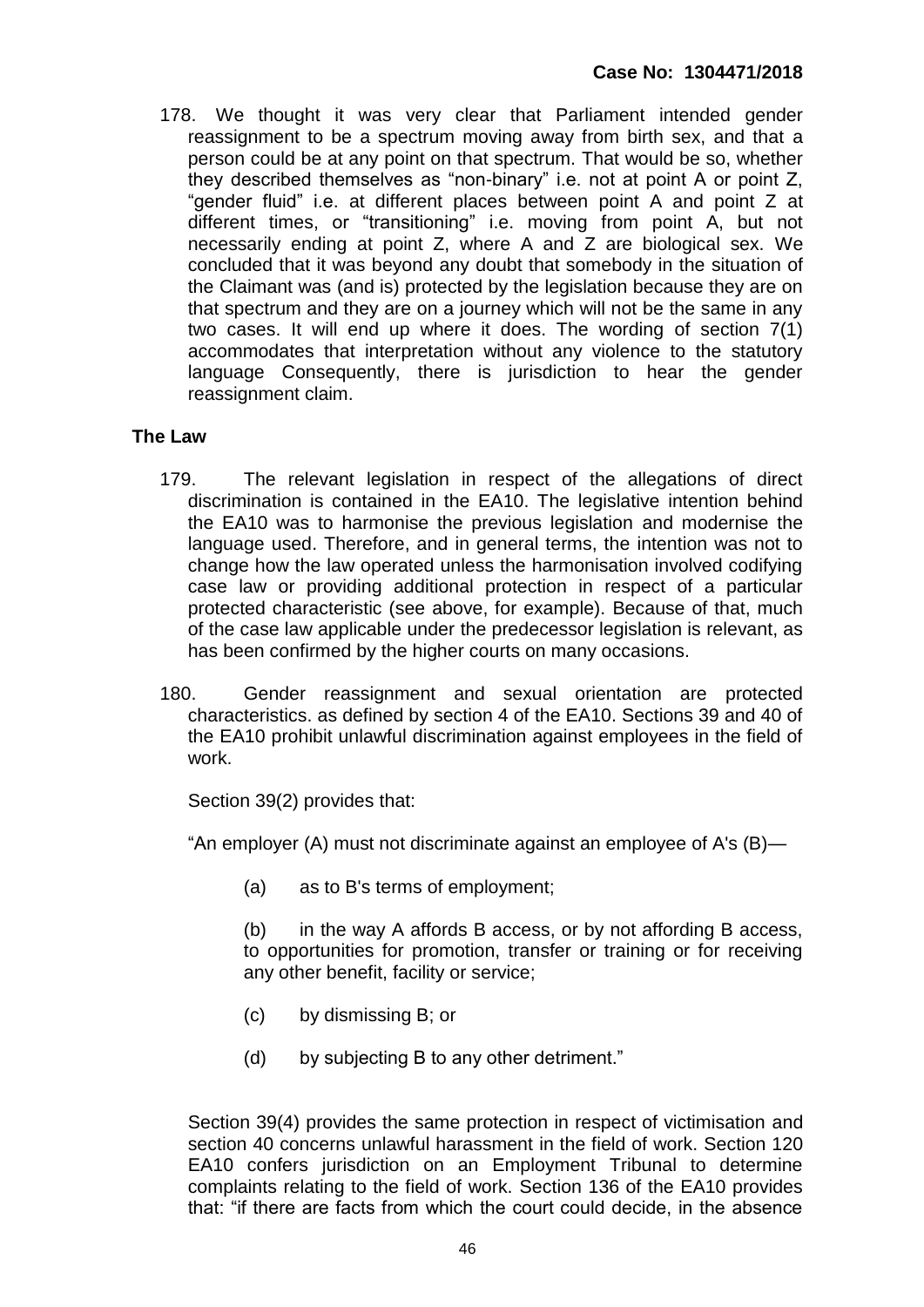178. We thought it was very clear that Parliament intended gender reassignment to be a spectrum moving away from birth sex, and that a person could be at any point on that spectrum. That would be so, whether they described themselves as "non-binary" i.e. not at point A or point Z, "gender fluid" i.e. at different places between point A and point Z at different times, or "transitioning" i.e. moving from point A, but not necessarily ending at point Z, where A and Z are biological sex. We concluded that it was beyond any doubt that somebody in the situation of the Claimant was (and is) protected by the legislation because they are on that spectrum and they are on a journey which will not be the same in any two cases. It will end up where it does. The wording of section 7(1) accommodates that interpretation without any violence to the statutory language Consequently, there is jurisdiction to hear the gender reassignment claim.

# **The Law**

- 179. The relevant legislation in respect of the allegations of direct discrimination is contained in the EA10. The legislative intention behind the EA10 was to harmonise the previous legislation and modernise the language used. Therefore, and in general terms, the intention was not to change how the law operated unless the harmonisation involved codifying case law or providing additional protection in respect of a particular protected characteristic (see above, for example). Because of that, much of the case law applicable under the predecessor legislation is relevant, as has been confirmed by the higher courts on many occasions.
- 180. Gender reassignment and sexual orientation are protected characteristics. as defined by section 4 of the EA10. Sections 39 and 40 of the EA10 prohibit unlawful discrimination against employees in the field of work.

Section 39(2) provides that:

"An employer (A) must not discriminate against an employee of A's (B)—

(a) as to B's terms of employment;

(b) in the way A affords B access, or by not affording B access, to opportunities for promotion, transfer or training or for receiving any other benefit, facility or service;

- (c) by dismissing B; or
- (d) by subjecting B to any other detriment."

Section 39(4) provides the same protection in respect of victimisation and section 40 concerns unlawful harassment in the field of work. Section 120 EA10 confers jurisdiction on an Employment Tribunal to determine complaints relating to the field of work. Section 136 of the EA10 provides that: "if there are facts from which the court could decide, in the absence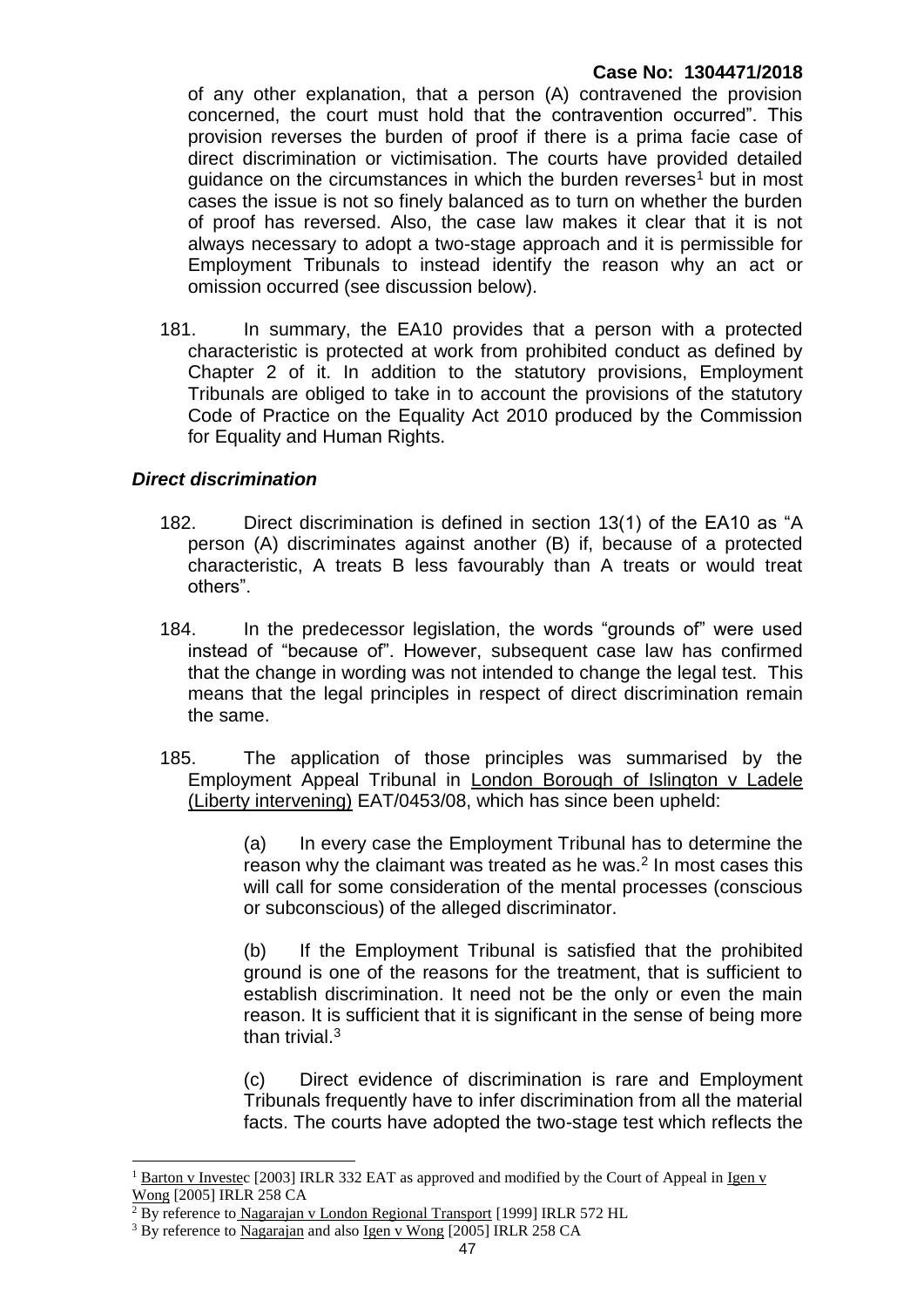of any other explanation, that a person (A) contravened the provision concerned, the court must hold that the contravention occurred". This provision reverses the burden of proof if there is a prima facie case of direct discrimination or victimisation. The courts have provided detailed quidance on the circumstances in which the burden reverses<sup>1</sup> but in most cases the issue is not so finely balanced as to turn on whether the burden of proof has reversed. Also, the case law makes it clear that it is not always necessary to adopt a two-stage approach and it is permissible for Employment Tribunals to instead identify the reason why an act or omission occurred (see discussion below).

181. In summary, the EA10 provides that a person with a protected characteristic is protected at work from prohibited conduct as defined by Chapter 2 of it. In addition to the statutory provisions, Employment Tribunals are obliged to take in to account the provisions of the statutory Code of Practice on the Equality Act 2010 produced by the Commission for Equality and Human Rights.

# *Direct discrimination*

 $\overline{a}$ 

- 182. Direct discrimination is defined in section 13(1) of the EA10 as "A person (A) discriminates against another (B) if, because of a protected characteristic, A treats B less favourably than A treats or would treat others".
- 184. In the predecessor legislation, the words "grounds of" were used instead of "because of". However, subsequent case law has confirmed that the change in wording was not intended to change the legal test. This means that the legal principles in respect of direct discrimination remain the same.
- 185. The application of those principles was summarised by the Employment Appeal Tribunal in London Borough of Islington v Ladele (Liberty intervening) EAT/0453/08, which has since been upheld:

(a) In every case the Employment Tribunal has to determine the reason why the claimant was treated as he was. $2$  In most cases this will call for some consideration of the mental processes (conscious or subconscious) of the alleged discriminator.

(b) If the Employment Tribunal is satisfied that the prohibited ground is one of the reasons for the treatment, that is sufficient to establish discrimination. It need not be the only or even the main reason. It is sufficient that it is significant in the sense of being more than trivial.<sup>3</sup>

(c) Direct evidence of discrimination is rare and Employment Tribunals frequently have to infer discrimination from all the material facts. The courts have adopted the two-stage test which reflects the

<sup>&</sup>lt;sup>1</sup> Barton v Investec [2003] IRLR 332 EAT as approved and modified by the Court of Appeal in Igen v Wong [2005] IRLR 258 CA

<sup>&</sup>lt;sup>2</sup> By reference to Nagarajan v London Regional Transport [1999] IRLR 572 HL

<sup>&</sup>lt;sup>3</sup> By reference to Nagarajan and also Igen v Wong [2005] IRLR 258 CA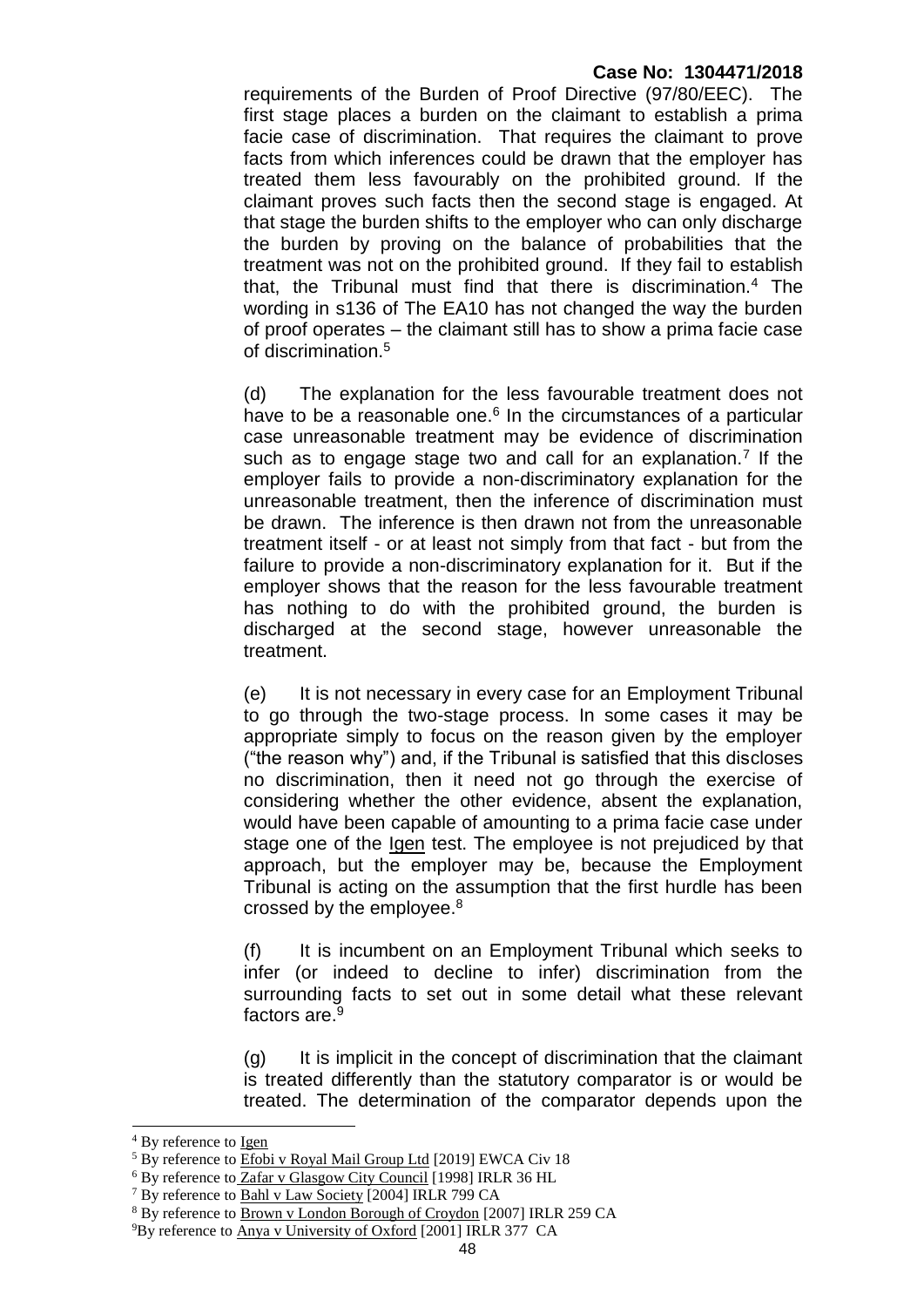requirements of the Burden of Proof Directive (97/80/EEC). The first stage places a burden on the claimant to establish a prima facie case of discrimination. That requires the claimant to prove facts from which inferences could be drawn that the employer has treated them less favourably on the prohibited ground. If the claimant proves such facts then the second stage is engaged. At that stage the burden shifts to the employer who can only discharge the burden by proving on the balance of probabilities that the treatment was not on the prohibited ground. If they fail to establish that, the Tribunal must find that there is discrimination.<sup>4</sup> The wording in s136 of The EA10 has not changed the way the burden of proof operates – the claimant still has to show a prima facie case of discrimination.<sup>5</sup>

(d) The explanation for the less favourable treatment does not have to be a reasonable one.<sup>6</sup> In the circumstances of a particular case unreasonable treatment may be evidence of discrimination such as to engage stage two and call for an explanation.<sup>7</sup> If the employer fails to provide a non-discriminatory explanation for the unreasonable treatment, then the inference of discrimination must be drawn. The inference is then drawn not from the unreasonable treatment itself - or at least not simply from that fact - but from the failure to provide a non-discriminatory explanation for it. But if the employer shows that the reason for the less favourable treatment has nothing to do with the prohibited ground, the burden is discharged at the second stage, however unreasonable the treatment.

(e) It is not necessary in every case for an Employment Tribunal to go through the two-stage process. In some cases it may be appropriate simply to focus on the reason given by the employer ("the reason why") and, if the Tribunal is satisfied that this discloses no discrimination, then it need not go through the exercise of considering whether the other evidence, absent the explanation, would have been capable of amounting to a prima facie case under stage one of the Igen test. The employee is not prejudiced by that approach, but the employer may be, because the Employment Tribunal is acting on the assumption that the first hurdle has been crossed by the employee.<sup>8</sup>

(f) It is incumbent on an Employment Tribunal which seeks to infer (or indeed to decline to infer) discrimination from the surrounding facts to set out in some detail what these relevant factors are.<sup>9</sup>

(g) It is implicit in the concept of discrimination that the claimant is treated differently than the statutory comparator is or would be treated. The determination of the comparator depends upon the

1

<sup>&</sup>lt;sup>4</sup> By reference to <u>Igen</u>

<sup>&</sup>lt;sup>5</sup> By reference to **Efobi v Royal Mail Group Ltd** [2019] EWCA Civ 18

<sup>6</sup> By reference to Zafar v Glasgow City Council [1998] IRLR 36 HL

<sup>7</sup> By reference to Bahl v Law Society [2004] IRLR 799 CA

<sup>8</sup> By reference to Brown v London Borough of Croydon [2007] IRLR 259 CA

<sup>&</sup>lt;sup>9</sup>By reference to Anya v University of Oxford [2001] IRLR 377 CA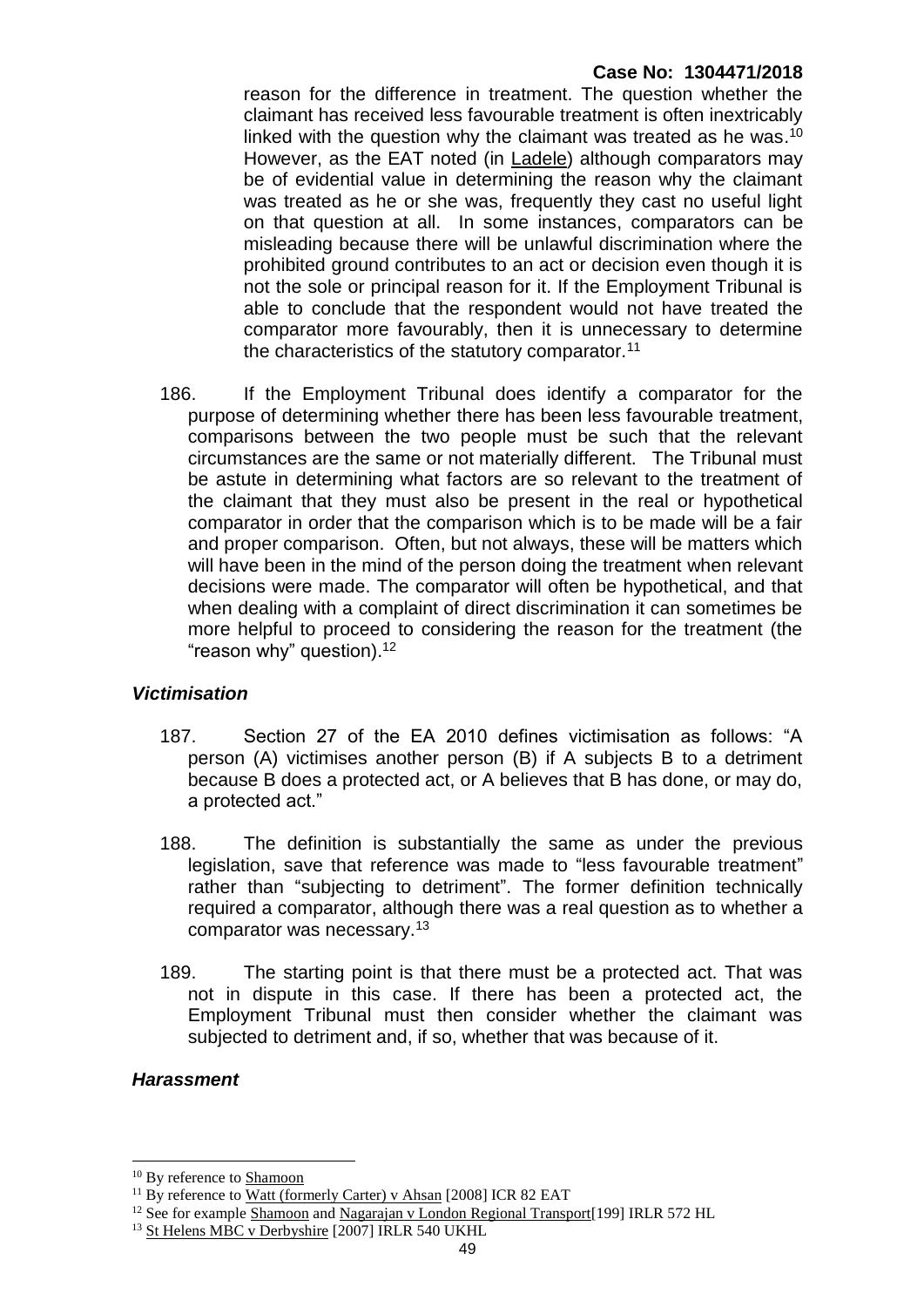reason for the difference in treatment. The question whether the claimant has received less favourable treatment is often inextricably linked with the question why the claimant was treated as he was.<sup>10</sup> However, as the EAT noted (in Ladele) although comparators may be of evidential value in determining the reason why the claimant was treated as he or she was, frequently they cast no useful light on that question at all. In some instances, comparators can be misleading because there will be unlawful discrimination where the prohibited ground contributes to an act or decision even though it is not the sole or principal reason for it. If the Employment Tribunal is able to conclude that the respondent would not have treated the comparator more favourably, then it is unnecessary to determine the characteristics of the statutory comparator.<sup>11</sup>

186. If the Employment Tribunal does identify a comparator for the purpose of determining whether there has been less favourable treatment, comparisons between the two people must be such that the relevant circumstances are the same or not materially different. The Tribunal must be astute in determining what factors are so relevant to the treatment of the claimant that they must also be present in the real or hypothetical comparator in order that the comparison which is to be made will be a fair and proper comparison. Often, but not always, these will be matters which will have been in the mind of the person doing the treatment when relevant decisions were made. The comparator will often be hypothetical, and that when dealing with a complaint of direct discrimination it can sometimes be more helpful to proceed to considering the reason for the treatment (the "reason why" question). $12$ 

# *Victimisation*

- 187. Section 27 of the EA 2010 defines victimisation as follows: "A person (A) victimises another person (B) if A subjects B to a detriment because B does a protected act, or A believes that B has done, or may do, a protected act."
- 188. The definition is substantially the same as under the previous legislation, save that reference was made to "less favourable treatment" rather than "subjecting to detriment". The former definition technically required a comparator, although there was a real question as to whether a comparator was necessary.<sup>13</sup>
- 189. The starting point is that there must be a protected act. That was not in dispute in this case. If there has been a protected act, the Employment Tribunal must then consider whether the claimant was subjected to detriment and, if so, whether that was because of it.

#### *Harassment*

 $\overline{a}$ 

<sup>10</sup> By reference to Shamoon

<sup>&</sup>lt;sup>11</sup> By reference to Watt (formerly Carter) v Ahsan [2008] ICR 82 EAT

<sup>&</sup>lt;sup>12</sup> See for example Shamoon and Nagarajan v London Regional Transport[199] IRLR 572 HL

<sup>&</sup>lt;sup>13</sup> St Helens MBC v Derbyshire [2007] IRLR 540 UKHL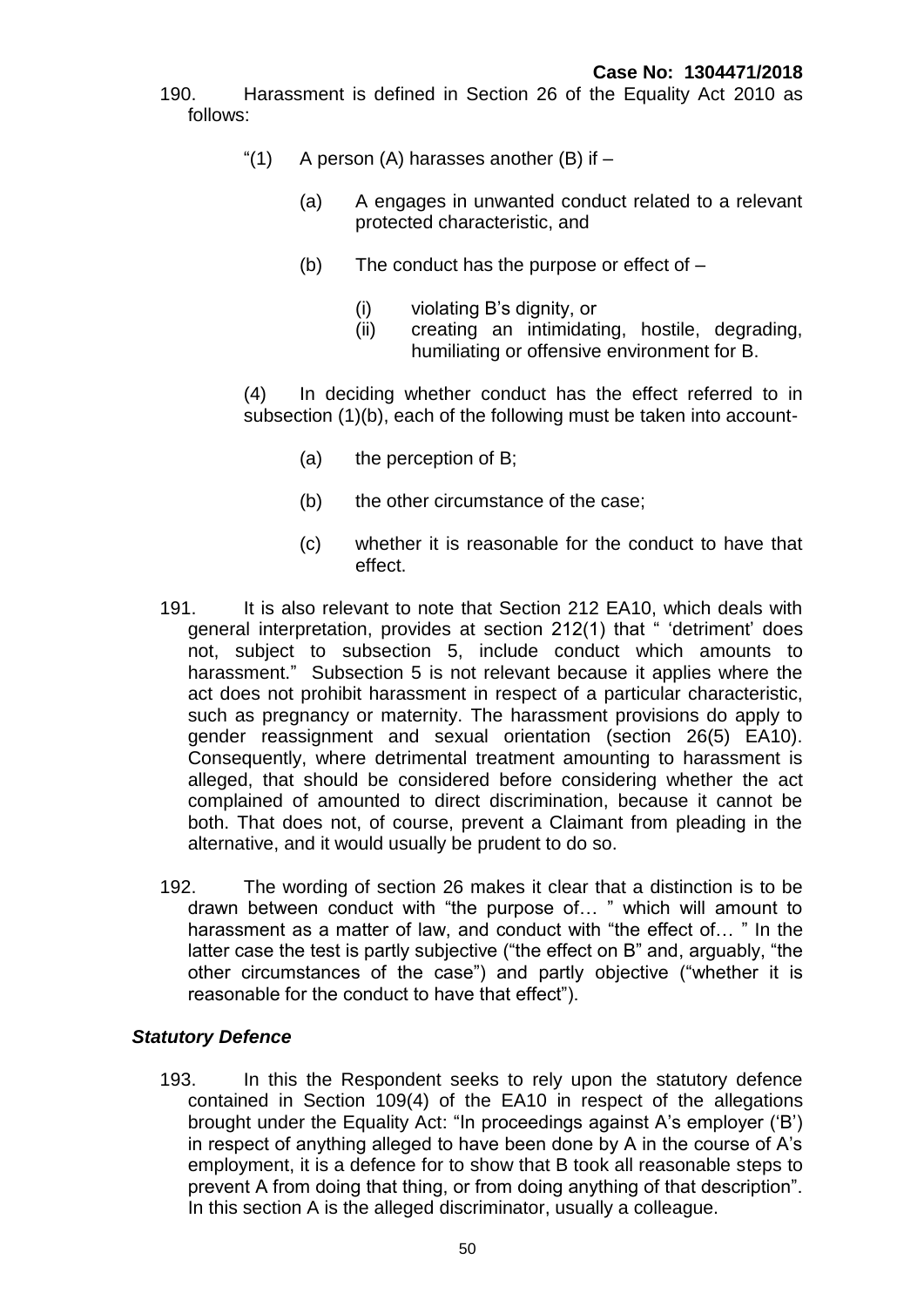190. Harassment is defined in Section 26 of the Equality Act 2010 as follows:

- "(1) A person (A) harasses another (B) if  $-$ 
	- (a) A engages in unwanted conduct related to a relevant protected characteristic, and
	- (b) The conduct has the purpose or effect of  $-$ 
		- (i) violating B's dignity, or
		- (ii) creating an intimidating, hostile, degrading, humiliating or offensive environment for B.

(4) In deciding whether conduct has the effect referred to in subsection (1)(b), each of the following must be taken into account-

- (a) the perception of B;
- (b) the other circumstance of the case;
- (c) whether it is reasonable for the conduct to have that effect.
- 191. It is also relevant to note that Section 212 EA10, which deals with general interpretation, provides at section 212(1) that " 'detriment' does not, subject to subsection 5, include conduct which amounts to harassment." Subsection 5 is not relevant because it applies where the act does not prohibit harassment in respect of a particular characteristic, such as pregnancy or maternity. The harassment provisions do apply to gender reassignment and sexual orientation (section 26(5) EA10). Consequently, where detrimental treatment amounting to harassment is alleged, that should be considered before considering whether the act complained of amounted to direct discrimination, because it cannot be both. That does not, of course, prevent a Claimant from pleading in the alternative, and it would usually be prudent to do so.
- 192. The wording of section 26 makes it clear that a distinction is to be drawn between conduct with "the purpose of… " which will amount to harassment as a matter of law, and conduct with "the effect of… " In the latter case the test is partly subjective ("the effect on B" and, arguably, "the other circumstances of the case") and partly objective ("whether it is reasonable for the conduct to have that effect").

#### *Statutory Defence*

193. In this the Respondent seeks to rely upon the statutory defence contained in Section 109(4) of the EA10 in respect of the allegations brought under the Equality Act: "In proceedings against A's employer ('B') in respect of anything alleged to have been done by A in the course of A's employment, it is a defence for to show that B took all reasonable steps to prevent A from doing that thing, or from doing anything of that description". In this section A is the alleged discriminator, usually a colleague.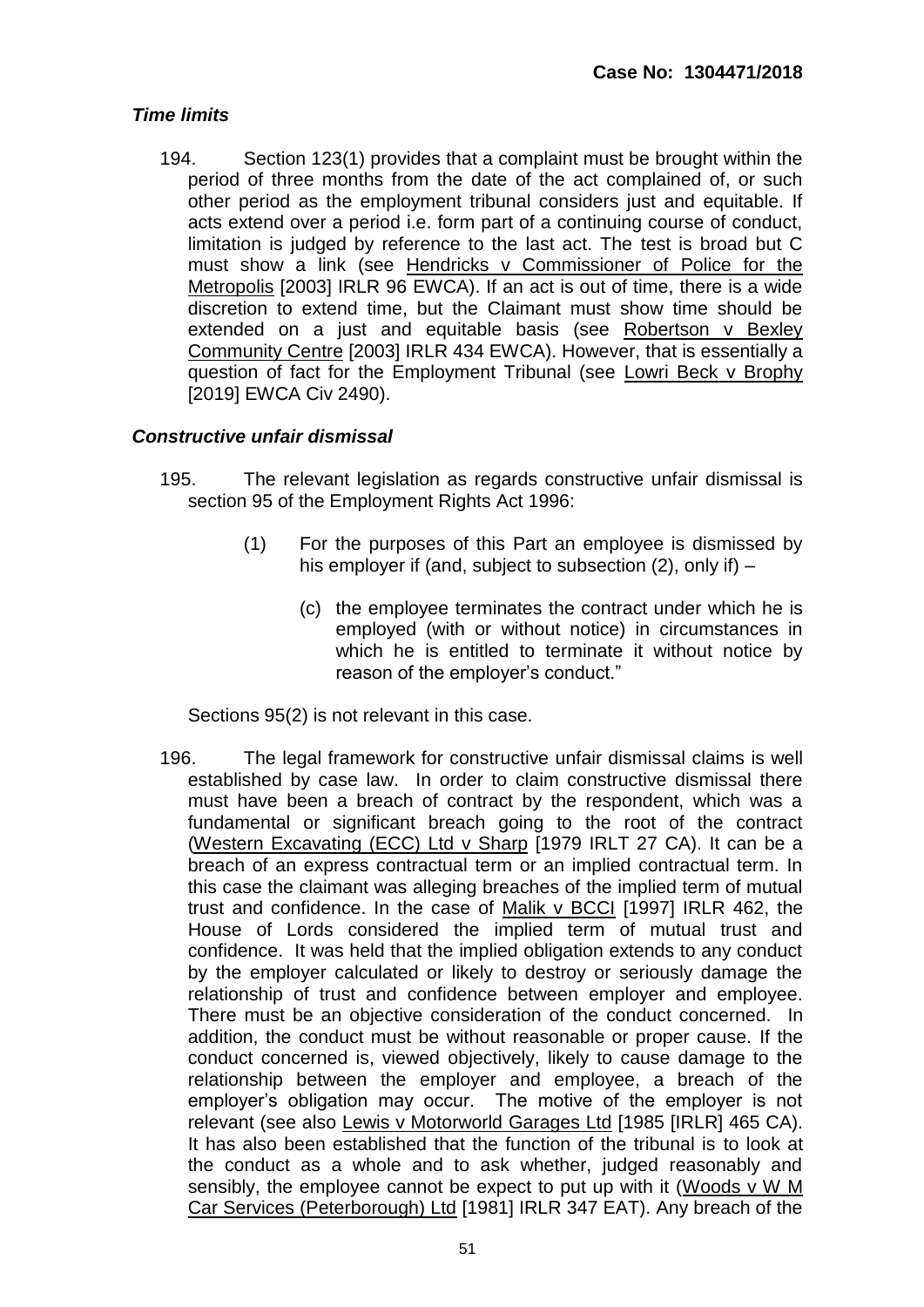# *Time limits*

194. Section 123(1) provides that a complaint must be brought within the period of three months from the date of the act complained of, or such other period as the employment tribunal considers just and equitable. If acts extend over a period i.e. form part of a continuing course of conduct, limitation is judged by reference to the last act. The test is broad but C must show a link (see Hendricks v Commissioner of Police for the Metropolis [2003] IRLR 96 EWCA). If an act is out of time, there is a wide discretion to extend time, but the Claimant must show time should be extended on a just and equitable basis (see Robertson v Bexley Community Centre [2003] IRLR 434 EWCA). However, that is essentially a question of fact for the Employment Tribunal (see Lowri Beck v Brophy [2019] EWCA Civ 2490).

#### *Constructive unfair dismissal*

- 195. The relevant legislation as regards constructive unfair dismissal is section 95 of the Employment Rights Act 1996:
	- (1) For the purposes of this Part an employee is dismissed by his employer if (and, subject to subsection (2), only if) –
		- (c) the employee terminates the contract under which he is employed (with or without notice) in circumstances in which he is entitled to terminate it without notice by reason of the employer's conduct."

Sections 95(2) is not relevant in this case.

196. The legal framework for constructive unfair dismissal claims is well established by case law. In order to claim constructive dismissal there must have been a breach of contract by the respondent, which was a fundamental or significant breach going to the root of the contract (Western Excavating (ECC) Ltd v Sharp [1979 IRLT 27 CA). It can be a breach of an express contractual term or an implied contractual term. In this case the claimant was alleging breaches of the implied term of mutual trust and confidence. In the case of Malik v BCCI [1997] IRLR 462, the House of Lords considered the implied term of mutual trust and confidence. It was held that the implied obligation extends to any conduct by the employer calculated or likely to destroy or seriously damage the relationship of trust and confidence between employer and employee. There must be an objective consideration of the conduct concerned. In addition, the conduct must be without reasonable or proper cause. If the conduct concerned is, viewed objectively, likely to cause damage to the relationship between the employer and employee, a breach of the employer's obligation may occur. The motive of the employer is not relevant (see also Lewis v Motorworld Garages Ltd [1985 [IRLR] 465 CA). It has also been established that the function of the tribunal is to look at the conduct as a whole and to ask whether, judged reasonably and sensibly, the employee cannot be expect to put up with it (Woods v W M Car Services (Peterborough) Ltd [1981] IRLR 347 EAT). Any breach of the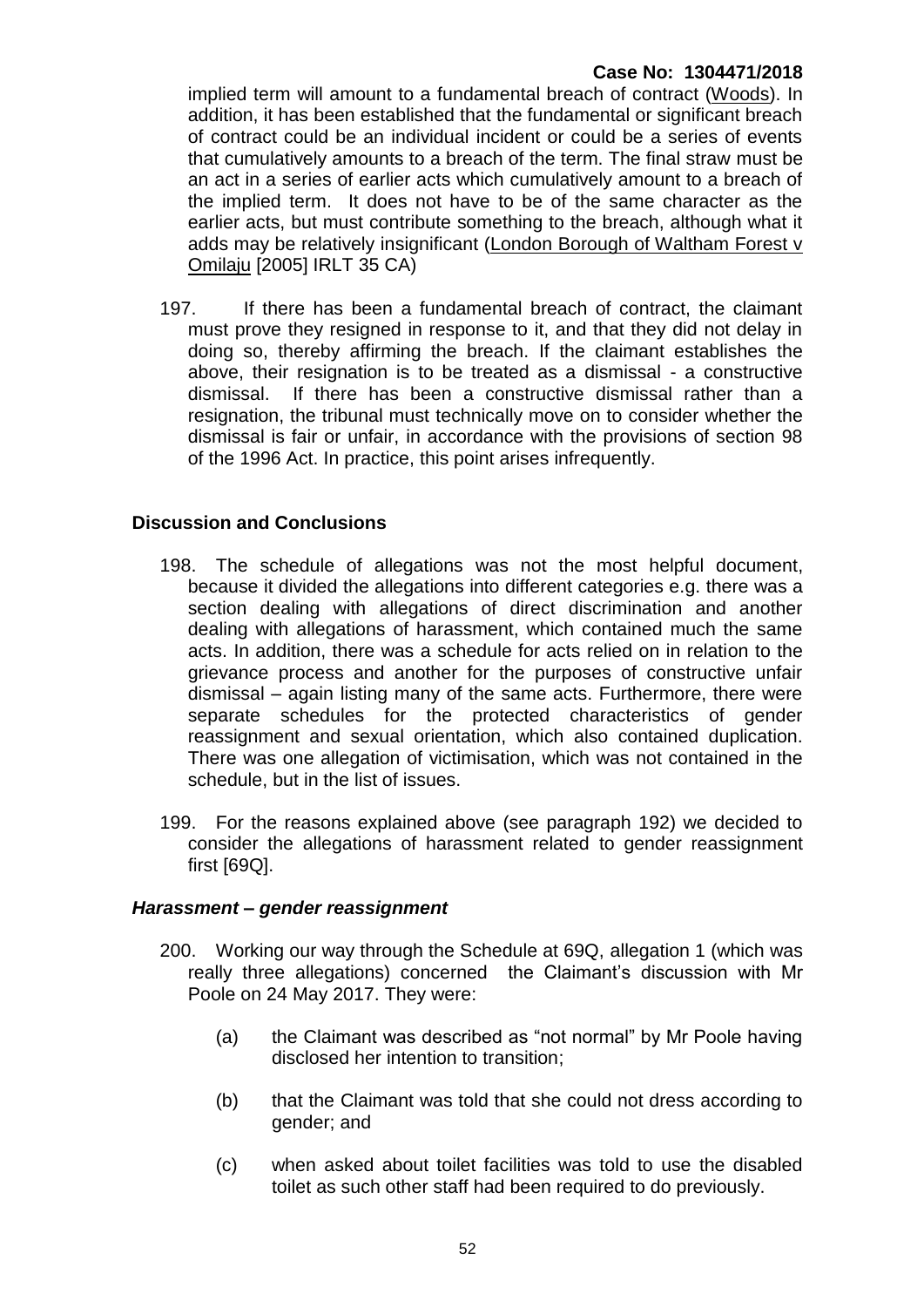implied term will amount to a fundamental breach of contract (Woods). In addition, it has been established that the fundamental or significant breach of contract could be an individual incident or could be a series of events that cumulatively amounts to a breach of the term. The final straw must be an act in a series of earlier acts which cumulatively amount to a breach of the implied term. It does not have to be of the same character as the earlier acts, but must contribute something to the breach, although what it adds may be relatively insignificant (London Borough of Waltham Forest v Omilaju [2005] IRLT 35 CA)

197. If there has been a fundamental breach of contract, the claimant must prove they resigned in response to it, and that they did not delay in doing so, thereby affirming the breach. If the claimant establishes the above, their resignation is to be treated as a dismissal - a constructive dismissal. If there has been a constructive dismissal rather than a resignation, the tribunal must technically move on to consider whether the dismissal is fair or unfair, in accordance with the provisions of section 98 of the 1996 Act. In practice, this point arises infrequently.

# **Discussion and Conclusions**

- 198. The schedule of allegations was not the most helpful document, because it divided the allegations into different categories e.g. there was a section dealing with allegations of direct discrimination and another dealing with allegations of harassment, which contained much the same acts. In addition, there was a schedule for acts relied on in relation to the grievance process and another for the purposes of constructive unfair dismissal – again listing many of the same acts. Furthermore, there were separate schedules for the protected characteristics of gender reassignment and sexual orientation, which also contained duplication. There was one allegation of victimisation, which was not contained in the schedule, but in the list of issues.
- 199. For the reasons explained above (see paragraph 192) we decided to consider the allegations of harassment related to gender reassignment first [69Q].

#### *Harassment – gender reassignment*

- 200. Working our way through the Schedule at 69Q, allegation 1 (which was really three allegations) concerned the Claimant's discussion with Mr Poole on 24 May 2017. They were:
	- (a) the Claimant was described as "not normal" by Mr Poole having disclosed her intention to transition;
	- (b) that the Claimant was told that she could not dress according to gender; and
	- (c) when asked about toilet facilities was told to use the disabled toilet as such other staff had been required to do previously.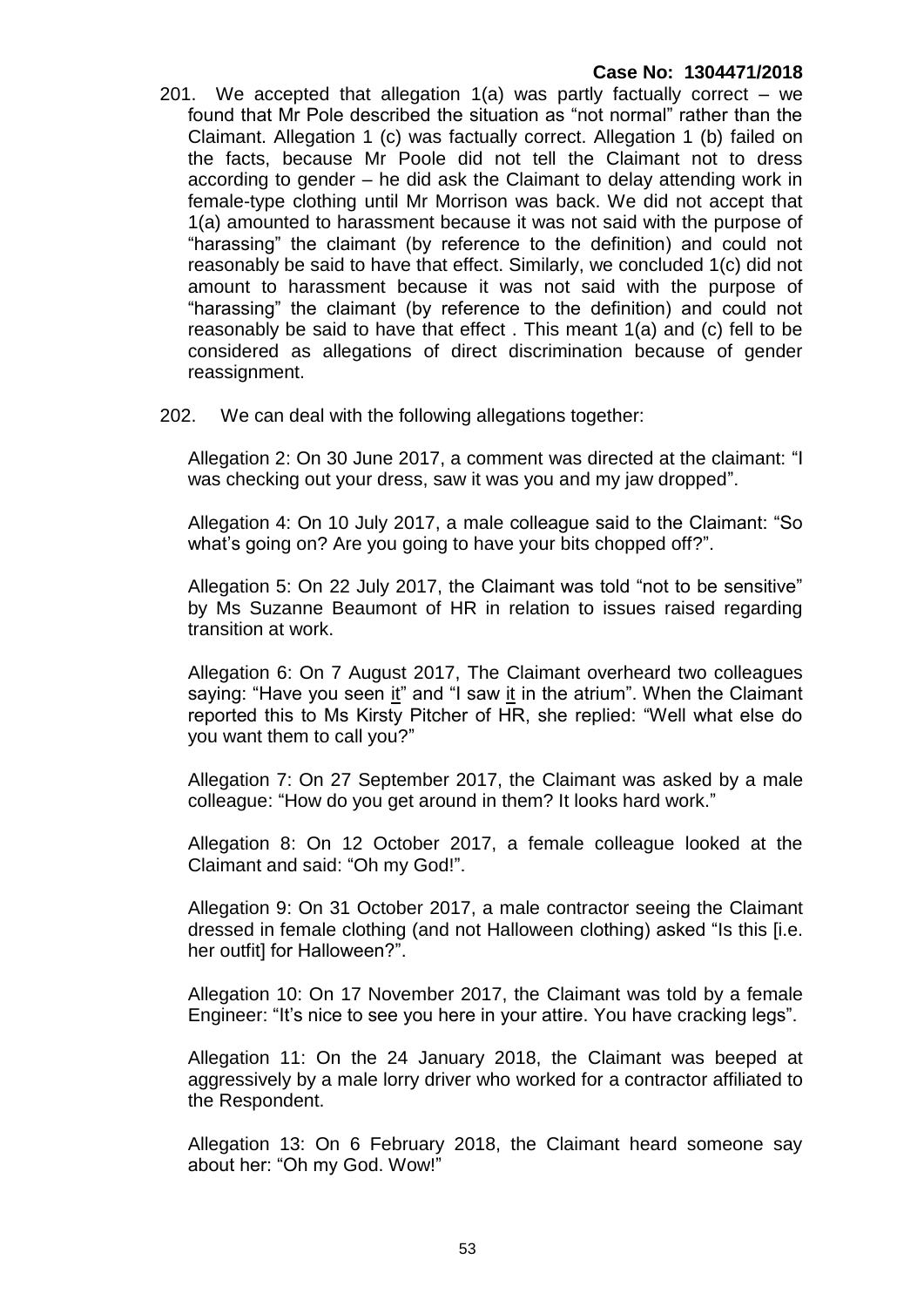201. We accepted that allegation 1(a) was partly factually correct – we found that Mr Pole described the situation as "not normal" rather than the Claimant. Allegation 1 (c) was factually correct. Allegation 1 (b) failed on the facts, because Mr Poole did not tell the Claimant not to dress according to gender – he did ask the Claimant to delay attending work in female-type clothing until Mr Morrison was back. We did not accept that 1(a) amounted to harassment because it was not said with the purpose of "harassing" the claimant (by reference to the definition) and could not reasonably be said to have that effect. Similarly, we concluded 1(c) did not amount to harassment because it was not said with the purpose of "harassing" the claimant (by reference to the definition) and could not reasonably be said to have that effect . This meant 1(a) and (c) fell to be considered as allegations of direct discrimination because of gender reassignment.

202. We can deal with the following allegations together:

Allegation 2: On 30 June 2017, a comment was directed at the claimant: "I was checking out your dress, saw it was you and my jaw dropped".

Allegation 4: On 10 July 2017, a male colleague said to the Claimant: "So what's going on? Are you going to have your bits chopped off?".

Allegation 5: On 22 July 2017, the Claimant was told "not to be sensitive" by Ms Suzanne Beaumont of HR in relation to issues raised regarding transition at work.

Allegation 6: On 7 August 2017, The Claimant overheard two colleagues saying: "Have you seen it" and "I saw it in the atrium". When the Claimant reported this to Ms Kirsty Pitcher of HR, she replied: "Well what else do you want them to call you?"

Allegation 7: On 27 September 2017, the Claimant was asked by a male colleague: "How do you get around in them? It looks hard work."

Allegation 8: On 12 October 2017, a female colleague looked at the Claimant and said: "Oh my God!".

Allegation 9: On 31 October 2017, a male contractor seeing the Claimant dressed in female clothing (and not Halloween clothing) asked "Is this [i.e. her outfit] for Halloween?".

Allegation 10: On 17 November 2017, the Claimant was told by a female Engineer: "It's nice to see you here in your attire. You have cracking legs".

Allegation 11: On the 24 January 2018, the Claimant was beeped at aggressively by a male lorry driver who worked for a contractor affiliated to the Respondent.

Allegation 13: On 6 February 2018, the Claimant heard someone say about her: "Oh my God. Wow!"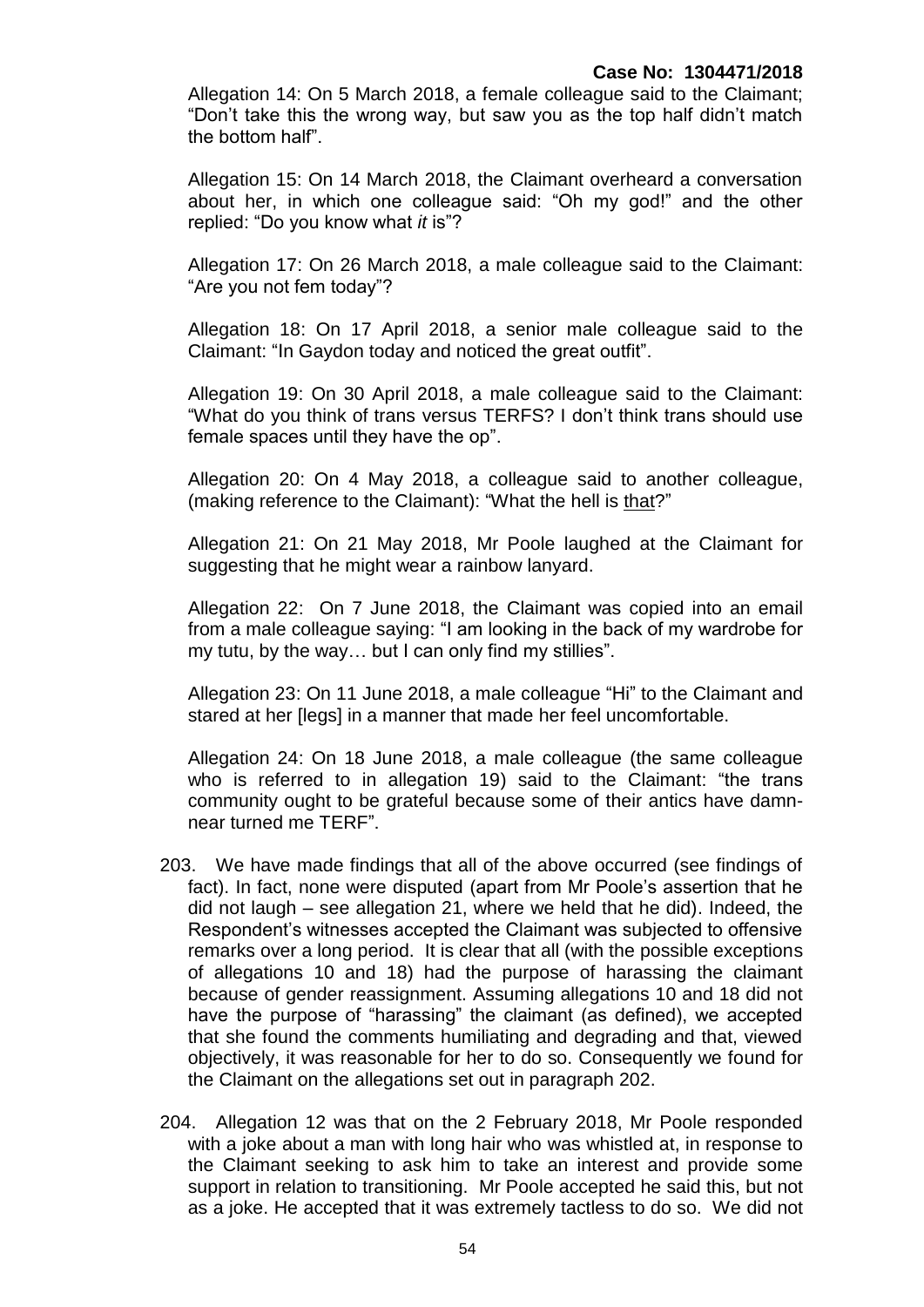Allegation 14: On 5 March 2018, a female colleague said to the Claimant; "Don't take this the wrong way, but saw you as the top half didn't match the bottom half".

Allegation 15: On 14 March 2018, the Claimant overheard a conversation about her, in which one colleague said: "Oh my god!" and the other replied: "Do you know what *it* is"?

Allegation 17: On 26 March 2018, a male colleague said to the Claimant: "Are you not fem today"?

Allegation 18: On 17 April 2018, a senior male colleague said to the Claimant: "In Gaydon today and noticed the great outfit".

Allegation 19: On 30 April 2018, a male colleague said to the Claimant: "What do you think of trans versus TERFS? I don't think trans should use female spaces until they have the op".

Allegation 20: On 4 May 2018, a colleague said to another colleague, (making reference to the Claimant): "What the hell is that?"

Allegation 21: On 21 May 2018, Mr Poole laughed at the Claimant for suggesting that he might wear a rainbow lanyard.

Allegation 22: On 7 June 2018, the Claimant was copied into an email from a male colleague saying: "I am looking in the back of my wardrobe for my tutu, by the way… but I can only find my stillies".

Allegation 23: On 11 June 2018, a male colleague "Hi" to the Claimant and stared at her [legs] in a manner that made her feel uncomfortable.

Allegation 24: On 18 June 2018, a male colleague (the same colleague who is referred to in allegation 19) said to the Claimant: "the trans community ought to be grateful because some of their antics have damnnear turned me TERF".

- 203. We have made findings that all of the above occurred (see findings of fact). In fact, none were disputed (apart from Mr Poole's assertion that he did not laugh – see allegation 21, where we held that he did). Indeed, the Respondent's witnesses accepted the Claimant was subjected to offensive remarks over a long period. It is clear that all (with the possible exceptions of allegations 10 and 18) had the purpose of harassing the claimant because of gender reassignment. Assuming allegations 10 and 18 did not have the purpose of "harassing" the claimant (as defined), we accepted that she found the comments humiliating and degrading and that, viewed objectively, it was reasonable for her to do so. Consequently we found for the Claimant on the allegations set out in paragraph 202.
- 204. Allegation 12 was that on the 2 February 2018, Mr Poole responded with a joke about a man with long hair who was whistled at, in response to the Claimant seeking to ask him to take an interest and provide some support in relation to transitioning. Mr Poole accepted he said this, but not as a joke. He accepted that it was extremely tactless to do so. We did not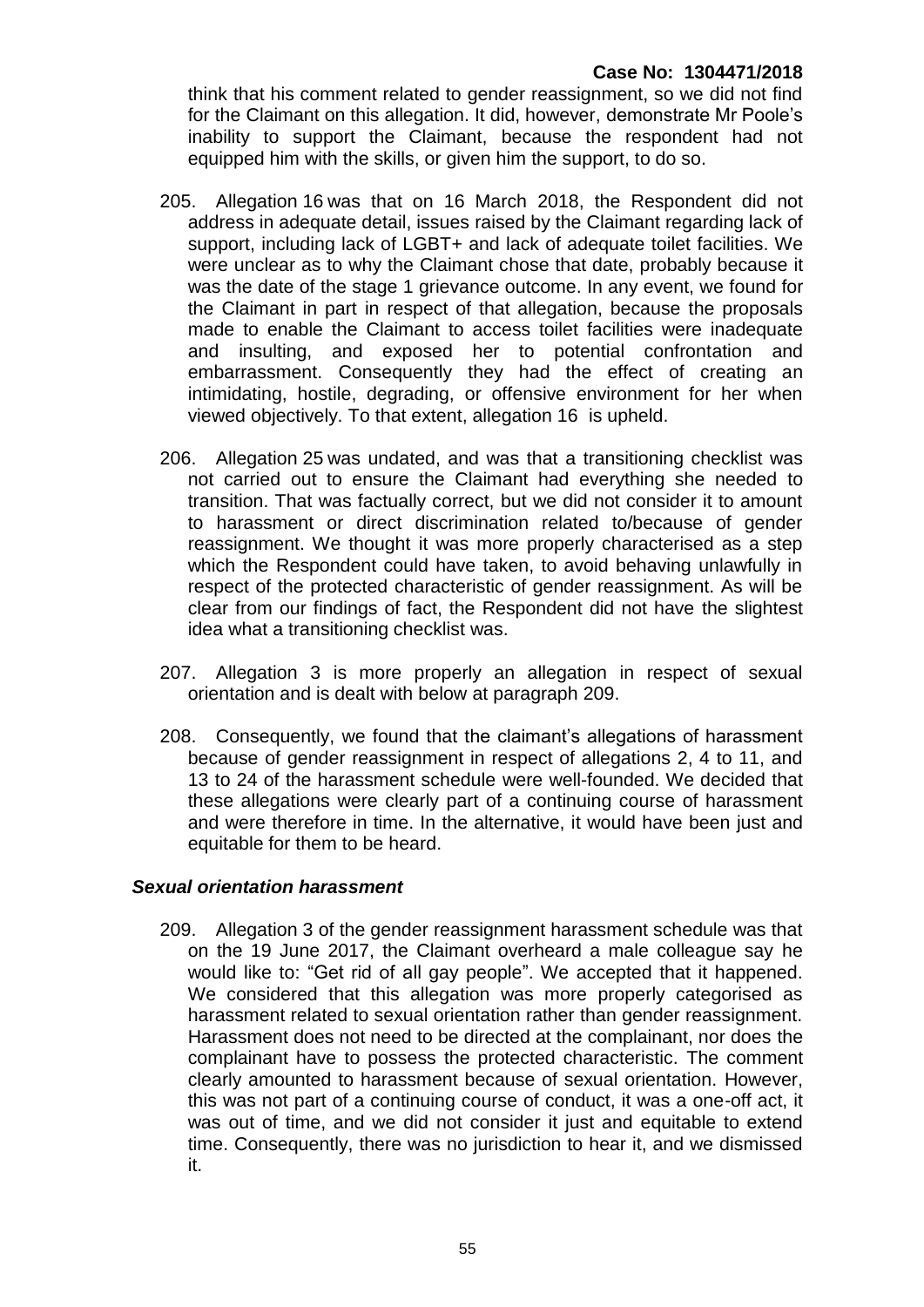think that his comment related to gender reassignment, so we did not find for the Claimant on this allegation. It did, however, demonstrate Mr Poole's inability to support the Claimant, because the respondent had not equipped him with the skills, or given him the support, to do so.

- 205. Allegation 16 was that on 16 March 2018, the Respondent did not address in adequate detail, issues raised by the Claimant regarding lack of support, including lack of LGBT+ and lack of adequate toilet facilities. We were unclear as to why the Claimant chose that date, probably because it was the date of the stage 1 grievance outcome. In any event, we found for the Claimant in part in respect of that allegation, because the proposals made to enable the Claimant to access toilet facilities were inadequate and insulting, and exposed her to potential confrontation and embarrassment. Consequently they had the effect of creating an intimidating, hostile, degrading, or offensive environment for her when viewed objectively. To that extent, allegation 16 is upheld.
- 206. Allegation 25 was undated, and was that a transitioning checklist was not carried out to ensure the Claimant had everything she needed to transition. That was factually correct, but we did not consider it to amount to harassment or direct discrimination related to/because of gender reassignment. We thought it was more properly characterised as a step which the Respondent could have taken, to avoid behaving unlawfully in respect of the protected characteristic of gender reassignment. As will be clear from our findings of fact, the Respondent did not have the slightest idea what a transitioning checklist was.
- 207. Allegation 3 is more properly an allegation in respect of sexual orientation and is dealt with below at paragraph 209.
- 208. Consequently, we found that the claimant's allegations of harassment because of gender reassignment in respect of allegations 2, 4 to 11, and 13 to 24 of the harassment schedule were well-founded. We decided that these allegations were clearly part of a continuing course of harassment and were therefore in time. In the alternative, it would have been just and equitable for them to be heard.

#### *Sexual orientation harassment*

209. Allegation 3 of the gender reassignment harassment schedule was that on the 19 June 2017, the Claimant overheard a male colleague say he would like to: "Get rid of all gay people". We accepted that it happened. We considered that this allegation was more properly categorised as harassment related to sexual orientation rather than gender reassignment. Harassment does not need to be directed at the complainant, nor does the complainant have to possess the protected characteristic. The comment clearly amounted to harassment because of sexual orientation. However, this was not part of a continuing course of conduct, it was a one-off act, it was out of time, and we did not consider it just and equitable to extend time. Consequently, there was no jurisdiction to hear it, and we dismissed it.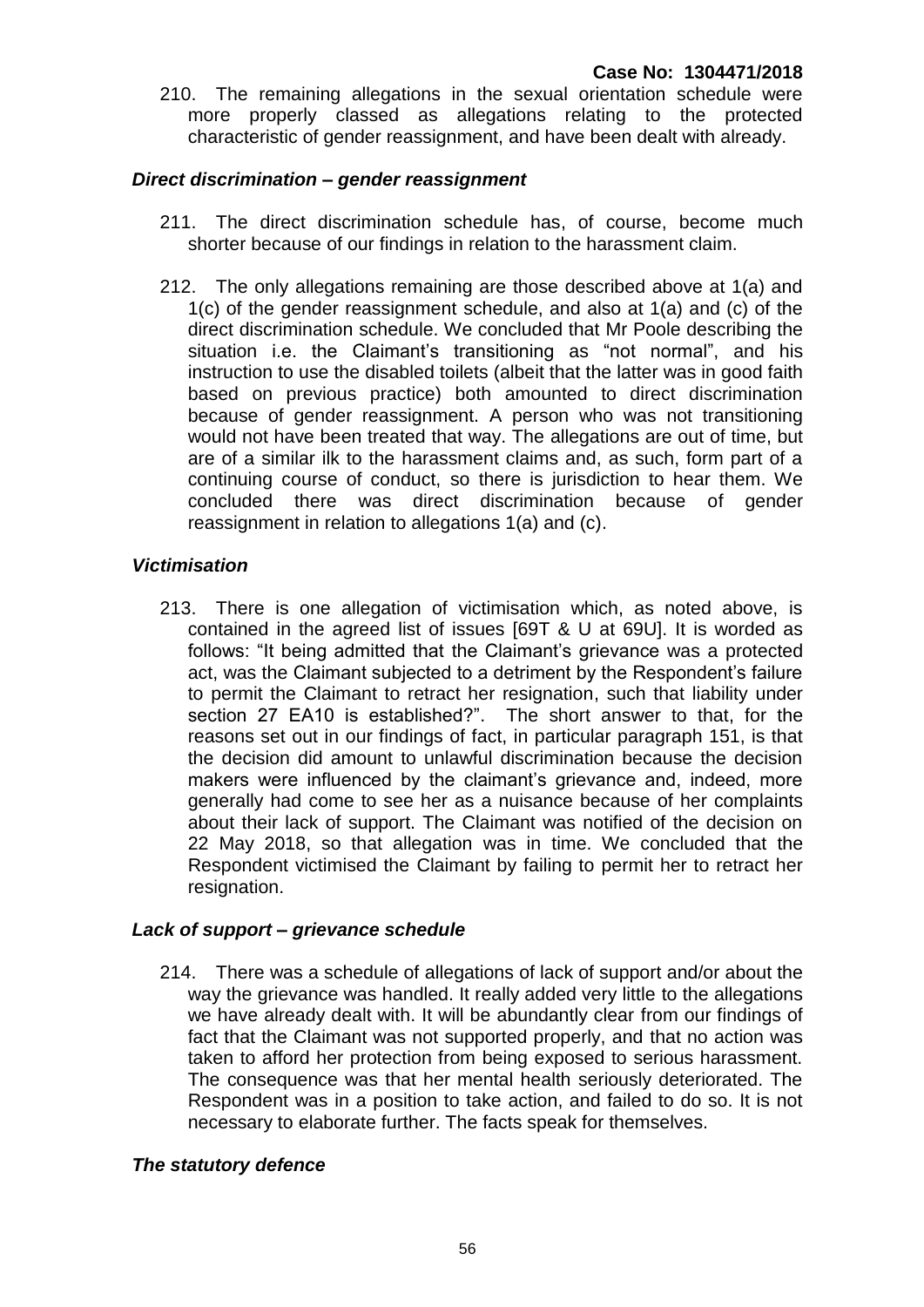210. The remaining allegations in the sexual orientation schedule were more properly classed as allegations relating to the protected characteristic of gender reassignment, and have been dealt with already.

# *Direct discrimination – gender reassignment*

- 211. The direct discrimination schedule has, of course, become much shorter because of our findings in relation to the harassment claim.
- 212. The only allegations remaining are those described above at 1(a) and 1(c) of the gender reassignment schedule, and also at 1(a) and (c) of the direct discrimination schedule. We concluded that Mr Poole describing the situation i.e. the Claimant's transitioning as "not normal", and his instruction to use the disabled toilets (albeit that the latter was in good faith based on previous practice) both amounted to direct discrimination because of gender reassignment. A person who was not transitioning would not have been treated that way. The allegations are out of time, but are of a similar ilk to the harassment claims and, as such, form part of a continuing course of conduct, so there is jurisdiction to hear them. We concluded there was direct discrimination because of gender reassignment in relation to allegations 1(a) and (c).

# *Victimisation*

213. There is one allegation of victimisation which, as noted above, is contained in the agreed list of issues [69T & U at 69U]. It is worded as follows: "It being admitted that the Claimant's grievance was a protected act, was the Claimant subjected to a detriment by the Respondent's failure to permit the Claimant to retract her resignation, such that liability under section 27 EA10 is established?". The short answer to that, for the reasons set out in our findings of fact, in particular paragraph 151, is that the decision did amount to unlawful discrimination because the decision makers were influenced by the claimant's grievance and, indeed, more generally had come to see her as a nuisance because of her complaints about their lack of support. The Claimant was notified of the decision on 22 May 2018, so that allegation was in time. We concluded that the Respondent victimised the Claimant by failing to permit her to retract her resignation.

#### *Lack of support – grievance schedule*

214. There was a schedule of allegations of lack of support and/or about the way the grievance was handled. It really added very little to the allegations we have already dealt with. It will be abundantly clear from our findings of fact that the Claimant was not supported properly, and that no action was taken to afford her protection from being exposed to serious harassment. The consequence was that her mental health seriously deteriorated. The Respondent was in a position to take action, and failed to do so. It is not necessary to elaborate further. The facts speak for themselves.

# *The statutory defence*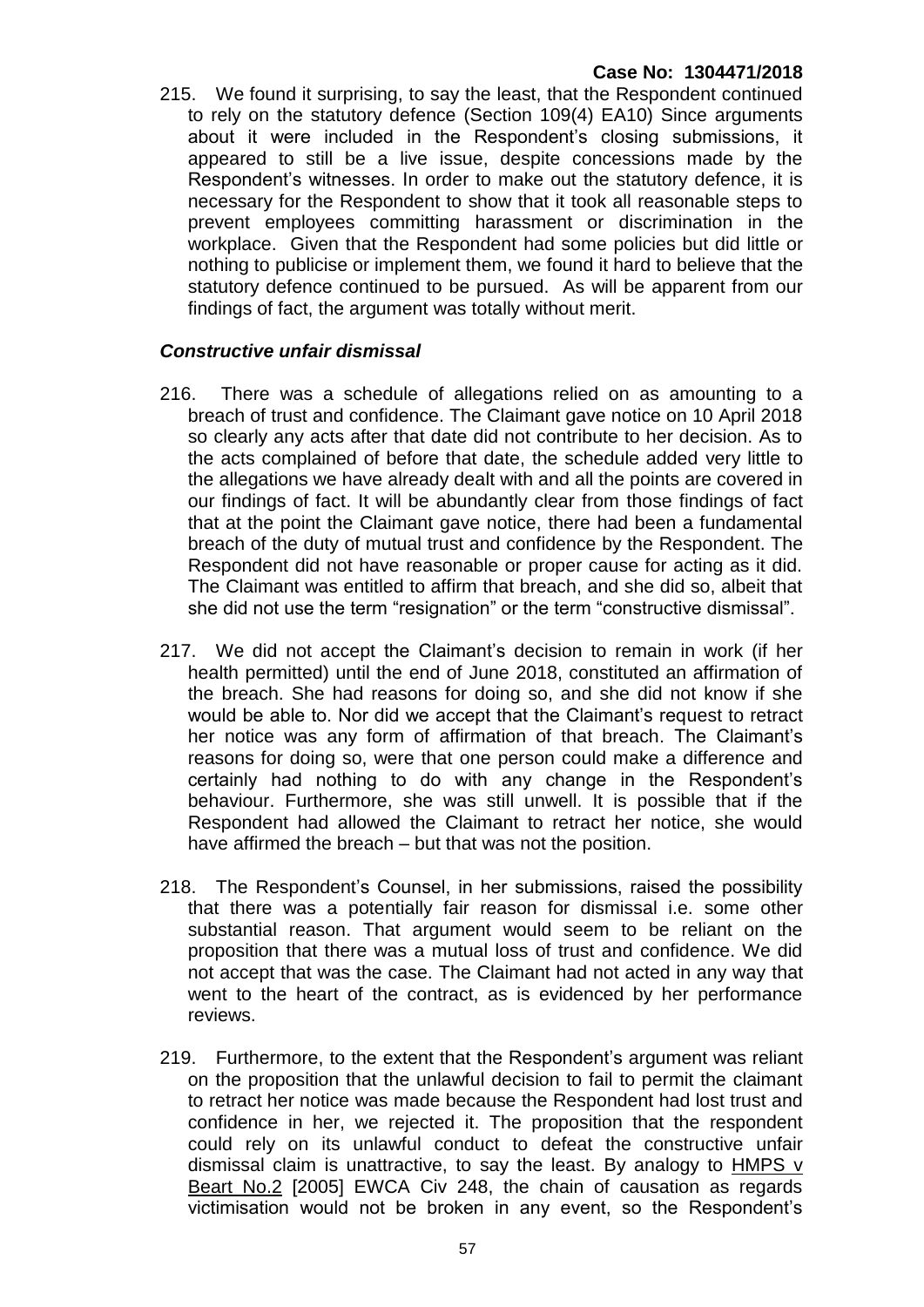215. We found it surprising, to say the least, that the Respondent continued to rely on the statutory defence (Section 109(4) EA10) Since arguments about it were included in the Respondent's closing submissions, it appeared to still be a live issue, despite concessions made by the Respondent's witnesses. In order to make out the statutory defence, it is necessary for the Respondent to show that it took all reasonable steps to prevent employees committing harassment or discrimination in the workplace. Given that the Respondent had some policies but did little or nothing to publicise or implement them, we found it hard to believe that the statutory defence continued to be pursued. As will be apparent from our findings of fact, the argument was totally without merit.

# *Constructive unfair dismissal*

- 216. There was a schedule of allegations relied on as amounting to a breach of trust and confidence. The Claimant gave notice on 10 April 2018 so clearly any acts after that date did not contribute to her decision. As to the acts complained of before that date, the schedule added very little to the allegations we have already dealt with and all the points are covered in our findings of fact. It will be abundantly clear from those findings of fact that at the point the Claimant gave notice, there had been a fundamental breach of the duty of mutual trust and confidence by the Respondent. The Respondent did not have reasonable or proper cause for acting as it did. The Claimant was entitled to affirm that breach, and she did so, albeit that she did not use the term "resignation" or the term "constructive dismissal".
- 217. We did not accept the Claimant's decision to remain in work (if her health permitted) until the end of June 2018, constituted an affirmation of the breach. She had reasons for doing so, and she did not know if she would be able to. Nor did we accept that the Claimant's request to retract her notice was any form of affirmation of that breach. The Claimant's reasons for doing so, were that one person could make a difference and certainly had nothing to do with any change in the Respondent's behaviour. Furthermore, she was still unwell. It is possible that if the Respondent had allowed the Claimant to retract her notice, she would have affirmed the breach – but that was not the position.
- 218. The Respondent's Counsel, in her submissions, raised the possibility that there was a potentially fair reason for dismissal i.e. some other substantial reason. That argument would seem to be reliant on the proposition that there was a mutual loss of trust and confidence. We did not accept that was the case. The Claimant had not acted in any way that went to the heart of the contract, as is evidenced by her performance reviews.
- 219. Furthermore, to the extent that the Respondent's argument was reliant on the proposition that the unlawful decision to fail to permit the claimant to retract her notice was made because the Respondent had lost trust and confidence in her, we rejected it. The proposition that the respondent could rely on its unlawful conduct to defeat the constructive unfair dismissal claim is unattractive, to say the least. By analogy to HMPS v Beart No.2 [2005] EWCA Civ 248, the chain of causation as regards victimisation would not be broken in any event, so the Respondent's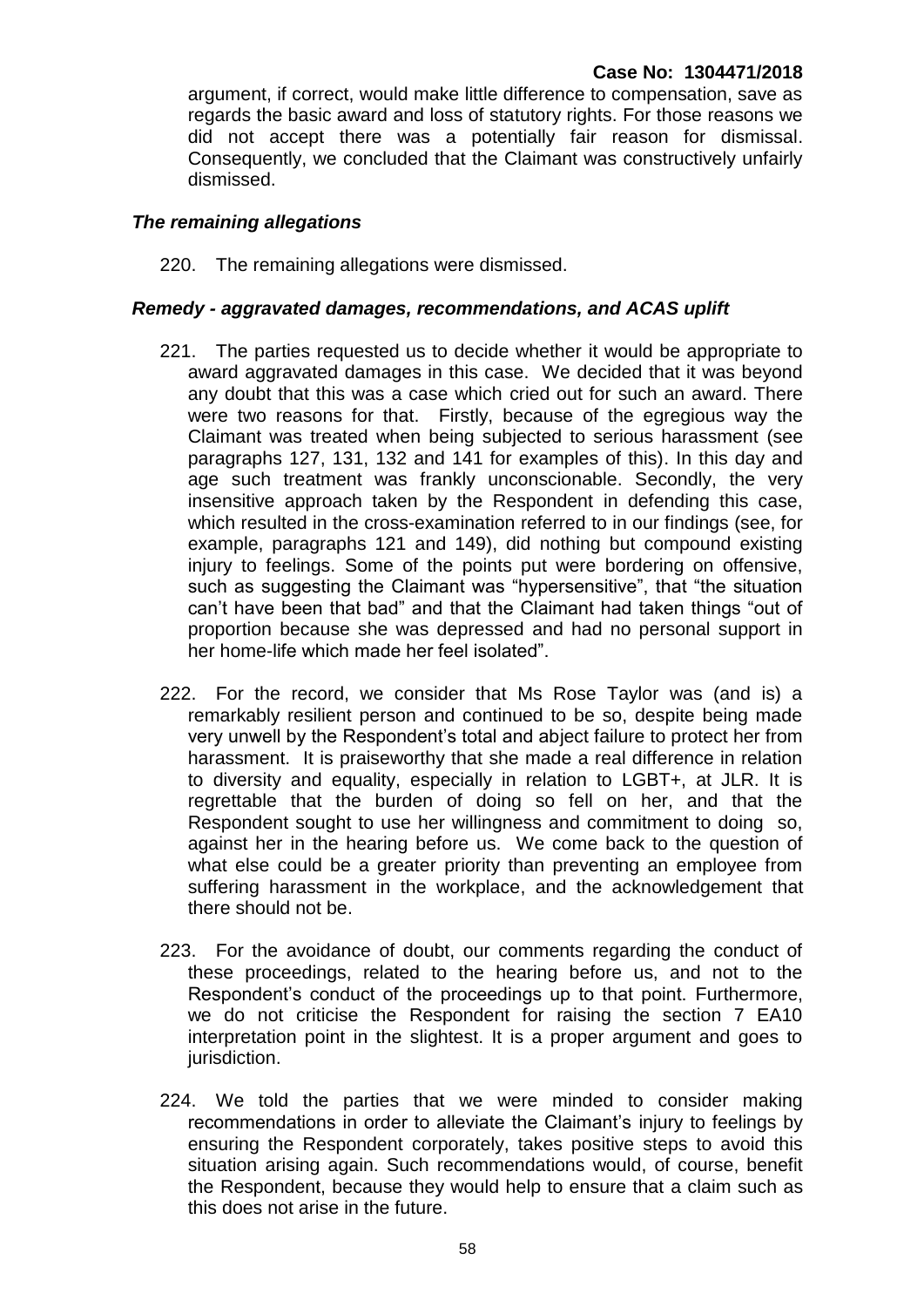argument, if correct, would make little difference to compensation, save as regards the basic award and loss of statutory rights. For those reasons we did not accept there was a potentially fair reason for dismissal. Consequently, we concluded that the Claimant was constructively unfairly dismissed.

#### *The remaining allegations*

220. The remaining allegations were dismissed.

#### *Remedy - aggravated damages, recommendations, and ACAS uplift*

- 221. The parties requested us to decide whether it would be appropriate to award aggravated damages in this case. We decided that it was beyond any doubt that this was a case which cried out for such an award. There were two reasons for that. Firstly, because of the egregious way the Claimant was treated when being subjected to serious harassment (see paragraphs 127, 131, 132 and 141 for examples of this). In this day and age such treatment was frankly unconscionable. Secondly, the very insensitive approach taken by the Respondent in defending this case, which resulted in the cross-examination referred to in our findings (see, for example, paragraphs 121 and 149), did nothing but compound existing injury to feelings. Some of the points put were bordering on offensive, such as suggesting the Claimant was "hypersensitive", that "the situation can't have been that bad" and that the Claimant had taken things "out of proportion because she was depressed and had no personal support in her home-life which made her feel isolated".
- 222. For the record, we consider that Ms Rose Taylor was (and is) a remarkably resilient person and continued to be so, despite being made very unwell by the Respondent's total and abject failure to protect her from harassment. It is praiseworthy that she made a real difference in relation to diversity and equality, especially in relation to LGBT+, at JLR. It is regrettable that the burden of doing so fell on her, and that the Respondent sought to use her willingness and commitment to doing so, against her in the hearing before us. We come back to the question of what else could be a greater priority than preventing an employee from suffering harassment in the workplace, and the acknowledgement that there should not be.
- 223. For the avoidance of doubt, our comments regarding the conduct of these proceedings, related to the hearing before us, and not to the Respondent's conduct of the proceedings up to that point. Furthermore, we do not criticise the Respondent for raising the section 7 EA10 interpretation point in the slightest. It is a proper argument and goes to jurisdiction.
- 224. We told the parties that we were minded to consider making recommendations in order to alleviate the Claimant's injury to feelings by ensuring the Respondent corporately, takes positive steps to avoid this situation arising again. Such recommendations would, of course, benefit the Respondent, because they would help to ensure that a claim such as this does not arise in the future.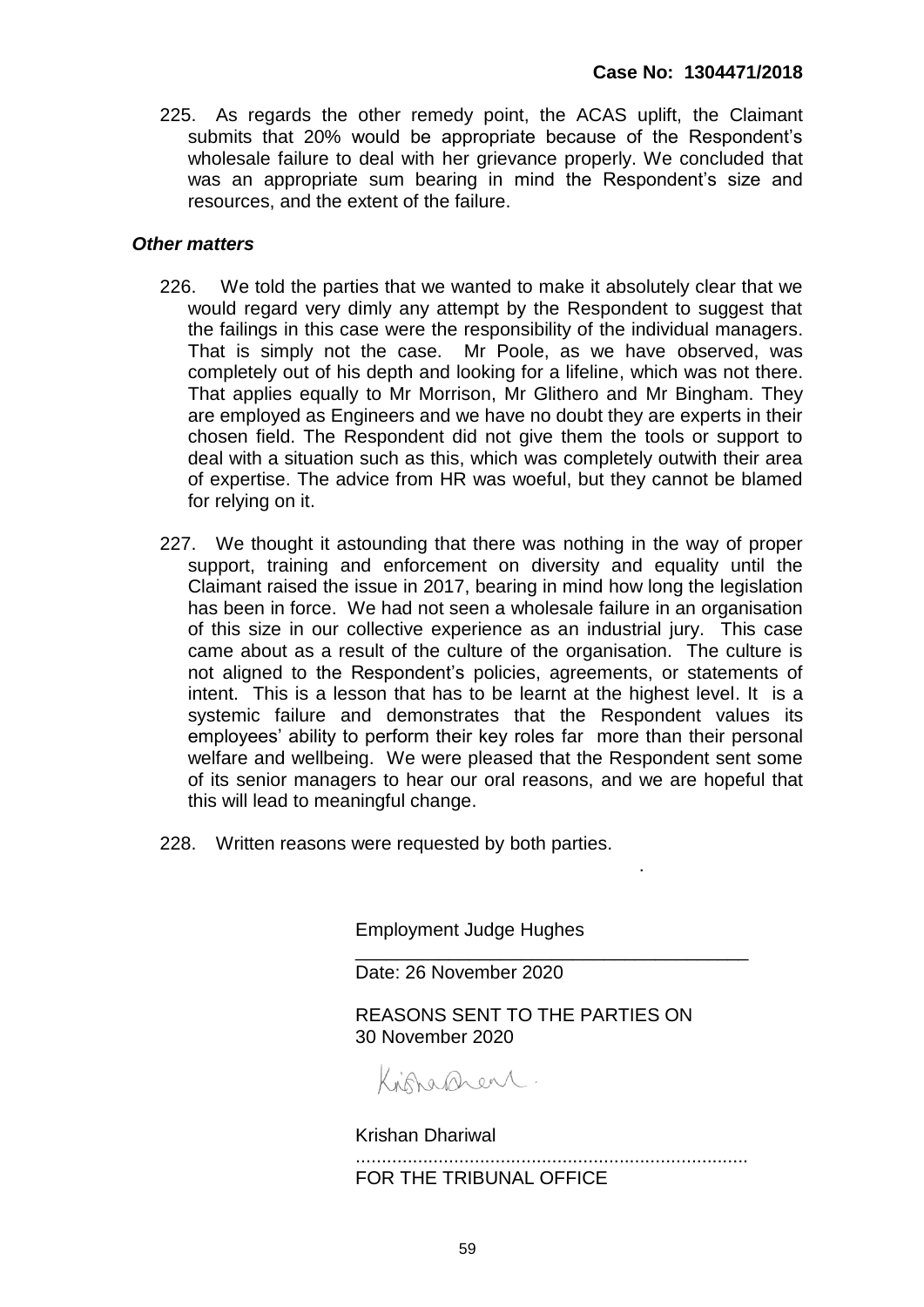225. As regards the other remedy point, the ACAS uplift, the Claimant submits that 20% would be appropriate because of the Respondent's wholesale failure to deal with her grievance properly. We concluded that was an appropriate sum bearing in mind the Respondent's size and resources, and the extent of the failure.

#### *Other matters*

- 226. We told the parties that we wanted to make it absolutely clear that we would regard very dimly any attempt by the Respondent to suggest that the failings in this case were the responsibility of the individual managers. That is simply not the case. Mr Poole, as we have observed, was completely out of his depth and looking for a lifeline, which was not there. That applies equally to Mr Morrison, Mr Glithero and Mr Bingham. They are employed as Engineers and we have no doubt they are experts in their chosen field. The Respondent did not give them the tools or support to deal with a situation such as this, which was completely outwith their area of expertise. The advice from HR was woeful, but they cannot be blamed for relying on it.
- 227. We thought it astounding that there was nothing in the way of proper support, training and enforcement on diversity and equality until the Claimant raised the issue in 2017, bearing in mind how long the legislation has been in force. We had not seen a wholesale failure in an organisation of this size in our collective experience as an industrial jury. This case came about as a result of the culture of the organisation. The culture is not aligned to the Respondent's policies, agreements, or statements of intent. This is a lesson that has to be learnt at the highest level. It is a systemic failure and demonstrates that the Respondent values its employees' ability to perform their key roles far more than their personal welfare and wellbeing. We were pleased that the Respondent sent some of its senior managers to hear our oral reasons, and we are hopeful that this will lead to meaningful change.
- 228. Written reasons were requested by both parties. .

Employment Judge Hughes

Date: 26 November 2020

REASONS SENT TO THE PARTIES ON 30 November 2020

\_\_\_\_\_\_\_\_\_\_\_\_\_\_\_\_\_\_\_\_\_\_\_\_\_\_\_\_\_\_\_\_\_\_\_\_\_\_

Kingprent.

Krishan Dhariwal ............................................................................

FOR THE TRIBUNAL OFFICE